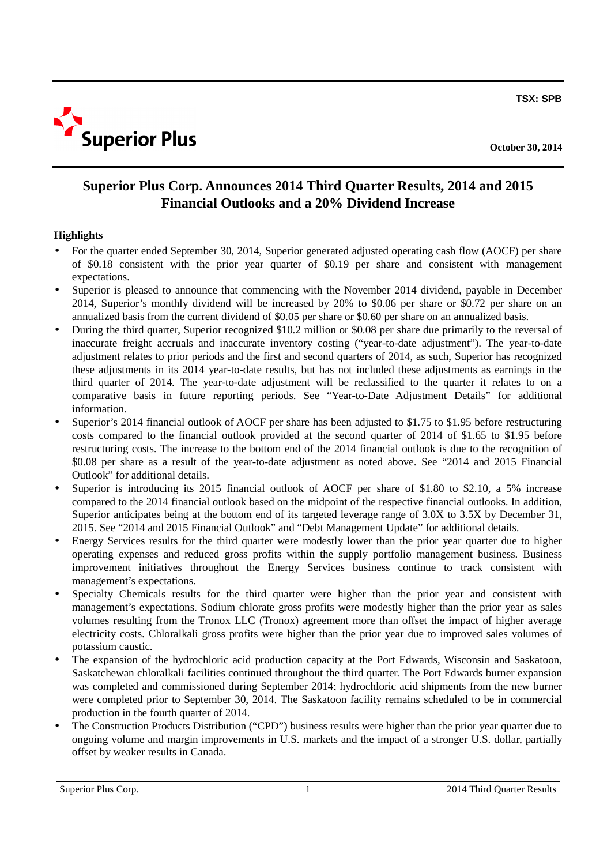**TSX: SPB** 



# **Superior Plus Corp. Announces 2014 Third Quarter Results, 2014 and 2015 Financial Outlooks and a 20% Dividend Increase**

# **Highlights**

- For the quarter ended September 30, 2014, Superior generated adjusted operating cash flow (AOCF) per share of \$0.18 consistent with the prior year quarter of \$0.19 per share and consistent with management expectations.
- Superior is pleased to announce that commencing with the November 2014 dividend, payable in December 2014, Superior's monthly dividend will be increased by 20% to \$0.06 per share or \$0.72 per share on an annualized basis from the current dividend of \$0.05 per share or \$0.60 per share on an annualized basis.
- During the third quarter, Superior recognized \$10.2 million or \$0.08 per share due primarily to the reversal of inaccurate freight accruals and inaccurate inventory costing ("year-to-date adjustment"). The year-to-date adjustment relates to prior periods and the first and second quarters of 2014, as such, Superior has recognized these adjustments in its 2014 year-to-date results, but has not included these adjustments as earnings in the third quarter of 2014. The year-to-date adjustment will be reclassified to the quarter it relates to on a comparative basis in future reporting periods. See "Year-to-Date Adjustment Details" for additional information.
- Superior's 2014 financial outlook of AOCF per share has been adjusted to \$1.75 to \$1.95 before restructuring costs compared to the financial outlook provided at the second quarter of 2014 of \$1.65 to \$1.95 before restructuring costs. The increase to the bottom end of the 2014 financial outlook is due to the recognition of \$0.08 per share as a result of the year-to-date adjustment as noted above. See "2014 and 2015 Financial Outlook" for additional details.
- Superior is introducing its 2015 financial outlook of AOCF per share of \$1.80 to \$2.10, a 5% increase compared to the 2014 financial outlook based on the midpoint of the respective financial outlooks. In addition, Superior anticipates being at the bottom end of its targeted leverage range of 3.0X to 3.5X by December 31, 2015. See "2014 and 2015 Financial Outlook" and "Debt Management Update" for additional details.
- Energy Services results for the third quarter were modestly lower than the prior year quarter due to higher operating expenses and reduced gross profits within the supply portfolio management business. Business improvement initiatives throughout the Energy Services business continue to track consistent with management's expectations.
- Specialty Chemicals results for the third quarter were higher than the prior year and consistent with management's expectations. Sodium chlorate gross profits were modestly higher than the prior year as sales volumes resulting from the Tronox LLC (Tronox) agreement more than offset the impact of higher average electricity costs. Chloralkali gross profits were higher than the prior year due to improved sales volumes of potassium caustic.
- The expansion of the hydrochloric acid production capacity at the Port Edwards, Wisconsin and Saskatoon, Saskatchewan chloralkali facilities continued throughout the third quarter. The Port Edwards burner expansion was completed and commissioned during September 2014; hydrochloric acid shipments from the new burner were completed prior to September 30, 2014. The Saskatoon facility remains scheduled to be in commercial production in the fourth quarter of 2014.
- The Construction Products Distribution ("CPD") business results were higher than the prior year quarter due to ongoing volume and margin improvements in U.S. markets and the impact of a stronger U.S. dollar, partially offset by weaker results in Canada.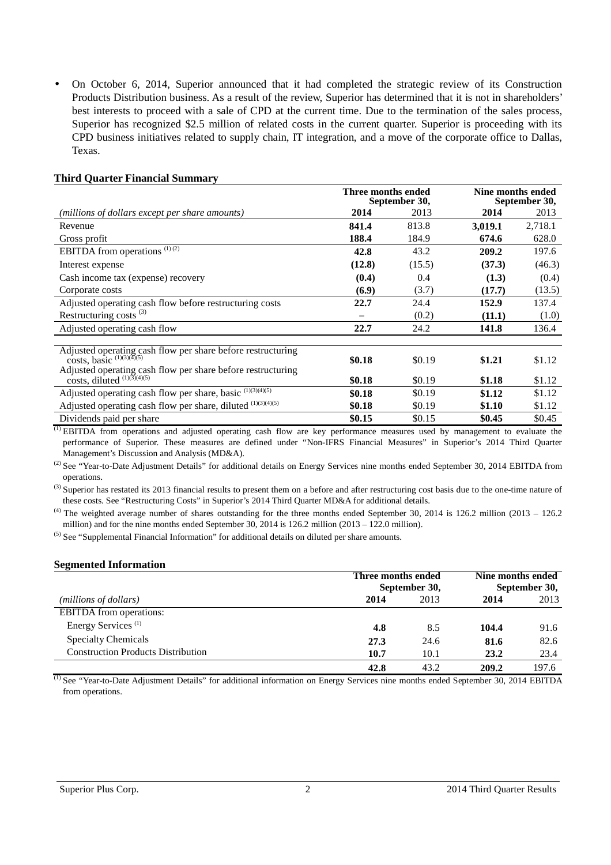• On October 6, 2014, Superior announced that it had completed the strategic review of its Construction Products Distribution business. As a result of the review, Superior has determined that it is not in shareholders' best interests to proceed with a sale of CPD at the current time. Due to the termination of the sales process, Superior has recognized \$2.5 million of related costs in the current quarter. Superior is proceeding with its CPD business initiatives related to supply chain, IT integration, and a move of the corporate office to Dallas, Texas.

#### **Third Quarter Financial Summary**

|                                                                                                 | Three months ended<br>September 30, |        | Nine months ended | September 30, |
|-------------------------------------------------------------------------------------------------|-------------------------------------|--------|-------------------|---------------|
| (millions of dollars except per share amounts)                                                  | 2014                                | 2013   | 2014              | 2013          |
| Revenue                                                                                         | 841.4                               | 813.8  | 3,019.1           | 2,718.1       |
| Gross profit                                                                                    | 188.4                               | 184.9  | 674.6             | 628.0         |
| EBITDA from operations $(1)(2)$                                                                 | 42.8                                | 43.2   | 209.2             | 197.6         |
| Interest expense                                                                                | (12.8)                              | (15.5) | (37.3)            | (46.3)        |
| Cash income tax (expense) recovery                                                              | (0.4)                               | 0.4    | (1.3)             | (0.4)         |
| Corporate costs                                                                                 | (6.9)                               | (3.7)  | (17.7)            | (13.5)        |
| Adjusted operating cash flow before restructuring costs                                         | 22.7                                | 24.4   | 152.9             | 137.4         |
| Restructuring costs $(3)$                                                                       |                                     | (0.2)  | (11.1)            | (1.0)         |
| Adjusted operating cash flow                                                                    | 22.7                                | 24.2   | 141.8             | 136.4         |
|                                                                                                 |                                     |        |                   |               |
| Adjusted operating cash flow per share before restructuring<br>costs, basic $(1)(3)(4)(5)$      | \$0.18                              | \$0.19 | \$1.21            | \$1.12        |
| Adjusted operating cash flow per share before restructuring<br>costs, diluted $^{(1)(3)(4)(5)}$ | \$0.18                              | \$0.19 | \$1.18            | \$1.12        |
| Adjusted operating cash flow per share, basic (1)(3)(4)(5)                                      | \$0.18                              | \$0.19 | \$1.12            | \$1.12        |
| Adjusted operating cash flow per share, diluted (1)(3)(4)(5)                                    | \$0.18                              | \$0.19 | \$1.10            | \$1.12        |
| Dividends paid per share                                                                        | \$0.15                              | \$0.15 | \$0.45            | \$0.45        |

<sup>(1)</sup> EBITDA from operations and adjusted operating cash flow are key performance measures used by management to evaluate the performance of Superior. These measures are defined under "Non-IFRS Financial Measures" in Superior's 2014 Third Quarter Management's Discussion and Analysis (MD&A).

<sup>(2)</sup> See "Year-to-Date Adjustment Details" for additional details on Energy Services nine months ended September 30, 2014 EBITDA from operations.

<sup>(3)</sup> Superior has restated its 2013 financial results to present them on a before and after restructuring cost basis due to the one-time nature of these costs. See "Restructuring Costs" in Superior's 2014 Third Quarter MD&A for additional details.

 $^{(4)}$  The weighted average number of shares outstanding for the three months ended September 30, 2014 is 126.2 million (2013 – 126.2) million) and for the nine months ended September 30, 2014 is 126.2 million (2013 – 122.0 million).

 $<sup>(5)</sup>$  See "Supplemental Financial Information" for additional details on diluted per share amounts.</sup>

#### **Segmented Information**

|                                           | Three months ended |      | Nine months ended<br>September 30, |       |
|-------------------------------------------|--------------------|------|------------------------------------|-------|
|                                           | September 30,      |      |                                    |       |
| ( <i>millions of dollars</i> )            | 2014               | 2013 | 2014                               | 2013  |
| <b>EBITDA</b> from operations:            |                    |      |                                    |       |
| Energy Services <sup>(1)</sup>            | 4.8                | 8.5  | 104.4                              | 91.6  |
| <b>Specialty Chemicals</b>                | 27.3               | 24.6 | 81.6                               | 82.6  |
| <b>Construction Products Distribution</b> | 10.7               | 10.1 | 23.2                               | 23.4  |
|                                           | 42.8               | 43.2 | 209.2                              | 197.6 |

<sup>(1)</sup> See "Year-to-Date Adjustment Details" for additional information on Energy Services nine months ended September 30, 2014 EBITDA from operations.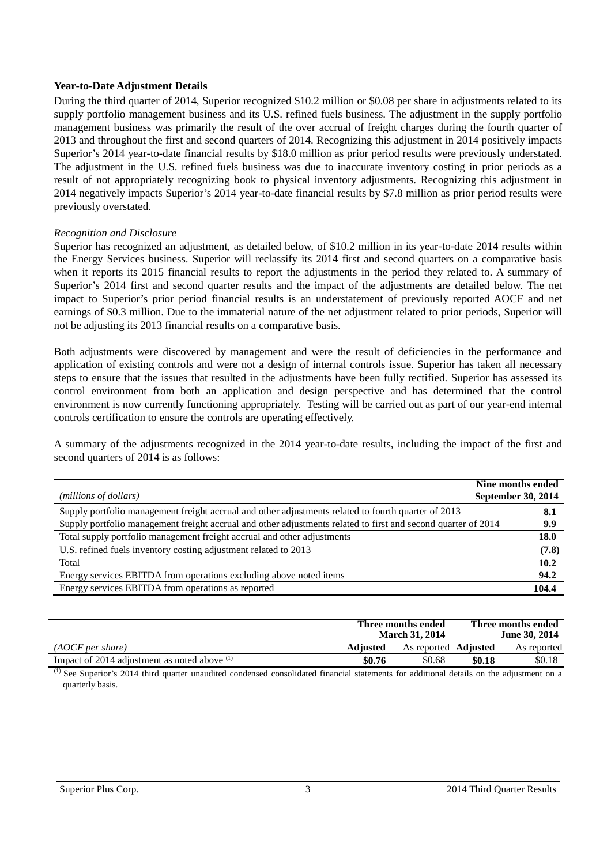#### **Year-to-Date Adjustment Details**

During the third quarter of 2014, Superior recognized \$10.2 million or \$0.08 per share in adjustments related to its supply portfolio management business and its U.S. refined fuels business. The adjustment in the supply portfolio management business was primarily the result of the over accrual of freight charges during the fourth quarter of 2013 and throughout the first and second quarters of 2014. Recognizing this adjustment in 2014 positively impacts Superior's 2014 year-to-date financial results by \$18.0 million as prior period results were previously understated. The adjustment in the U.S. refined fuels business was due to inaccurate inventory costing in prior periods as a result of not appropriately recognizing book to physical inventory adjustments. Recognizing this adjustment in 2014 negatively impacts Superior's 2014 year-to-date financial results by \$7.8 million as prior period results were previously overstated.

#### *Recognition and Disclosure*

Superior has recognized an adjustment, as detailed below, of \$10.2 million in its year-to-date 2014 results within the Energy Services business. Superior will reclassify its 2014 first and second quarters on a comparative basis when it reports its 2015 financial results to report the adjustments in the period they related to. A summary of Superior's 2014 first and second quarter results and the impact of the adjustments are detailed below. The net impact to Superior's prior period financial results is an understatement of previously reported AOCF and net earnings of \$0.3 million. Due to the immaterial nature of the net adjustment related to prior periods, Superior will not be adjusting its 2013 financial results on a comparative basis.

Both adjustments were discovered by management and were the result of deficiencies in the performance and application of existing controls and were not a design of internal controls issue. Superior has taken all necessary steps to ensure that the issues that resulted in the adjustments have been fully rectified. Superior has assessed its control environment from both an application and design perspective and has determined that the control environment is now currently functioning appropriately. Testing will be carried out as part of our year-end internal controls certification to ensure the controls are operating effectively.

A summary of the adjustments recognized in the 2014 year-to-date results, including the impact of the first and second quarters of 2014 is as follows:

| ( <i>millions of dollars</i> )                                                                                | Nine months ended<br><b>September 30, 2014</b> |
|---------------------------------------------------------------------------------------------------------------|------------------------------------------------|
| Supply portfolio management freight accrual and other adjustments related to fourth quarter of 2013           | 8.1                                            |
| Supply portfolio management freight accrual and other adjustments related to first and second quarter of 2014 | 9.9                                            |
| Total supply portfolio management freight accrual and other adjustments                                       | 18.0                                           |
| U.S. refined fuels inventory costing adjustment related to 2013                                               | (7.8)                                          |
| Total                                                                                                         | 10.2                                           |
| Energy services EBITDA from operations excluding above noted items                                            | 94.2                                           |
| Energy services EBITDA from operations as reported                                                            | 104.4                                          |

|                                                | Three months ended<br><b>March 31, 2014</b> |                             |        | Three months ended<br><b>June 30, 2014</b> |
|------------------------------------------------|---------------------------------------------|-----------------------------|--------|--------------------------------------------|
| $(AOCF$ per share)                             | <b>Adjusted</b>                             | As reported <b>Adjusted</b> |        | As reported                                |
| Impact of 2014 adjustment as noted above $(1)$ | \$0.76                                      | \$0.68                      | \$0.18 | \$0.18                                     |
| $(1)$ $\sim$<br>a dia mandritry<br>.<br>.      | $\sim$ $\sim$ $\sim$ $\sim$                 |                             |        |                                            |

<sup>(1)</sup> See Superior's 2014 third quarter unaudited condensed consolidated financial statements for additional details on the adjustment on a quarterly basis.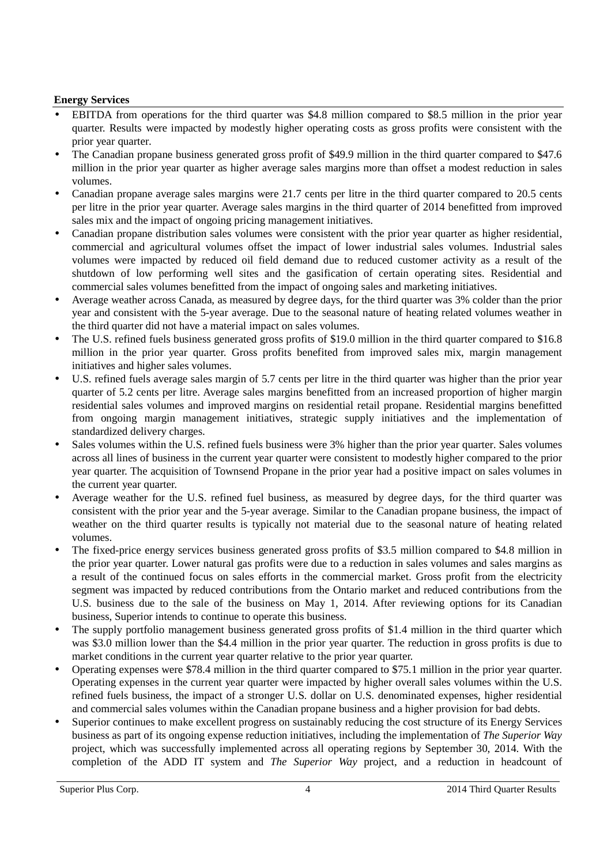### **Energy Services**

- EBITDA from operations for the third quarter was \$4.8 million compared to \$8.5 million in the prior year quarter. Results were impacted by modestly higher operating costs as gross profits were consistent with the prior year quarter.
- The Canadian propane business generated gross profit of \$49.9 million in the third quarter compared to \$47.6 million in the prior year quarter as higher average sales margins more than offset a modest reduction in sales volumes.
- Canadian propane average sales margins were 21.7 cents per litre in the third quarter compared to 20.5 cents per litre in the prior year quarter. Average sales margins in the third quarter of 2014 benefitted from improved sales mix and the impact of ongoing pricing management initiatives.
- Canadian propane distribution sales volumes were consistent with the prior year quarter as higher residential, commercial and agricultural volumes offset the impact of lower industrial sales volumes. Industrial sales volumes were impacted by reduced oil field demand due to reduced customer activity as a result of the shutdown of low performing well sites and the gasification of certain operating sites. Residential and commercial sales volumes benefitted from the impact of ongoing sales and marketing initiatives.
- Average weather across Canada, as measured by degree days, for the third quarter was 3% colder than the prior year and consistent with the 5-year average. Due to the seasonal nature of heating related volumes weather in the third quarter did not have a material impact on sales volumes.
- The U.S. refined fuels business generated gross profits of \$19.0 million in the third quarter compared to \$16.8 million in the prior year quarter. Gross profits benefited from improved sales mix, margin management initiatives and higher sales volumes.
- U.S. refined fuels average sales margin of 5.7 cents per litre in the third quarter was higher than the prior year quarter of 5.2 cents per litre. Average sales margins benefitted from an increased proportion of higher margin residential sales volumes and improved margins on residential retail propane. Residential margins benefitted from ongoing margin management initiatives, strategic supply initiatives and the implementation of standardized delivery charges.
- Sales volumes within the U.S. refined fuels business were 3% higher than the prior year quarter. Sales volumes across all lines of business in the current year quarter were consistent to modestly higher compared to the prior year quarter. The acquisition of Townsend Propane in the prior year had a positive impact on sales volumes in the current year quarter.
- Average weather for the U.S. refined fuel business, as measured by degree days, for the third quarter was consistent with the prior year and the 5-year average. Similar to the Canadian propane business, the impact of weather on the third quarter results is typically not material due to the seasonal nature of heating related volumes.
- The fixed-price energy services business generated gross profits of \$3.5 million compared to \$4.8 million in the prior year quarter. Lower natural gas profits were due to a reduction in sales volumes and sales margins as a result of the continued focus on sales efforts in the commercial market. Gross profit from the electricity segment was impacted by reduced contributions from the Ontario market and reduced contributions from the U.S. business due to the sale of the business on May 1, 2014. After reviewing options for its Canadian business, Superior intends to continue to operate this business.
- The supply portfolio management business generated gross profits of \$1.4 million in the third quarter which was \$3.0 million lower than the \$4.4 million in the prior year quarter. The reduction in gross profits is due to market conditions in the current year quarter relative to the prior year quarter.
- Operating expenses were \$78.4 million in the third quarter compared to \$75.1 million in the prior year quarter. Operating expenses in the current year quarter were impacted by higher overall sales volumes within the U.S. refined fuels business, the impact of a stronger U.S. dollar on U.S. denominated expenses, higher residential and commercial sales volumes within the Canadian propane business and a higher provision for bad debts.
- Superior continues to make excellent progress on sustainably reducing the cost structure of its Energy Services business as part of its ongoing expense reduction initiatives, including the implementation of *The Superior Way*  project, which was successfully implemented across all operating regions by September 30, 2014. With the completion of the ADD IT system and *The Superior Way* project, and a reduction in headcount of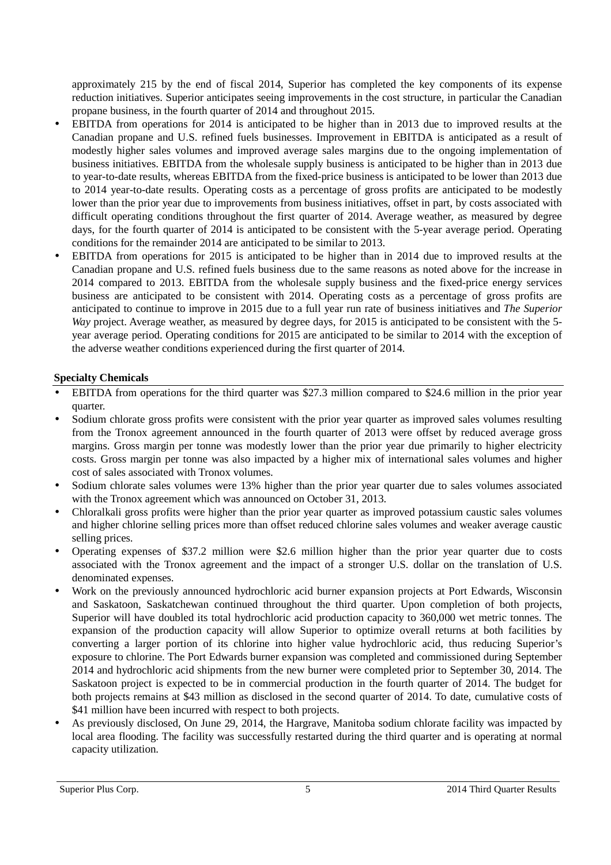approximately 215 by the end of fiscal 2014, Superior has completed the key components of its expense reduction initiatives. Superior anticipates seeing improvements in the cost structure, in particular the Canadian propane business, in the fourth quarter of 2014 and throughout 2015.

- EBITDA from operations for 2014 is anticipated to be higher than in 2013 due to improved results at the Canadian propane and U.S. refined fuels businesses. Improvement in EBITDA is anticipated as a result of modestly higher sales volumes and improved average sales margins due to the ongoing implementation of business initiatives. EBITDA from the wholesale supply business is anticipated to be higher than in 2013 due to year-to-date results, whereas EBITDA from the fixed-price business is anticipated to be lower than 2013 due to 2014 year-to-date results. Operating costs as a percentage of gross profits are anticipated to be modestly lower than the prior year due to improvements from business initiatives, offset in part, by costs associated with difficult operating conditions throughout the first quarter of 2014. Average weather, as measured by degree days, for the fourth quarter of 2014 is anticipated to be consistent with the 5-year average period. Operating conditions for the remainder 2014 are anticipated to be similar to 2013.
- EBITDA from operations for 2015 is anticipated to be higher than in 2014 due to improved results at the Canadian propane and U.S. refined fuels business due to the same reasons as noted above for the increase in 2014 compared to 2013. EBITDA from the wholesale supply business and the fixed-price energy services business are anticipated to be consistent with 2014. Operating costs as a percentage of gross profits are anticipated to continue to improve in 2015 due to a full year run rate of business initiatives and *The Superior Way* project. Average weather, as measured by degree days, for 2015 is anticipated to be consistent with the 5year average period. Operating conditions for 2015 are anticipated to be similar to 2014 with the exception of the adverse weather conditions experienced during the first quarter of 2014.

# **Specialty Chemicals**

- EBITDA from operations for the third quarter was \$27.3 million compared to \$24.6 million in the prior year quarter.
- Sodium chlorate gross profits were consistent with the prior year quarter as improved sales volumes resulting from the Tronox agreement announced in the fourth quarter of 2013 were offset by reduced average gross margins. Gross margin per tonne was modestly lower than the prior year due primarily to higher electricity costs. Gross margin per tonne was also impacted by a higher mix of international sales volumes and higher cost of sales associated with Tronox volumes.
- Sodium chlorate sales volumes were 13% higher than the prior year quarter due to sales volumes associated with the Tronox agreement which was announced on October 31, 2013.
- Chloralkali gross profits were higher than the prior year quarter as improved potassium caustic sales volumes and higher chlorine selling prices more than offset reduced chlorine sales volumes and weaker average caustic selling prices.
- Operating expenses of \$37.2 million were \$2.6 million higher than the prior year quarter due to costs associated with the Tronox agreement and the impact of a stronger U.S. dollar on the translation of U.S. denominated expenses.
- Work on the previously announced hydrochloric acid burner expansion projects at Port Edwards, Wisconsin and Saskatoon, Saskatchewan continued throughout the third quarter. Upon completion of both projects, Superior will have doubled its total hydrochloric acid production capacity to 360,000 wet metric tonnes. The expansion of the production capacity will allow Superior to optimize overall returns at both facilities by converting a larger portion of its chlorine into higher value hydrochloric acid, thus reducing Superior's exposure to chlorine. The Port Edwards burner expansion was completed and commissioned during September 2014 and hydrochloric acid shipments from the new burner were completed prior to September 30, 2014. The Saskatoon project is expected to be in commercial production in the fourth quarter of 2014. The budget for both projects remains at \$43 million as disclosed in the second quarter of 2014. To date, cumulative costs of \$41 million have been incurred with respect to both projects.
- As previously disclosed, On June 29, 2014, the Hargrave, Manitoba sodium chlorate facility was impacted by local area flooding. The facility was successfully restarted during the third quarter and is operating at normal capacity utilization.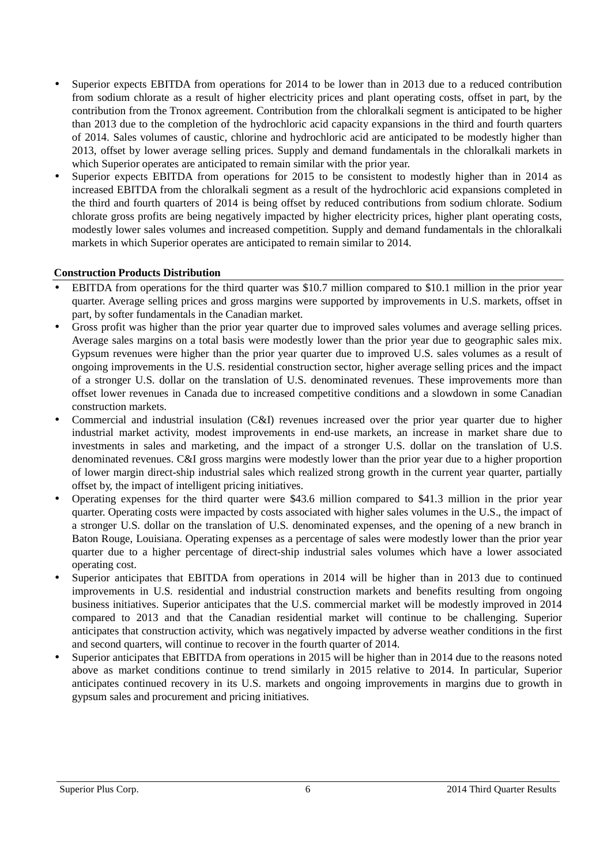- Superior expects EBITDA from operations for 2014 to be lower than in 2013 due to a reduced contribution from sodium chlorate as a result of higher electricity prices and plant operating costs, offset in part, by the contribution from the Tronox agreement. Contribution from the chloralkali segment is anticipated to be higher than 2013 due to the completion of the hydrochloric acid capacity expansions in the third and fourth quarters of 2014. Sales volumes of caustic, chlorine and hydrochloric acid are anticipated to be modestly higher than 2013, offset by lower average selling prices. Supply and demand fundamentals in the chloralkali markets in which Superior operates are anticipated to remain similar with the prior year.
- Superior expects EBITDA from operations for 2015 to be consistent to modestly higher than in 2014 as increased EBITDA from the chloralkali segment as a result of the hydrochloric acid expansions completed in the third and fourth quarters of 2014 is being offset by reduced contributions from sodium chlorate. Sodium chlorate gross profits are being negatively impacted by higher electricity prices, higher plant operating costs, modestly lower sales volumes and increased competition. Supply and demand fundamentals in the chloralkali markets in which Superior operates are anticipated to remain similar to 2014.

### **Construction Products Distribution**

- EBITDA from operations for the third quarter was \$10.7 million compared to \$10.1 million in the prior year quarter. Average selling prices and gross margins were supported by improvements in U.S. markets, offset in part, by softer fundamentals in the Canadian market.
- Gross profit was higher than the prior year quarter due to improved sales volumes and average selling prices. Average sales margins on a total basis were modestly lower than the prior year due to geographic sales mix. Gypsum revenues were higher than the prior year quarter due to improved U.S. sales volumes as a result of ongoing improvements in the U.S. residential construction sector, higher average selling prices and the impact of a stronger U.S. dollar on the translation of U.S. denominated revenues. These improvements more than offset lower revenues in Canada due to increased competitive conditions and a slowdown in some Canadian construction markets.
- Commercial and industrial insulation (C&I) revenues increased over the prior year quarter due to higher industrial market activity, modest improvements in end-use markets, an increase in market share due to investments in sales and marketing, and the impact of a stronger U.S. dollar on the translation of U.S. denominated revenues. C&I gross margins were modestly lower than the prior year due to a higher proportion of lower margin direct-ship industrial sales which realized strong growth in the current year quarter, partially offset by, the impact of intelligent pricing initiatives.
- Operating expenses for the third quarter were \$43.6 million compared to \$41.3 million in the prior year quarter. Operating costs were impacted by costs associated with higher sales volumes in the U.S., the impact of a stronger U.S. dollar on the translation of U.S. denominated expenses, and the opening of a new branch in Baton Rouge, Louisiana. Operating expenses as a percentage of sales were modestly lower than the prior year quarter due to a higher percentage of direct-ship industrial sales volumes which have a lower associated operating cost.
- Superior anticipates that EBITDA from operations in 2014 will be higher than in 2013 due to continued improvements in U.S. residential and industrial construction markets and benefits resulting from ongoing business initiatives. Superior anticipates that the U.S. commercial market will be modestly improved in 2014 compared to 2013 and that the Canadian residential market will continue to be challenging. Superior anticipates that construction activity, which was negatively impacted by adverse weather conditions in the first and second quarters, will continue to recover in the fourth quarter of 2014.
- Superior anticipates that EBITDA from operations in 2015 will be higher than in 2014 due to the reasons noted above as market conditions continue to trend similarly in 2015 relative to 2014. In particular, Superior anticipates continued recovery in its U.S. markets and ongoing improvements in margins due to growth in gypsum sales and procurement and pricing initiatives.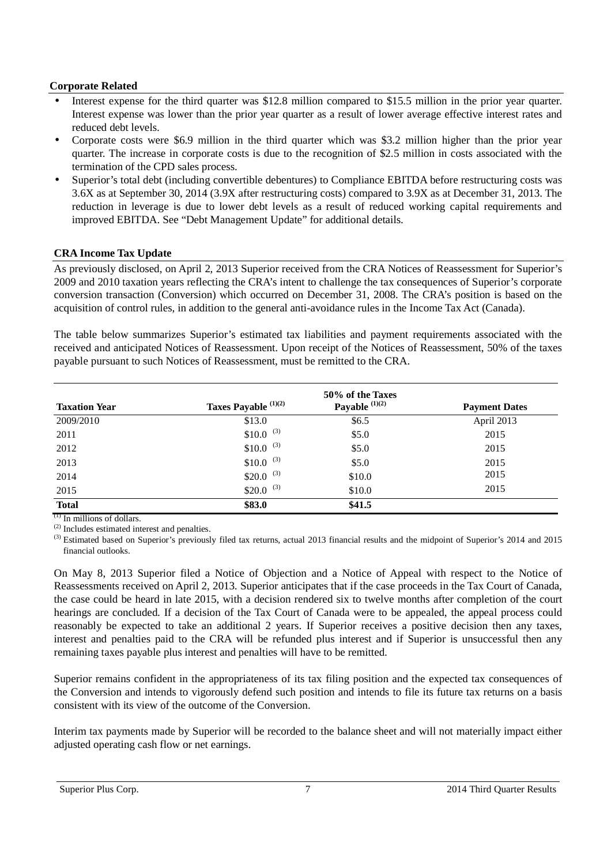#### **Corporate Related**

- Interest expense for the third quarter was \$12.8 million compared to \$15.5 million in the prior year quarter. Interest expense was lower than the prior year quarter as a result of lower average effective interest rates and reduced debt levels.
- Corporate costs were \$6.9 million in the third quarter which was \$3.2 million higher than the prior year quarter. The increase in corporate costs is due to the recognition of \$2.5 million in costs associated with the termination of the CPD sales process.
- Superior's total debt (including convertible debentures) to Compliance EBITDA before restructuring costs was 3.6X as at September 30, 2014 (3.9X after restructuring costs) compared to 3.9X as at December 31, 2013. The reduction in leverage is due to lower debt levels as a result of reduced working capital requirements and improved EBITDA. See "Debt Management Update" for additional details.

### **CRA Income Tax Update**

As previously disclosed, on April 2, 2013 Superior received from the CRA Notices of Reassessment for Superior's 2009 and 2010 taxation years reflecting the CRA's intent to challenge the tax consequences of Superior's corporate conversion transaction (Conversion) which occurred on December 31, 2008. The CRA's position is based on the acquisition of control rules, in addition to the general anti-avoidance rules in the Income Tax Act (Canada).

The table below summarizes Superior's estimated tax liabilities and payment requirements associated with the received and anticipated Notices of Reassessment. Upon receipt of the Notices of Reassessment, 50% of the taxes payable pursuant to such Notices of Reassessment, must be remitted to the CRA.

| <b>Taxation Year</b> | Taxes Payable (1)(2)   | 50% of the Taxes<br>Payable $(1)(2)$ | <b>Payment Dates</b> |
|----------------------|------------------------|--------------------------------------|----------------------|
| 2009/2010            | \$13.0                 | \$6.5                                | April 2013           |
| 2011                 | $$10.0$ (3)            | \$5.0                                | 2015                 |
| 2012                 | $$10.0$ <sup>(3)</sup> | \$5.0                                | 2015                 |
| 2013                 | $$10.0$ (3)            | \$5.0                                | 2015                 |
| 2014                 | $$20.0$ (3)            | \$10.0                               | 2015                 |
| 2015                 | $$20.0$ (3)            | \$10.0                               | 2015                 |
| <b>Total</b>         | \$83.0                 | \$41.5                               |                      |

(1) In millions of dollars.

(2) Includes estimated interest and penalties.

<sup>(3)</sup> Estimated based on Superior's previously filed tax returns, actual 2013 financial results and the midpoint of Superior's 2014 and 2015 financial outlooks.

On May 8, 2013 Superior filed a Notice of Objection and a Notice of Appeal with respect to the Notice of Reassessments received on April 2, 2013. Superior anticipates that if the case proceeds in the Tax Court of Canada, the case could be heard in late 2015, with a decision rendered six to twelve months after completion of the court hearings are concluded. If a decision of the Tax Court of Canada were to be appealed, the appeal process could reasonably be expected to take an additional 2 years. If Superior receives a positive decision then any taxes, interest and penalties paid to the CRA will be refunded plus interest and if Superior is unsuccessful then any remaining taxes payable plus interest and penalties will have to be remitted.

Superior remains confident in the appropriateness of its tax filing position and the expected tax consequences of the Conversion and intends to vigorously defend such position and intends to file its future tax returns on a basis consistent with its view of the outcome of the Conversion.

Interim tax payments made by Superior will be recorded to the balance sheet and will not materially impact either adjusted operating cash flow or net earnings.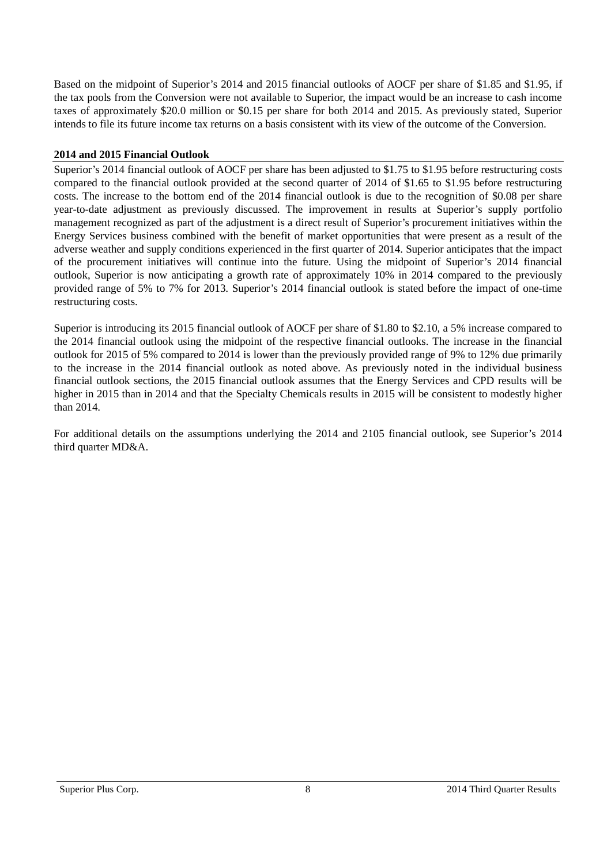Based on the midpoint of Superior's 2014 and 2015 financial outlooks of AOCF per share of \$1.85 and \$1.95, if the tax pools from the Conversion were not available to Superior, the impact would be an increase to cash income taxes of approximately \$20.0 million or \$0.15 per share for both 2014 and 2015. As previously stated, Superior intends to file its future income tax returns on a basis consistent with its view of the outcome of the Conversion.

#### **2014 and 2015 Financial Outlook**

Superior's 2014 financial outlook of AOCF per share has been adjusted to \$1.75 to \$1.95 before restructuring costs compared to the financial outlook provided at the second quarter of 2014 of \$1.65 to \$1.95 before restructuring costs. The increase to the bottom end of the 2014 financial outlook is due to the recognition of \$0.08 per share year-to-date adjustment as previously discussed. The improvement in results at Superior's supply portfolio management recognized as part of the adjustment is a direct result of Superior's procurement initiatives within the Energy Services business combined with the benefit of market opportunities that were present as a result of the adverse weather and supply conditions experienced in the first quarter of 2014. Superior anticipates that the impact of the procurement initiatives will continue into the future. Using the midpoint of Superior's 2014 financial outlook, Superior is now anticipating a growth rate of approximately 10% in 2014 compared to the previously provided range of 5% to 7% for 2013. Superior's 2014 financial outlook is stated before the impact of one-time restructuring costs.

Superior is introducing its 2015 financial outlook of AOCF per share of \$1.80 to \$2.10, a 5% increase compared to the 2014 financial outlook using the midpoint of the respective financial outlooks. The increase in the financial outlook for 2015 of 5% compared to 2014 is lower than the previously provided range of 9% to 12% due primarily to the increase in the 2014 financial outlook as noted above. As previously noted in the individual business financial outlook sections, the 2015 financial outlook assumes that the Energy Services and CPD results will be higher in 2015 than in 2014 and that the Specialty Chemicals results in 2015 will be consistent to modestly higher than 2014.

For additional details on the assumptions underlying the 2014 and 2105 financial outlook, see Superior's 2014 third quarter MD&A.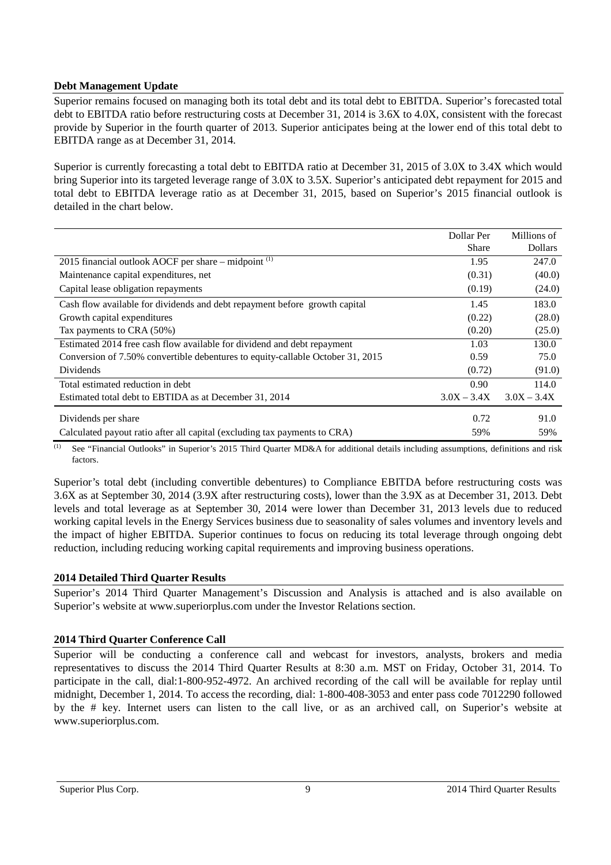### **Debt Management Update**

Superior remains focused on managing both its total debt and its total debt to EBITDA. Superior's forecasted total debt to EBITDA ratio before restructuring costs at December 31, 2014 is 3.6X to 4.0X, consistent with the forecast provide by Superior in the fourth quarter of 2013. Superior anticipates being at the lower end of this total debt to EBITDA range as at December 31, 2014.

Superior is currently forecasting a total debt to EBITDA ratio at December 31, 2015 of 3.0X to 3.4X which would bring Superior into its targeted leverage range of 3.0X to 3.5X. Superior's anticipated debt repayment for 2015 and total debt to EBITDA leverage ratio as at December 31, 2015, based on Superior's 2015 financial outlook is detailed in the chart below.

|                                                                                | Dollar Per    | Millions of   |
|--------------------------------------------------------------------------------|---------------|---------------|
|                                                                                | <b>Share</b>  | Dollars       |
| 2015 financial outlook AOCF per share – midpoint $(1)$                         | 1.95          | 247.0         |
| Maintenance capital expenditures, net                                          | (0.31)        | (40.0)        |
| Capital lease obligation repayments                                            | (0.19)        | (24.0)        |
| Cash flow available for dividends and debt repayment before growth capital     | 1.45          | 183.0         |
| Growth capital expenditures                                                    | (0.22)        | (28.0)        |
| Tax payments to CRA (50%)                                                      | (0.20)        | (25.0)        |
| Estimated 2014 free cash flow available for dividend and debt repayment        | 1.03          | 130.0         |
| Conversion of 7.50% convertible debentures to equity-callable October 31, 2015 | 0.59          | 75.0          |
| Dividends                                                                      | (0.72)        | (91.0)        |
| Total estimated reduction in debt                                              | 0.90          | 114.0         |
| Estimated total debt to EBTIDA as at December 31, 2014                         | $3.0X - 3.4X$ | $3.0X - 3.4X$ |
| Dividends per share                                                            | 0.72          | 91.0          |
| Calculated payout ratio after all capital (excluding tax payments to CRA)      | 59%           | 59%           |

(1) See "Financial Outlooks" in Superior's 2015 Third Quarter MD&A for additional details including assumptions, definitions and risk factors.

Superior's total debt (including convertible debentures) to Compliance EBITDA before restructuring costs was 3.6X as at September 30, 2014 (3.9X after restructuring costs), lower than the 3.9X as at December 31, 2013. Debt levels and total leverage as at September 30, 2014 were lower than December 31, 2013 levels due to reduced working capital levels in the Energy Services business due to seasonality of sales volumes and inventory levels and the impact of higher EBITDA. Superior continues to focus on reducing its total leverage through ongoing debt reduction, including reducing working capital requirements and improving business operations.

### **2014 Detailed Third Quarter Results**

Superior's 2014 Third Quarter Management's Discussion and Analysis is attached and is also available on Superior's website at www.superiorplus.com under the Investor Relations section.

### **2014 Third Quarter Conference Call**

Superior will be conducting a conference call and webcast for investors, analysts, brokers and media representatives to discuss the 2014 Third Quarter Results at 8:30 a.m. MST on Friday, October 31, 2014. To participate in the call, dial:1-800-952-4972. An archived recording of the call will be available for replay until midnight, December 1, 2014. To access the recording, dial: 1-800-408-3053 and enter pass code 7012290 followed by the # key. Internet users can listen to the call live, or as an archived call, on Superior's website at www.superiorplus.com.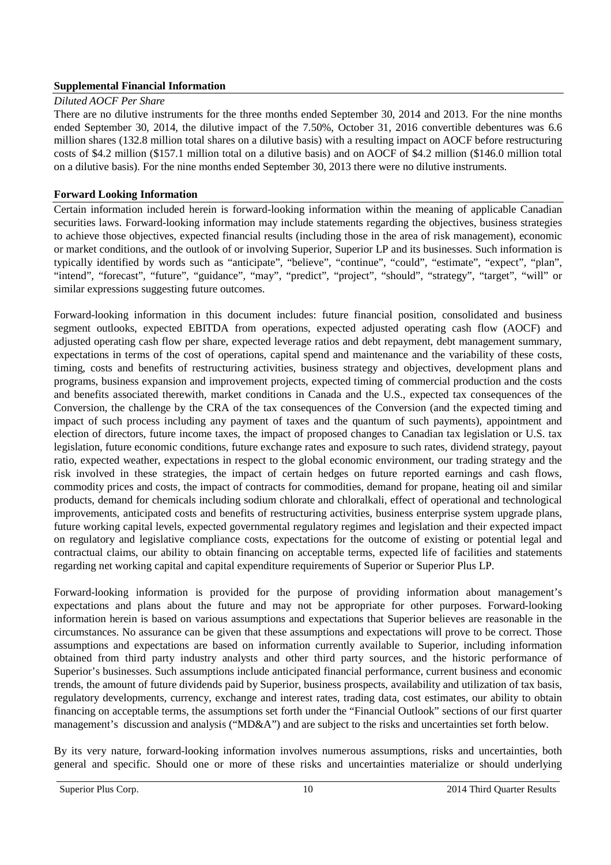### **Supplemental Financial Information**

#### *Diluted AOCF Per Share*

There are no dilutive instruments for the three months ended September 30, 2014 and 2013. For the nine months ended September 30, 2014, the dilutive impact of the 7.50%, October 31, 2016 convertible debentures was 6.6 million shares (132.8 million total shares on a dilutive basis) with a resulting impact on AOCF before restructuring costs of \$4.2 million (\$157.1 million total on a dilutive basis) and on AOCF of \$4.2 million (\$146.0 million total on a dilutive basis). For the nine months ended September 30, 2013 there were no dilutive instruments.

#### **Forward Looking Information**

Certain information included herein is forward-looking information within the meaning of applicable Canadian securities laws. Forward-looking information may include statements regarding the objectives, business strategies to achieve those objectives, expected financial results (including those in the area of risk management), economic or market conditions, and the outlook of or involving Superior, Superior LP and its businesses. Such information is typically identified by words such as "anticipate", "believe", "continue", "could", "estimate", "expect", "plan", "intend", "forecast", "future", "guidance", "may", "predict", "project", "should", "strategy", "target", "will" or similar expressions suggesting future outcomes.

Forward-looking information in this document includes: future financial position, consolidated and business segment outlooks, expected EBITDA from operations, expected adjusted operating cash flow (AOCF) and adjusted operating cash flow per share, expected leverage ratios and debt repayment, debt management summary, expectations in terms of the cost of operations, capital spend and maintenance and the variability of these costs, timing, costs and benefits of restructuring activities, business strategy and objectives, development plans and programs, business expansion and improvement projects, expected timing of commercial production and the costs and benefits associated therewith, market conditions in Canada and the U.S., expected tax consequences of the Conversion, the challenge by the CRA of the tax consequences of the Conversion (and the expected timing and impact of such process including any payment of taxes and the quantum of such payments), appointment and election of directors, future income taxes, the impact of proposed changes to Canadian tax legislation or U.S. tax legislation, future economic conditions, future exchange rates and exposure to such rates, dividend strategy, payout ratio, expected weather, expectations in respect to the global economic environment, our trading strategy and the risk involved in these strategies, the impact of certain hedges on future reported earnings and cash flows, commodity prices and costs, the impact of contracts for commodities, demand for propane, heating oil and similar products, demand for chemicals including sodium chlorate and chloralkali, effect of operational and technological improvements, anticipated costs and benefits of restructuring activities, business enterprise system upgrade plans, future working capital levels, expected governmental regulatory regimes and legislation and their expected impact on regulatory and legislative compliance costs, expectations for the outcome of existing or potential legal and contractual claims, our ability to obtain financing on acceptable terms, expected life of facilities and statements regarding net working capital and capital expenditure requirements of Superior or Superior Plus LP.

Forward-looking information is provided for the purpose of providing information about management's expectations and plans about the future and may not be appropriate for other purposes. Forward-looking information herein is based on various assumptions and expectations that Superior believes are reasonable in the circumstances. No assurance can be given that these assumptions and expectations will prove to be correct. Those assumptions and expectations are based on information currently available to Superior, including information obtained from third party industry analysts and other third party sources, and the historic performance of Superior's businesses. Such assumptions include anticipated financial performance, current business and economic trends, the amount of future dividends paid by Superior, business prospects, availability and utilization of tax basis, regulatory developments, currency, exchange and interest rates, trading data, cost estimates, our ability to obtain financing on acceptable terms, the assumptions set forth under the "Financial Outlook" sections of our first quarter management's discussion and analysis ("MD&A") and are subject to the risks and uncertainties set forth below.

By its very nature, forward-looking information involves numerous assumptions, risks and uncertainties, both general and specific. Should one or more of these risks and uncertainties materialize or should underlying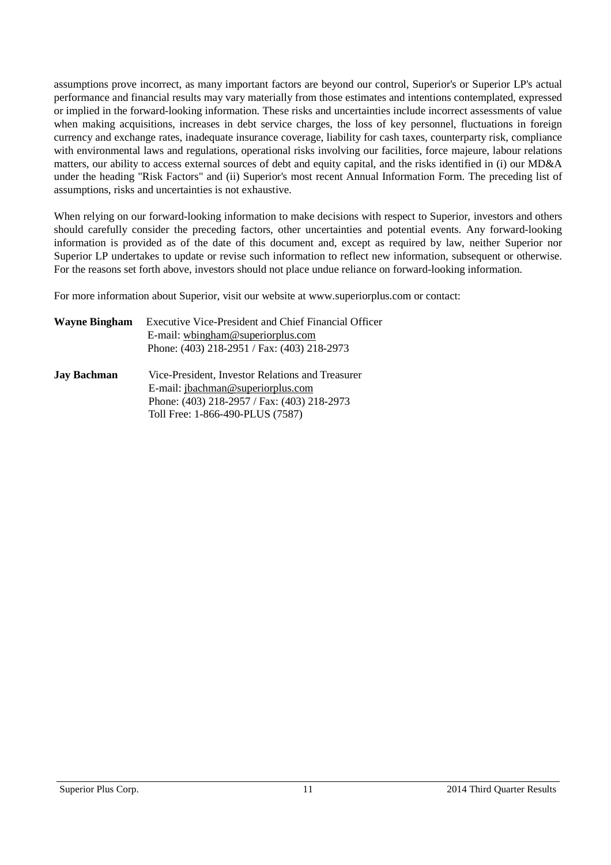assumptions prove incorrect, as many important factors are beyond our control, Superior's or Superior LP's actual performance and financial results may vary materially from those estimates and intentions contemplated, expressed or implied in the forward-looking information. These risks and uncertainties include incorrect assessments of value when making acquisitions, increases in debt service charges, the loss of key personnel, fluctuations in foreign currency and exchange rates, inadequate insurance coverage, liability for cash taxes, counterparty risk, compliance with environmental laws and regulations, operational risks involving our facilities, force majeure, labour relations matters, our ability to access external sources of debt and equity capital, and the risks identified in (i) our MD&A under the heading "Risk Factors" and (ii) Superior's most recent Annual Information Form. The preceding list of assumptions, risks and uncertainties is not exhaustive.

When relying on our forward-looking information to make decisions with respect to Superior, investors and others should carefully consider the preceding factors, other uncertainties and potential events. Any forward-looking information is provided as of the date of this document and, except as required by law, neither Superior nor Superior LP undertakes to update or revise such information to reflect new information, subsequent or otherwise. For the reasons set forth above, investors should not place undue reliance on forward-looking information.

For more information about Superior, visit our website at www.superiorplus.com or contact:

| <b>Wayne Bingham</b> | <b>Executive Vice-President and Chief Financial Officer</b> |
|----------------------|-------------------------------------------------------------|
|                      | E-mail: whingham@superiorplus.com                           |
|                      | Phone: (403) 218-2951 / Fax: (403) 218-2973                 |
| <b>Jay Bachman</b>   | Vice-President, Investor Relations and Treasurer            |
|                      | E-mail: jbachman@superiorplus.com                           |
|                      | Phone: (403) 218-2957 / Fax: (403) 218-2973                 |
|                      | Toll Free: 1-866-490-PLUS (7587)                            |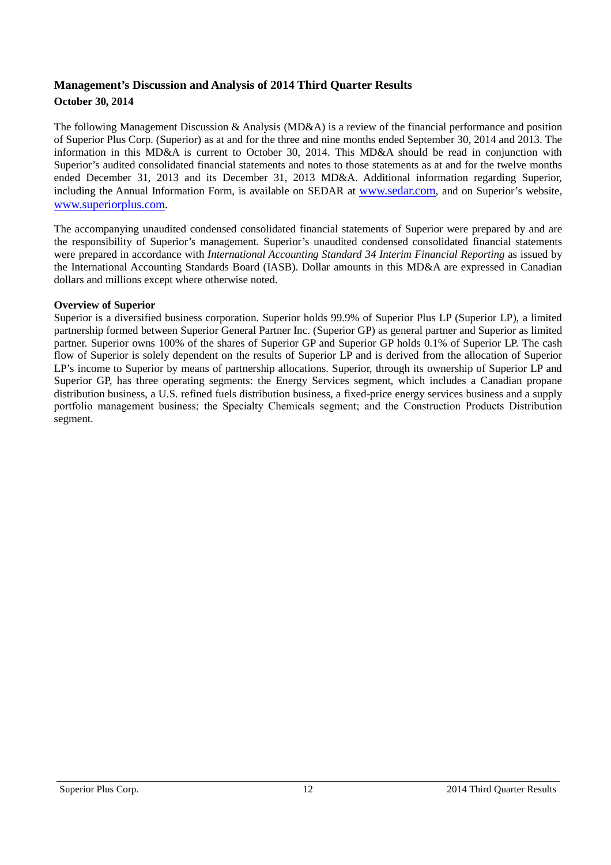# **Management's Discussion and Analysis of 2014 Third Quarter Results October 30, 2014**

The following Management Discussion & Analysis (MD&A) is a review of the financial performance and position of Superior Plus Corp. (Superior) as at and for the three and nine months ended September 30, 2014 and 2013. The information in this MD&A is current to October 30, 2014. This MD&A should be read in conjunction with Superior's audited consolidated financial statements and notes to those statements as at and for the twelve months ended December 31, 2013 and its December 31, 2013 MD&A. Additional information regarding Superior, including the Annual Information Form, is available on SEDAR at www.sedar.com, and on Superior's website, www.superiorplus.com.

The accompanying unaudited condensed consolidated financial statements of Superior were prepared by and are the responsibility of Superior's management. Superior's unaudited condensed consolidated financial statements were prepared in accordance with *International Accounting Standard 34 Interim Financial Reporting* as issued by the International Accounting Standards Board (IASB). Dollar amounts in this MD&A are expressed in Canadian dollars and millions except where otherwise noted.

# **Overview of Superior**

Superior is a diversified business corporation. Superior holds 99.9% of Superior Plus LP (Superior LP), a limited partnership formed between Superior General Partner Inc. (Superior GP) as general partner and Superior as limited partner. Superior owns 100% of the shares of Superior GP and Superior GP holds 0.1% of Superior LP. The cash flow of Superior is solely dependent on the results of Superior LP and is derived from the allocation of Superior LP's income to Superior by means of partnership allocations. Superior, through its ownership of Superior LP and Superior GP, has three operating segments: the Energy Services segment, which includes a Canadian propane distribution business, a U.S. refined fuels distribution business, a fixed-price energy services business and a supply portfolio management business; the Specialty Chemicals segment; and the Construction Products Distribution segment.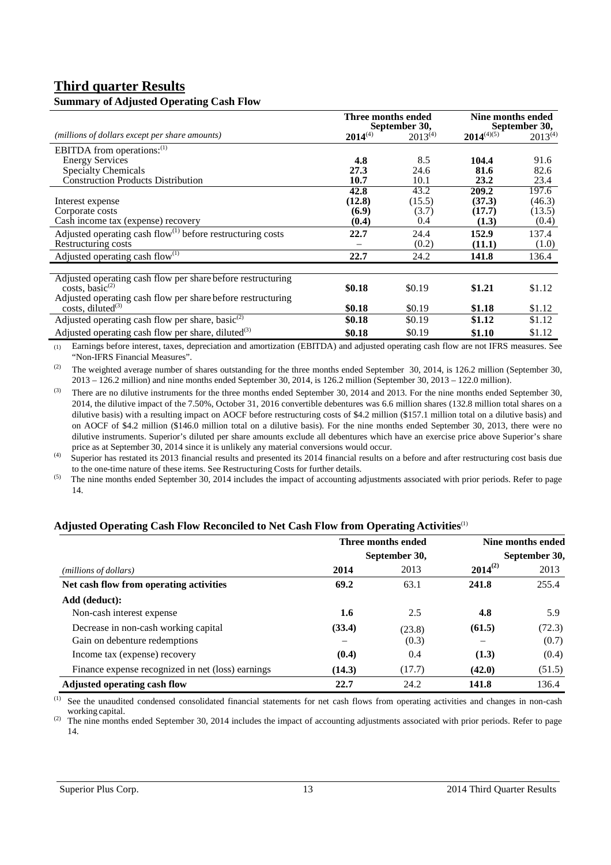# **Third quarter Results Summary of Adjusted Operating Cash Flow**

|                                                                  | Three months ended<br>September 30, |              | Nine months ended<br>September 30, |              |
|------------------------------------------------------------------|-------------------------------------|--------------|------------------------------------|--------------|
| (millions of dollars except per share amounts)                   | $2014^{(4)}$                        | $2013^{(4)}$ | $2014^{(4)(5)}$                    | $2013^{(4)}$ |
| EBITDA from operations: $(1)$                                    |                                     |              |                                    |              |
| <b>Energy Services</b>                                           | 4.8                                 | 8.5          | 104.4                              | 91.6         |
| Specialty Chemicals                                              | 27.3                                | 24.6         | 81.6                               | 82.6         |
| <b>Construction Products Distribution</b>                        | 10.7                                | 10.1         | 23.2                               | 23.4         |
|                                                                  | 42.8                                | 43.2         | 209.2                              | 197.6        |
| Interest expense                                                 | (12.8)                              | (15.5)       | (37.3)                             | (46.3)       |
| Corporate costs                                                  | (6.9)                               | (3.7)        | (17.7)                             | (13.5)       |
| Cash income tax (expense) recovery                               | (0.4)                               | 0.4          | (1.3)                              | (0.4)        |
| Adjusted operating cash flow $^{(1)}$ before restructuring costs | 22.7                                | 24.4         | 152.9                              | 137.4        |
| Restructuring costs                                              |                                     | (0.2)        | (11.1)                             | (1.0)        |
| Adjusted operating cash flow $^{(1)}$                            | 22.7                                | 24.2         | 141.8                              | 136.4        |
| Adjusted operating cash flow per share before restructuring      |                                     |              |                                    |              |
| $costs, basic^{(2)}$                                             | \$0.18                              | \$0.19       | \$1.21                             | \$1.12       |
| Adjusted operating cash flow per share before restructuring      |                                     |              |                                    |              |
| $costs$ , diluted <sup>(3)</sup>                                 | \$0.18                              | \$0.19       | \$1.18                             | \$1.12       |
| Adjusted operating cash flow per share, basic $^{(2)}$           | \$0.18                              | \$0.19       | \$1.12                             | \$1.12       |
| Adjusted operating cash flow per share, diluted $^{(3)}$         | \$0.18                              | \$0.19       | \$1.10                             | \$1.12       |

(1) Earnings before interest, taxes, depreciation and amortization (EBITDA) and adjusted operating cash flow are not IFRS measures. See "Non-IFRS Financial Measures".

<sup>(2)</sup> The weighted average number of shares outstanding for the three months ended September 30, 2014, is 126.2 million (September 30, 2013 – 126.2 million) and nine months ended September 30, 2014, is 126.2 million (September 30, 2013 – 122.0 million).

 $^{(3)}$  There are no dilutive instruments for the three months ended September 30, 2014 and 2013. For the nine months ended September 30, 2014, the dilutive impact of the 7.50%, October 31, 2016 convertible debentures was 6.6 million shares (132.8 million total shares on a dilutive basis) with a resulting impact on AOCF before restructuring costs of \$4.2 million (\$157.1 million total on a dilutive basis) and on AOCF of \$4.2 million (\$146.0 million total on a dilutive basis). For the nine months ended September 30, 2013, there were no dilutive instruments. Superior's diluted per share amounts exclude all debentures which have an exercise price above Superior's share price as at September 30, 2014 since it is unlikely any material conversions would occur.

Superior has restated its 2013 financial results and presented its 2014 financial results on a before and after restructuring cost basis due to the one-time nature of these items. See Restructuring Costs for further details.

<sup>(5)</sup> The nine months ended September 30, 2014 includes the impact of accounting adjustments associated with prior periods. Refer to page 14.

### **Adjusted Operating Cash Flow Reconciled to Net Cash Flow from Operating Activities**(1)

|                                                   |        | Three months ended |                          | Nine months ended |
|---------------------------------------------------|--------|--------------------|--------------------------|-------------------|
|                                                   |        | September 30,      |                          | September 30,     |
| (millions of dollars)                             | 2014   | 2013               | $2014^{(2)}$             | 2013              |
| Net cash flow from operating activities           | 69.2   | 63.1               | 241.8                    | 255.4             |
| Add (deduct):                                     |        |                    |                          |                   |
| Non-cash interest expense                         | 1.6    | 2.5                | 4.8                      | 5.9               |
| Decrease in non-cash working capital              | (33.4) | (23.8)             | (61.5)                   | (72.3)            |
| Gain on debenture redemptions                     |        | (0.3)              | $\overline{\phantom{m}}$ | (0.7)             |
| Income tax (expense) recovery                     | (0.4)  | 0.4                | (1.3)                    | (0.4)             |
| Finance expense recognized in net (loss) earnings | (14.3) | (17.7)             | (42.0)                   | (51.5)            |
| <b>Adjusted operating cash flow</b>               | 22.7   | 24.2               | 141.8                    | 136.4             |

 $<sup>(1)</sup>$  See the unaudited condensed consolidated financial statements for net cash flows from operating activities and changes in non-cash</sup> working capital.

(2) The nine months ended September 30, 2014 includes the impact of accounting adjustments associated with prior periods. Refer to page 14.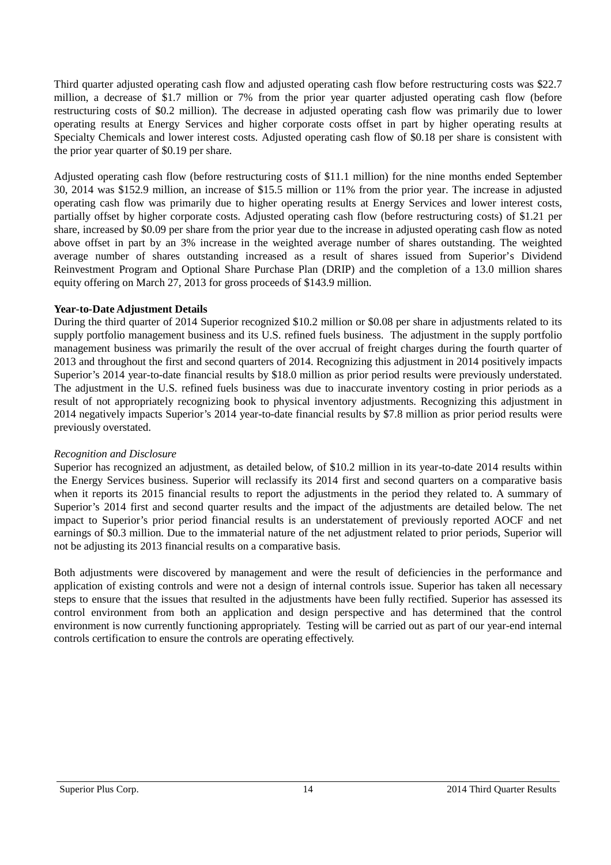Third quarter adjusted operating cash flow and adjusted operating cash flow before restructuring costs was \$22.7 million, a decrease of \$1.7 million or 7% from the prior year quarter adjusted operating cash flow (before restructuring costs of \$0.2 million). The decrease in adjusted operating cash flow was primarily due to lower operating results at Energy Services and higher corporate costs offset in part by higher operating results at Specialty Chemicals and lower interest costs. Adjusted operating cash flow of \$0.18 per share is consistent with the prior year quarter of \$0.19 per share.

Adjusted operating cash flow (before restructuring costs of \$11.1 million) for the nine months ended September 30, 2014 was \$152.9 million, an increase of \$15.5 million or 11% from the prior year. The increase in adjusted operating cash flow was primarily due to higher operating results at Energy Services and lower interest costs, partially offset by higher corporate costs. Adjusted operating cash flow (before restructuring costs) of \$1.21 per share, increased by \$0.09 per share from the prior year due to the increase in adjusted operating cash flow as noted above offset in part by an 3% increase in the weighted average number of shares outstanding. The weighted average number of shares outstanding increased as a result of shares issued from Superior's Dividend Reinvestment Program and Optional Share Purchase Plan (DRIP) and the completion of a 13.0 million shares equity offering on March 27, 2013 for gross proceeds of \$143.9 million.

#### **Year-to-Date Adjustment Details**

During the third quarter of 2014 Superior recognized \$10.2 million or \$0.08 per share in adjustments related to its supply portfolio management business and its U.S. refined fuels business. The adjustment in the supply portfolio management business was primarily the result of the over accrual of freight charges during the fourth quarter of 2013 and throughout the first and second quarters of 2014. Recognizing this adjustment in 2014 positively impacts Superior's 2014 year-to-date financial results by \$18.0 million as prior period results were previously understated. The adjustment in the U.S. refined fuels business was due to inaccurate inventory costing in prior periods as a result of not appropriately recognizing book to physical inventory adjustments. Recognizing this adjustment in 2014 negatively impacts Superior's 2014 year-to-date financial results by \$7.8 million as prior period results were previously overstated.

### *Recognition and Disclosure*

Superior has recognized an adjustment, as detailed below, of \$10.2 million in its year-to-date 2014 results within the Energy Services business. Superior will reclassify its 2014 first and second quarters on a comparative basis when it reports its 2015 financial results to report the adjustments in the period they related to. A summary of Superior's 2014 first and second quarter results and the impact of the adjustments are detailed below. The net impact to Superior's prior period financial results is an understatement of previously reported AOCF and net earnings of \$0.3 million. Due to the immaterial nature of the net adjustment related to prior periods, Superior will not be adjusting its 2013 financial results on a comparative basis.

Both adjustments were discovered by management and were the result of deficiencies in the performance and application of existing controls and were not a design of internal controls issue. Superior has taken all necessary steps to ensure that the issues that resulted in the adjustments have been fully rectified. Superior has assessed its control environment from both an application and design perspective and has determined that the control environment is now currently functioning appropriately. Testing will be carried out as part of our year-end internal controls certification to ensure the controls are operating effectively.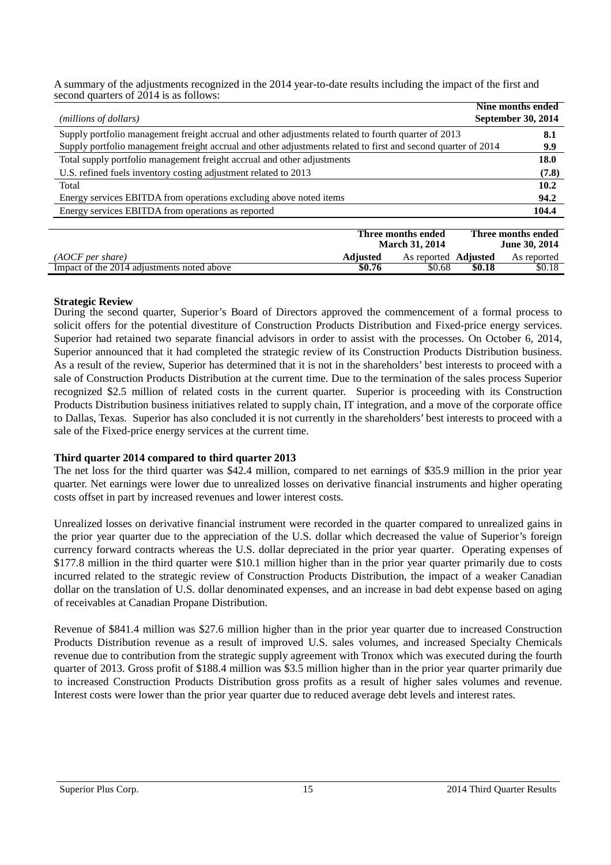A summary of the adjustments recognized in the 2014 year-to-date results including the impact of the first and second quarters of 2014 is as follows:

| (millions of dollars)                                                                                         | Nine months ended<br><b>September 30, 2014</b> |
|---------------------------------------------------------------------------------------------------------------|------------------------------------------------|
| Supply portfolio management freight accrual and other adjustments related to fourth quarter of 2013           | 8.1                                            |
| Supply portfolio management freight accrual and other adjustments related to first and second quarter of 2014 | 9.9                                            |
| Total supply portfolio management freight accrual and other adjustments                                       | 18.0                                           |
| U.S. refined fuels inventory costing adjustment related to 2013                                               | (7.8)                                          |
| Total                                                                                                         | 10.2                                           |
| Energy services EBITDA from operations excluding above noted items                                            | 94.2                                           |
| Energy services EBITDA from operations as reported                                                            | 104.4                                          |
|                                                                                                               |                                                |

|                                            | Three months ended<br><b>March 31, 2014</b> |                             | Three months ended<br><b>June 30, 2014</b> |             |
|--------------------------------------------|---------------------------------------------|-----------------------------|--------------------------------------------|-------------|
| $(AOCF$ per share)                         | <b>Adjusted</b>                             | As reported <b>Adjusted</b> |                                            | As reported |
| Impact of the 2014 adjustments noted above | \$0.76                                      | \$0.68                      | \$0.18                                     | \$0.18      |

### **Strategic Review**

During the second quarter, Superior's Board of Directors approved the commencement of a formal process to solicit offers for the potential divestiture of Construction Products Distribution and Fixed-price energy services. Superior had retained two separate financial advisors in order to assist with the processes. On October 6, 2014, Superior announced that it had completed the strategic review of its Construction Products Distribution business. As a result of the review, Superior has determined that it is not in the shareholders' best interests to proceed with a sale of Construction Products Distribution at the current time. Due to the termination of the sales process Superior recognized \$2.5 million of related costs in the current quarter. Superior is proceeding with its Construction Products Distribution business initiatives related to supply chain, IT integration, and a move of the corporate office to Dallas, Texas. Superior has also concluded it is not currently in the shareholders' best interests to proceed with a sale of the Fixed-price energy services at the current time.

### **Third quarter 2014 compared to third quarter 2013**

The net loss for the third quarter was \$42.4 million, compared to net earnings of \$35.9 million in the prior year quarter. Net earnings were lower due to unrealized losses on derivative financial instruments and higher operating costs offset in part by increased revenues and lower interest costs.

Unrealized losses on derivative financial instrument were recorded in the quarter compared to unrealized gains in the prior year quarter due to the appreciation of the U.S. dollar which decreased the value of Superior's foreign currency forward contracts whereas the U.S. dollar depreciated in the prior year quarter. Operating expenses of \$177.8 million in the third quarter were \$10.1 million higher than in the prior year quarter primarily due to costs incurred related to the strategic review of Construction Products Distribution, the impact of a weaker Canadian dollar on the translation of U.S. dollar denominated expenses, and an increase in bad debt expense based on aging of receivables at Canadian Propane Distribution.

Revenue of \$841.4 million was \$27.6 million higher than in the prior year quarter due to increased Construction Products Distribution revenue as a result of improved U.S. sales volumes, and increased Specialty Chemicals revenue due to contribution from the strategic supply agreement with Tronox which was executed during the fourth quarter of 2013. Gross profit of \$188.4 million was \$3.5 million higher than in the prior year quarter primarily due to increased Construction Products Distribution gross profits as a result of higher sales volumes and revenue. Interest costs were lower than the prior year quarter due to reduced average debt levels and interest rates.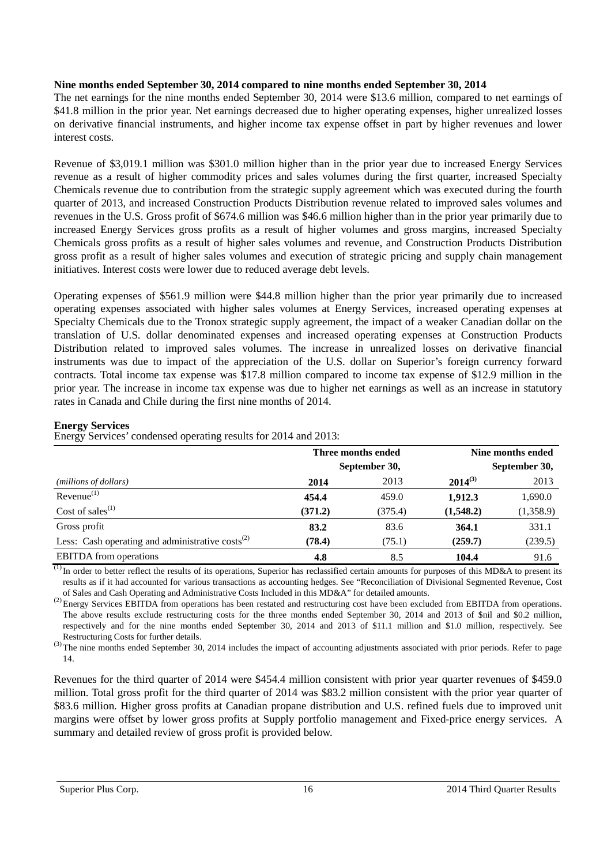#### **Nine months ended September 30, 2014 compared to nine months ended September 30, 2014**

The net earnings for the nine months ended September 30, 2014 were \$13.6 million, compared to net earnings of \$41.8 million in the prior year. Net earnings decreased due to higher operating expenses, higher unrealized losses on derivative financial instruments, and higher income tax expense offset in part by higher revenues and lower interest costs.

Revenue of \$3,019.1 million was \$301.0 million higher than in the prior year due to increased Energy Services revenue as a result of higher commodity prices and sales volumes during the first quarter, increased Specialty Chemicals revenue due to contribution from the strategic supply agreement which was executed during the fourth quarter of 2013, and increased Construction Products Distribution revenue related to improved sales volumes and revenues in the U.S. Gross profit of \$674.6 million was \$46.6 million higher than in the prior year primarily due to increased Energy Services gross profits as a result of higher volumes and gross margins, increased Specialty Chemicals gross profits as a result of higher sales volumes and revenue, and Construction Products Distribution gross profit as a result of higher sales volumes and execution of strategic pricing and supply chain management initiatives. Interest costs were lower due to reduced average debt levels.

Operating expenses of \$561.9 million were \$44.8 million higher than the prior year primarily due to increased operating expenses associated with higher sales volumes at Energy Services, increased operating expenses at Specialty Chemicals due to the Tronox strategic supply agreement, the impact of a weaker Canadian dollar on the translation of U.S. dollar denominated expenses and increased operating expenses at Construction Products Distribution related to improved sales volumes. The increase in unrealized losses on derivative financial instruments was due to impact of the appreciation of the U.S. dollar on Superior's foreign currency forward contracts. Total income tax expense was \$17.8 million compared to income tax expense of \$12.9 million in the prior year. The increase in income tax expense was due to higher net earnings as well as an increase in statutory rates in Canada and Chile during the first nine months of 2014.

#### **Energy Services**

Energy Services' condensed operating results for 2014 and 2013:

|                                                       | Three months ended |               |              | Nine months ended |
|-------------------------------------------------------|--------------------|---------------|--------------|-------------------|
|                                                       |                    | September 30, |              | September 30,     |
| (millions of dollars)                                 | 2014               | 2013          | $2014^{(3)}$ | 2013              |
| $Revenue^{(1)}$                                       | 454.4              | 459.0         | 1,912.3      | 1,690.0           |
| Cost of sales $^{(1)}$                                | (371.2)            | (375.4)       | (1,548.2)    | (1,358.9)         |
| Gross profit                                          | 83.2               | 83.6          | 364.1        | 331.1             |
| Less: Cash operating and administrative $costs^{(2)}$ | (78.4)             | (75.1)        | (259.7)      | (239.5)           |
| <b>EBITDA</b> from operations                         | 4.8                | 8.5           | 104.4        | 91.6              |

 $\overline{^{(1)}}$  In order to better reflect the results of its operations, Superior has reclassified certain amounts for purposes of this MD&A to present its results as if it had accounted for various transactions as accounting hedges. See "Reconciliation of Divisional Segmented Revenue, Cost of Sales and Cash Operating and Administrative Costs Included in this MD&A" for detailed amounts.

(2) Energy Services EBITDA from operations has been restated and restructuring cost have been excluded from EBITDA from operations. The above results exclude restructuring costs for the three months ended September 30, 2014 and 2013 of \$nil and \$0.2 million, respectively and for the nine months ended September 30, 2014 and 2013 of \$11.1 million and \$1.0 million, respectively. See Restructuring Costs for further details.

(3) The nine months ended September 30, 2014 includes the impact of accounting adjustments associated with prior periods. Refer to page 14.

Revenues for the third quarter of 2014 were \$454.4 million consistent with prior year quarter revenues of \$459.0 million. Total gross profit for the third quarter of 2014 was \$83.2 million consistent with the prior year quarter of \$83.6 million. Higher gross profits at Canadian propane distribution and U.S. refined fuels due to improved unit margins were offset by lower gross profits at Supply portfolio management and Fixed-price energy services. A summary and detailed review of gross profit is provided below.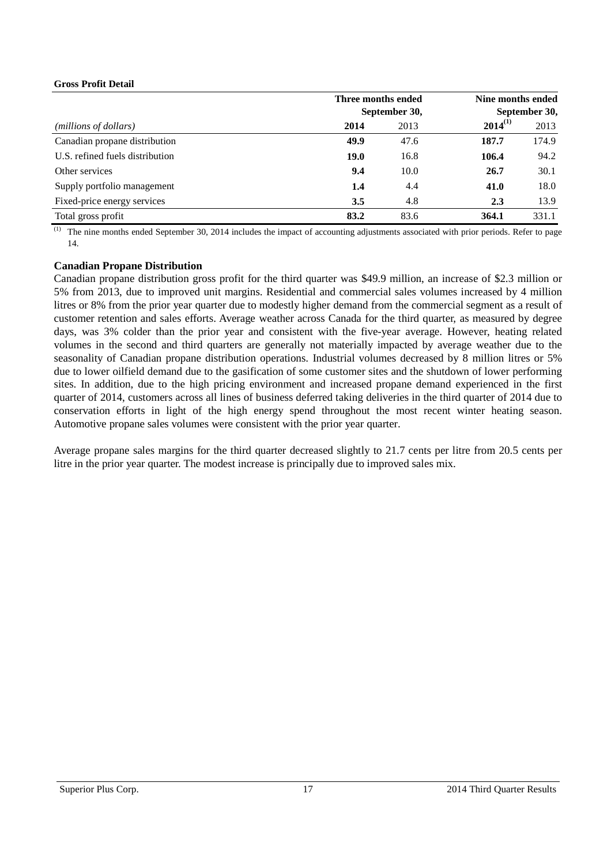#### **Gross Profit Detail**

|                                 | Three months ended | Nine months ended<br>September 30, |              |       |
|---------------------------------|--------------------|------------------------------------|--------------|-------|
|                                 |                    | September 30,                      |              |       |
| (millions of dollars)           | 2014               | 2013                               | $2014^{(1)}$ | 2013  |
| Canadian propane distribution   | 49.9               | 47.6                               | 187.7        | 174.9 |
| U.S. refined fuels distribution | 19.0               | 16.8                               | 106.4        | 94.2  |
| Other services                  | 9.4                | 10.0                               | 26.7         | 30.1  |
| Supply portfolio management     | 1.4                | 4.4                                | 41.0         | 18.0  |
| Fixed-price energy services     | 3.5                | 4.8                                | 2.3          | 13.9  |
| Total gross profit              | 83.2               | 83.6                               | 364.1        | 331.1 |

(1) The nine months ended September 30, 2014 includes the impact of accounting adjustments associated with prior periods. Refer to page 14.

#### **Canadian Propane Distribution**

Canadian propane distribution gross profit for the third quarter was \$49.9 million, an increase of \$2.3 million or 5% from 2013, due to improved unit margins. Residential and commercial sales volumes increased by 4 million litres or 8% from the prior year quarter due to modestly higher demand from the commercial segment as a result of customer retention and sales efforts. Average weather across Canada for the third quarter, as measured by degree days, was 3% colder than the prior year and consistent with the five-year average. However, heating related volumes in the second and third quarters are generally not materially impacted by average weather due to the seasonality of Canadian propane distribution operations. Industrial volumes decreased by 8 million litres or 5% due to lower oilfield demand due to the gasification of some customer sites and the shutdown of lower performing sites. In addition, due to the high pricing environment and increased propane demand experienced in the first quarter of 2014, customers across all lines of business deferred taking deliveries in the third quarter of 2014 due to conservation efforts in light of the high energy spend throughout the most recent winter heating season. Automotive propane sales volumes were consistent with the prior year quarter.

Average propane sales margins for the third quarter decreased slightly to 21.7 cents per litre from 20.5 cents per litre in the prior year quarter. The modest increase is principally due to improved sales mix.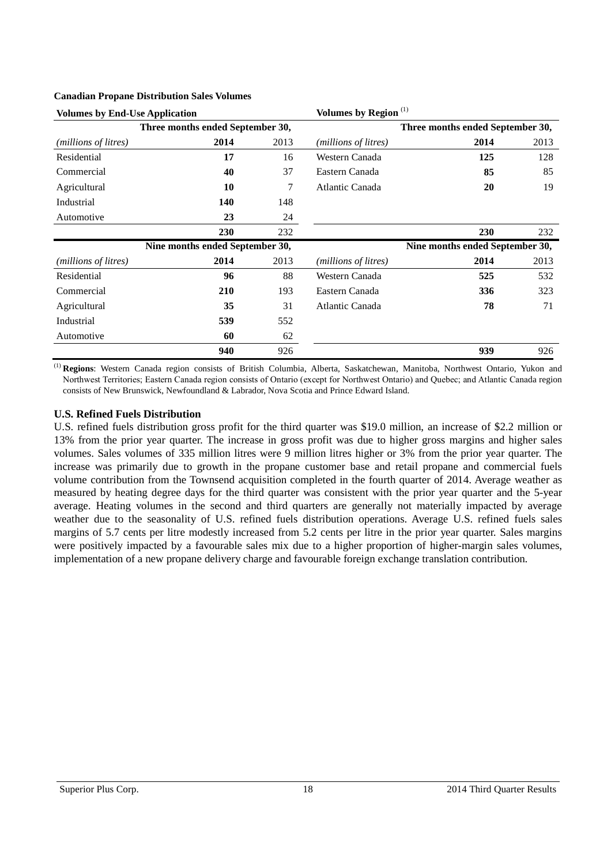| <b>Volumes by End-Use Application</b> |                                  |      | Volumes by Region <sup>(1)</sup> |                                  |      |
|---------------------------------------|----------------------------------|------|----------------------------------|----------------------------------|------|
|                                       | Three months ended September 30, |      |                                  | Three months ended September 30, |      |
| ( <i>millions of litres</i> )         | 2014                             | 2013 | ( <i>millions of litres</i> )    | 2014                             | 2013 |
| Residential                           | 17                               | 16   | Western Canada                   | 125                              | 128  |
| Commercial                            | 40                               | 37   | Eastern Canada                   | 85                               | 85   |
| Agricultural                          | 10                               | 7    | Atlantic Canada                  | 20                               | 19   |
| Industrial                            | 140                              | 148  |                                  |                                  |      |
| Automotive                            | 23                               | 24   |                                  |                                  |      |
|                                       | 230                              | 232  |                                  | 230                              | 232  |
|                                       | Nine months ended September 30,  |      |                                  | Nine months ended September 30,  |      |
| (millions of litres)                  | 2014                             | 2013 | (millions of litres)             | 2014                             | 2013 |
| Residential                           | 96                               | 88   | Western Canada                   | 525                              | 532  |
| Commercial                            | 210                              | 193  | Eastern Canada                   | 336                              | 323  |
| Agricultural                          | 35                               | 31   | Atlantic Canada                  | 78                               | 71   |
| Industrial                            | 539                              | 552  |                                  |                                  |      |
| Automotive                            | 60                               | 62   |                                  |                                  |      |
|                                       | 940                              | 926  |                                  | 939                              | 926  |

#### **Canadian Propane Distribution Sales Volumes**

(1) **Regions**: Western Canada region consists of British Columbia, Alberta, Saskatchewan, Manitoba, Northwest Ontario, Yukon and Northwest Territories; Eastern Canada region consists of Ontario (except for Northwest Ontario) and Quebec; and Atlantic Canada region consists of New Brunswick, Newfoundland & Labrador, Nova Scotia and Prince Edward Island.

### **U.S. Refined Fuels Distribution**

U.S. refined fuels distribution gross profit for the third quarter was \$19.0 million, an increase of \$2.2 million or 13% from the prior year quarter. The increase in gross profit was due to higher gross margins and higher sales volumes. Sales volumes of 335 million litres were 9 million litres higher or 3% from the prior year quarter. The increase was primarily due to growth in the propane customer base and retail propane and commercial fuels volume contribution from the Townsend acquisition completed in the fourth quarter of 2014. Average weather as measured by heating degree days for the third quarter was consistent with the prior year quarter and the 5-year average. Heating volumes in the second and third quarters are generally not materially impacted by average weather due to the seasonality of U.S. refined fuels distribution operations. Average U.S. refined fuels sales margins of 5.7 cents per litre modestly increased from 5.2 cents per litre in the prior year quarter. Sales margins were positively impacted by a favourable sales mix due to a higher proportion of higher-margin sales volumes, implementation of a new propane delivery charge and favourable foreign exchange translation contribution.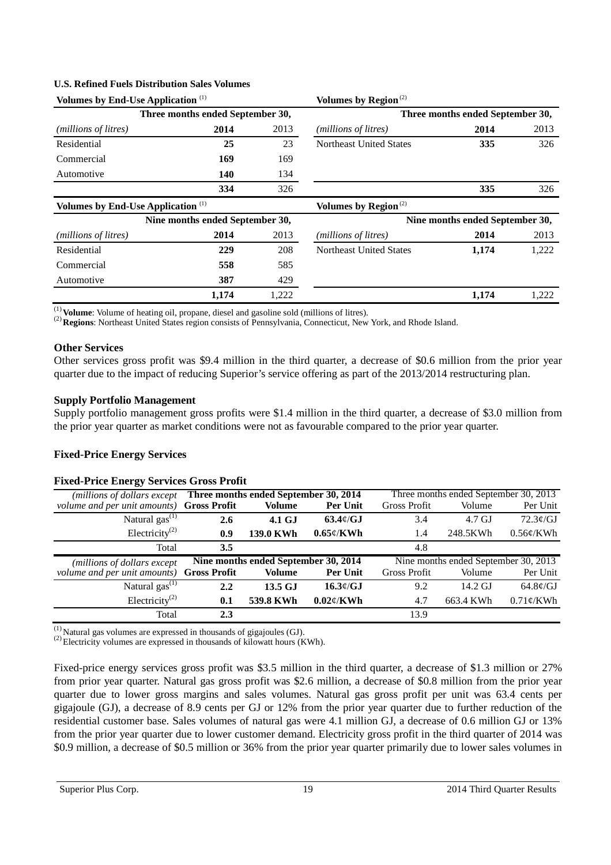| Volumes by End-Use Application <sup>(1)</sup> |                                  |       | Volumes by Region $(2)$          |       |       |  |  |
|-----------------------------------------------|----------------------------------|-------|----------------------------------|-------|-------|--|--|
|                                               | Three months ended September 30, |       | Three months ended September 30, |       |       |  |  |
| ( <i>millions of litres</i> )                 | 2014                             | 2013  | (millions of litres)             | 2014  | 2013  |  |  |
| Residential                                   | 25                               | 23    | <b>Northeast United States</b>   | 335   | 326   |  |  |
| Commercial                                    | 169                              | 169   |                                  |       |       |  |  |
| Automotive                                    | 140                              | 134   |                                  |       |       |  |  |
|                                               | 334                              | 326   |                                  | 335   | 326   |  |  |
| Volumes by End-Use Application <sup>(1)</sup> |                                  |       | Volumes by Region $(2)$          |       |       |  |  |
|                                               | Nine months ended September 30,  |       | Nine months ended September 30,  |       |       |  |  |
| ( <i>millions of litres</i> )                 | 2014                             | 2013  | (millions of litres)             | 2014  | 2013  |  |  |
| Residential                                   | 229                              | 208   | <b>Northeast United States</b>   | 1,174 | 1,222 |  |  |
| Commercial                                    | 558                              | 585   |                                  |       |       |  |  |
| Automotive                                    | 387                              | 429   |                                  |       |       |  |  |
|                                               | 1,174                            | 1,222 |                                  | 1,174 | 1,222 |  |  |

# **U.S. Refined Fuels Distribution Sales Volumes**

 $\overline{^{(1)}}$ **Volume**: Volume of heating oil, propane, diesel and gasoline sold (millions of litres).

<sup>(2)</sup> Regions: Northeast United States region consists of Pennsylvania, Connecticut, New York, and Rhode Island.

#### **Other Services**

Other services gross profit was \$9.4 million in the third quarter, a decrease of \$0.6 million from the prior year quarter due to the impact of reducing Superior's service offering as part of the 2013/2014 restructuring plan.

#### **Supply Portfolio Management**

Supply portfolio management gross profits were \$1.4 million in the third quarter, a decrease of \$3.0 million from the prior year quarter as market conditions were not as favourable compared to the prior year quarter.

### **Fixed-Price Energy Services**

#### **Fixed-Price Energy Services Gross Profit**

|                                                             |                     | Three months ended September 30, 2014 |                  |              | Three months ended September 30, 2013 |                    |
|-------------------------------------------------------------|---------------------|---------------------------------------|------------------|--------------|---------------------------------------|--------------------|
| (millions of dollars except                                 |                     |                                       |                  |              |                                       |                    |
| volume and per unit amounts) Gross Profit                   |                     | Volume                                | Per Unit         | Gross Profit | Volume                                | Per Unit           |
| Natural $gas(1)$                                            | 2.6                 | $4.1 \text{ GJ}$                      | 63.4c/GJ         | 3.4          | $4.7 \text{ GJ}$                      | $72.3\phi/GJ$      |
| Electricity <sup>(2)</sup>                                  | 0.9                 | <b>139.0 KWh</b>                      | 0.65c/KWh        | 1.4          | 248.5KWh                              | $0.56 \times$ /KWh |
| Total                                                       | 3.5                 |                                       |                  | 4.8          |                                       |                    |
|                                                             |                     |                                       |                  |              |                                       |                    |
|                                                             |                     | Nine months ended September 30, 2014  |                  |              | Nine months ended September 30, 2013  |                    |
| (millions of dollars except<br>volume and per unit amounts) | <b>Gross Profit</b> | Volume                                | <b>Per Unit</b>  | Gross Profit | Volume                                | Per Unit           |
| Natural $gas(1)$                                            | $2.2^{\circ}$       | 13.5 G.I                              | $16.3\phi/GJ$    | 9.2          | $14.2 \text{ GJ}$                     | $64.8\phi/GJ$      |
| Electricity <sup>(2)</sup>                                  | 0.1                 | 539.8 KWh                             | $0.02 \phi$ /KWh | 4.7          | 663.4 KWh                             | $0.71 \times$ KWh  |

 $<sup>(1)</sup>$  Natural gas volumes are expressed in thousands of gigajoules (GJ).</sup>

<sup>(2)</sup>Electricity volumes are expressed in thousands of kilowatt hours (KWh).

Fixed-price energy services gross profit was \$3.5 million in the third quarter, a decrease of \$1.3 million or 27% from prior year quarter. Natural gas gross profit was \$2.6 million, a decrease of \$0.8 million from the prior year quarter due to lower gross margins and sales volumes. Natural gas gross profit per unit was 63.4 cents per gigajoule (GJ), a decrease of 8.9 cents per GJ or 12% from the prior year quarter due to further reduction of the residential customer base. Sales volumes of natural gas were 4.1 million GJ, a decrease of 0.6 million GJ or 13% from the prior year quarter due to lower customer demand. Electricity gross profit in the third quarter of 2014 was \$0.9 million, a decrease of \$0.5 million or 36% from the prior year quarter primarily due to lower sales volumes in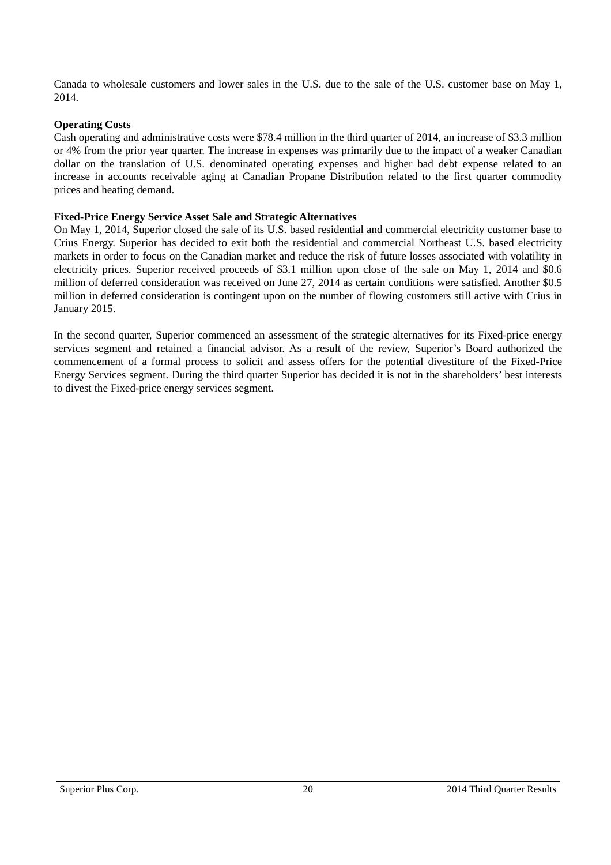Canada to wholesale customers and lower sales in the U.S. due to the sale of the U.S. customer base on May 1, 2014.

## **Operating Costs**

Cash operating and administrative costs were \$78.4 million in the third quarter of 2014, an increase of \$3.3 million or 4% from the prior year quarter. The increase in expenses was primarily due to the impact of a weaker Canadian dollar on the translation of U.S. denominated operating expenses and higher bad debt expense related to an increase in accounts receivable aging at Canadian Propane Distribution related to the first quarter commodity prices and heating demand.

# **Fixed-Price Energy Service Asset Sale and Strategic Alternatives**

On May 1, 2014, Superior closed the sale of its U.S. based residential and commercial electricity customer base to Crius Energy. Superior has decided to exit both the residential and commercial Northeast U.S. based electricity markets in order to focus on the Canadian market and reduce the risk of future losses associated with volatility in electricity prices. Superior received proceeds of \$3.1 million upon close of the sale on May 1, 2014 and \$0.6 million of deferred consideration was received on June 27, 2014 as certain conditions were satisfied. Another \$0.5 million in deferred consideration is contingent upon on the number of flowing customers still active with Crius in January 2015.

In the second quarter, Superior commenced an assessment of the strategic alternatives for its Fixed-price energy services segment and retained a financial advisor. As a result of the review, Superior's Board authorized the commencement of a formal process to solicit and assess offers for the potential divestiture of the Fixed-Price Energy Services segment. During the third quarter Superior has decided it is not in the shareholders' best interests to divest the Fixed-price energy services segment.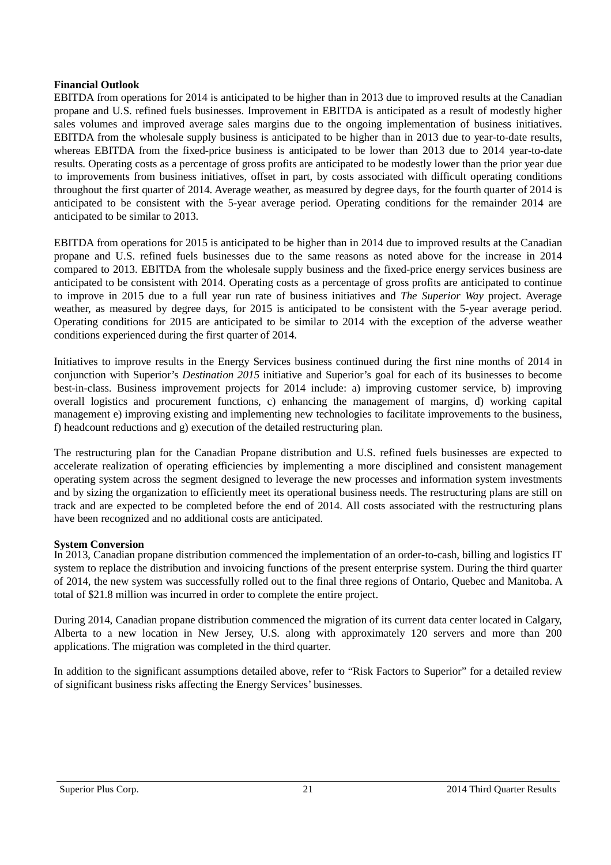#### **Financial Outlook**

EBITDA from operations for 2014 is anticipated to be higher than in 2013 due to improved results at the Canadian propane and U.S. refined fuels businesses. Improvement in EBITDA is anticipated as a result of modestly higher sales volumes and improved average sales margins due to the ongoing implementation of business initiatives. EBITDA from the wholesale supply business is anticipated to be higher than in 2013 due to year-to-date results, whereas EBITDA from the fixed-price business is anticipated to be lower than 2013 due to 2014 year-to-date results. Operating costs as a percentage of gross profits are anticipated to be modestly lower than the prior year due to improvements from business initiatives, offset in part, by costs associated with difficult operating conditions throughout the first quarter of 2014. Average weather, as measured by degree days, for the fourth quarter of 2014 is anticipated to be consistent with the 5-year average period. Operating conditions for the remainder 2014 are anticipated to be similar to 2013.

EBITDA from operations for 2015 is anticipated to be higher than in 2014 due to improved results at the Canadian propane and U.S. refined fuels businesses due to the same reasons as noted above for the increase in 2014 compared to 2013. EBITDA from the wholesale supply business and the fixed-price energy services business are anticipated to be consistent with 2014. Operating costs as a percentage of gross profits are anticipated to continue to improve in 2015 due to a full year run rate of business initiatives and *The Superior Way* project. Average weather, as measured by degree days, for 2015 is anticipated to be consistent with the 5-year average period. Operating conditions for 2015 are anticipated to be similar to 2014 with the exception of the adverse weather conditions experienced during the first quarter of 2014.

Initiatives to improve results in the Energy Services business continued during the first nine months of 2014 in conjunction with Superior's *Destination 2015* initiative and Superior's goal for each of its businesses to become best-in-class. Business improvement projects for 2014 include: a) improving customer service, b) improving overall logistics and procurement functions, c) enhancing the management of margins, d) working capital management e) improving existing and implementing new technologies to facilitate improvements to the business, f) headcount reductions and g) execution of the detailed restructuring plan.

The restructuring plan for the Canadian Propane distribution and U.S. refined fuels businesses are expected to accelerate realization of operating efficiencies by implementing a more disciplined and consistent management operating system across the segment designed to leverage the new processes and information system investments and by sizing the organization to efficiently meet its operational business needs. The restructuring plans are still on track and are expected to be completed before the end of 2014. All costs associated with the restructuring plans have been recognized and no additional costs are anticipated.

### **System Conversion**

In 2013, Canadian propane distribution commenced the implementation of an order-to-cash, billing and logistics IT system to replace the distribution and invoicing functions of the present enterprise system. During the third quarter of 2014, the new system was successfully rolled out to the final three regions of Ontario, Quebec and Manitoba. A total of \$21.8 million was incurred in order to complete the entire project.

During 2014, Canadian propane distribution commenced the migration of its current data center located in Calgary, Alberta to a new location in New Jersey, U.S. along with approximately 120 servers and more than 200 applications. The migration was completed in the third quarter.

In addition to the significant assumptions detailed above, refer to "Risk Factors to Superior" for a detailed review of significant business risks affecting the Energy Services' businesses.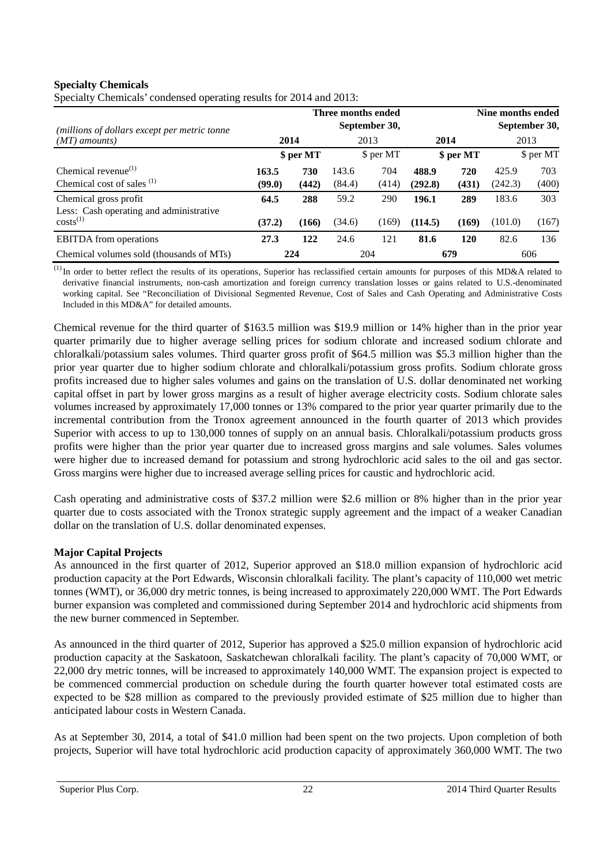#### **Specialty Chemicals**

|                                                                 | Three months ended<br>September 30, |           |        |           |         |           | Nine months ended<br>September 30, |           |
|-----------------------------------------------------------------|-------------------------------------|-----------|--------|-----------|---------|-----------|------------------------------------|-----------|
| (millions of dollars except per metric tonne<br>$(MT)$ amounts) | 2014                                |           |        | 2013      | 2014    |           | 2013                               |           |
|                                                                 |                                     | \$ per MT |        | \$ per MT |         | \$ per MT |                                    | \$ per MT |
| Chemical revenue $^{(1)}$                                       | 163.5                               | 730       | 143.6  | 704       | 488.9   | 720       | 425.9                              | 703       |
| Chemical cost of sales $(1)$                                    | (99.0)                              | (442)     | (84.4) | (414)     | (292.8) | (431)     | (242.3)                            | (400)     |
| Chemical gross profit                                           | 64.5                                | 288       | 59.2   | 290       | 196.1   | 289       | 183.6                              | 303       |
| Less: Cash operating and administrative<br>$costs^{(1)}$        | (37.2)                              | (166)     | (34.6) | (169)     | (114.5) | (169)     | (101.0)                            | (167)     |
| <b>EBITDA</b> from operations                                   | 27.3                                | 122       | 24.6   | 121       | 81.6    | 120       | 82.6                               | 136       |
| Chemical volumes sold (thousands of MTs)                        |                                     | 224       |        | 204       |         | 679       |                                    | 606       |

Specialty Chemicals' condensed operating results for 2014 and 2013:

(1) In order to better reflect the results of its operations, Superior has reclassified certain amounts for purposes of this MD&A related to derivative financial instruments, non-cash amortization and foreign currency translation losses or gains related to U.S.-denominated working capital. See "Reconciliation of Divisional Segmented Revenue, Cost of Sales and Cash Operating and Administrative Costs Included in this MD&A" for detailed amounts.

Chemical revenue for the third quarter of \$163.5 million was \$19.9 million or 14% higher than in the prior year quarter primarily due to higher average selling prices for sodium chlorate and increased sodium chlorate and chloralkali/potassium sales volumes. Third quarter gross profit of \$64.5 million was \$5.3 million higher than the prior year quarter due to higher sodium chlorate and chloralkali/potassium gross profits. Sodium chlorate gross profits increased due to higher sales volumes and gains on the translation of U.S. dollar denominated net working capital offset in part by lower gross margins as a result of higher average electricity costs. Sodium chlorate sales volumes increased by approximately 17,000 tonnes or 13% compared to the prior year quarter primarily due to the incremental contribution from the Tronox agreement announced in the fourth quarter of 2013 which provides Superior with access to up to 130,000 tonnes of supply on an annual basis. Chloralkali/potassium products gross profits were higher than the prior year quarter due to increased gross margins and sale volumes. Sales volumes were higher due to increased demand for potassium and strong hydrochloric acid sales to the oil and gas sector. Gross margins were higher due to increased average selling prices for caustic and hydrochloric acid.

Cash operating and administrative costs of \$37.2 million were \$2.6 million or 8% higher than in the prior year quarter due to costs associated with the Tronox strategic supply agreement and the impact of a weaker Canadian dollar on the translation of U.S. dollar denominated expenses.

### **Major Capital Projects**

As announced in the first quarter of 2012, Superior approved an \$18.0 million expansion of hydrochloric acid production capacity at the Port Edwards, Wisconsin chloralkali facility. The plant's capacity of 110,000 wet metric tonnes (WMT), or 36,000 dry metric tonnes, is being increased to approximately 220,000 WMT. The Port Edwards burner expansion was completed and commissioned during September 2014 and hydrochloric acid shipments from the new burner commenced in September.

As announced in the third quarter of 2012, Superior has approved a \$25.0 million expansion of hydrochloric acid production capacity at the Saskatoon, Saskatchewan chloralkali facility. The plant's capacity of 70,000 WMT, or 22,000 dry metric tonnes, will be increased to approximately 140,000 WMT. The expansion project is expected to be commenced commercial production on schedule during the fourth quarter however total estimated costs are expected to be \$28 million as compared to the previously provided estimate of \$25 million due to higher than anticipated labour costs in Western Canada.

As at September 30, 2014, a total of \$41.0 million had been spent on the two projects. Upon completion of both projects, Superior will have total hydrochloric acid production capacity of approximately 360,000 WMT. The two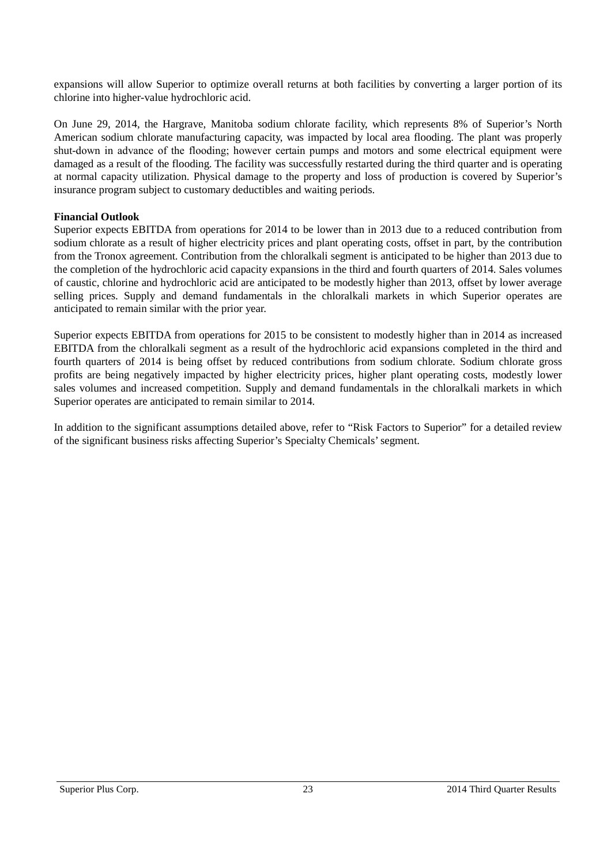expansions will allow Superior to optimize overall returns at both facilities by converting a larger portion of its chlorine into higher-value hydrochloric acid.

On June 29, 2014, the Hargrave, Manitoba sodium chlorate facility, which represents 8% of Superior's North American sodium chlorate manufacturing capacity, was impacted by local area flooding. The plant was properly shut-down in advance of the flooding; however certain pumps and motors and some electrical equipment were damaged as a result of the flooding. The facility was successfully restarted during the third quarter and is operating at normal capacity utilization. Physical damage to the property and loss of production is covered by Superior's insurance program subject to customary deductibles and waiting periods.

#### **Financial Outlook**

Superior expects EBITDA from operations for 2014 to be lower than in 2013 due to a reduced contribution from sodium chlorate as a result of higher electricity prices and plant operating costs, offset in part, by the contribution from the Tronox agreement. Contribution from the chloralkali segment is anticipated to be higher than 2013 due to the completion of the hydrochloric acid capacity expansions in the third and fourth quarters of 2014. Sales volumes of caustic, chlorine and hydrochloric acid are anticipated to be modestly higher than 2013, offset by lower average selling prices. Supply and demand fundamentals in the chloralkali markets in which Superior operates are anticipated to remain similar with the prior year.

Superior expects EBITDA from operations for 2015 to be consistent to modestly higher than in 2014 as increased EBITDA from the chloralkali segment as a result of the hydrochloric acid expansions completed in the third and fourth quarters of 2014 is being offset by reduced contributions from sodium chlorate. Sodium chlorate gross profits are being negatively impacted by higher electricity prices, higher plant operating costs, modestly lower sales volumes and increased competition. Supply and demand fundamentals in the chloralkali markets in which Superior operates are anticipated to remain similar to 2014.

In addition to the significant assumptions detailed above, refer to "Risk Factors to Superior" for a detailed review of the significant business risks affecting Superior's Specialty Chemicals' segment.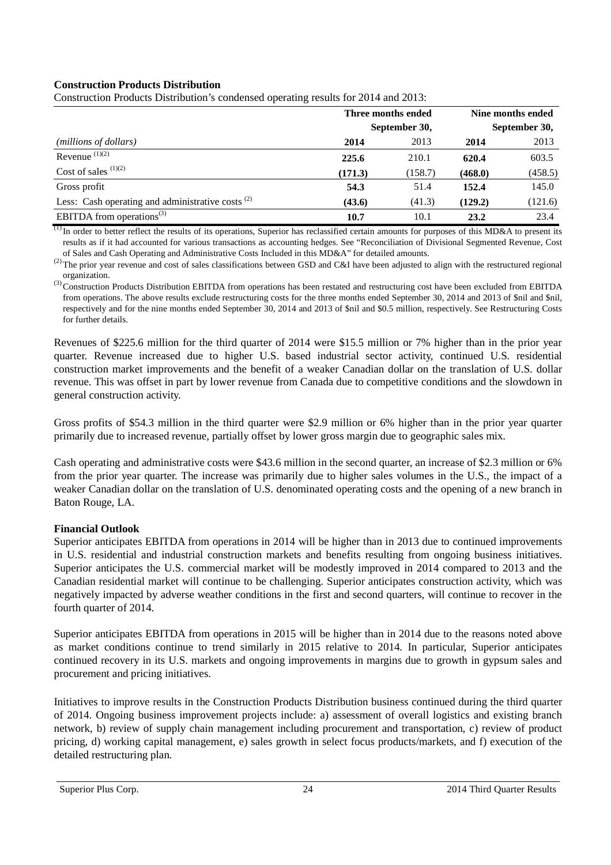### **Construction Products Distribution**

Construction Products Distribution's condensed operating results for 2014 and 2013:

|                                                                   | Three months ended<br>September 30, | Nine months ended<br>September 30, |         |         |
|-------------------------------------------------------------------|-------------------------------------|------------------------------------|---------|---------|
| (millions of dollars)                                             | 2014                                | 2013                               | 2014    | 2013    |
| Revenue $(1)(2)$                                                  | 225.6                               | 210.1                              | 620.4   | 603.5   |
| Cost of sales $(1)(2)$                                            | (171.3)                             | (158.7)                            | (468.0) | (458.5) |
| Gross profit                                                      | 54.3                                | 51.4                               | 152.4   | 145.0   |
| Less: Cash operating and administrative costs $(2)$               | (43.6)                              | (41.3)                             | (129.2) | (121.6) |
| EBITDA from operations <sup>(3)</sup><br>$\overline{\phantom{a}}$ | 10.7                                | 10.1                               | 23.2    | 23.4    |

<sup>(1)</sup>In order to better reflect the results of its operations, Superior has reclassified certain amounts for purposes of this MD&A to present its results as if it had accounted for various transactions as accounting hedges. See "Reconciliation of Divisional Segmented Revenue, Cost of Sales and Cash Operating and Administrative Costs Included in this MD&A" for detailed amounts.

<sup>(2)</sup>The prior year revenue and cost of sales classifications between GSD and C&I have been adjusted to align with the restructured regional organization.

(3) Construction Products Distribution EBITDA from operations has been restated and restructuring cost have been excluded from EBITDA from operations. The above results exclude restructuring costs for the three months ended September 30, 2014 and 2013 of \$nil and \$nil, respectively and for the nine months ended September 30, 2014 and 2013 of \$nil and \$0.5 million, respectively. See Restructuring Costs for further details.

Revenues of \$225.6 million for the third quarter of 2014 were \$15.5 million or 7% higher than in the prior year quarter. Revenue increased due to higher U.S. based industrial sector activity, continued U.S. residential construction market improvements and the benefit of a weaker Canadian dollar on the translation of U.S. dollar revenue. This was offset in part by lower revenue from Canada due to competitive conditions and the slowdown in general construction activity.

Gross profits of \$54.3 million in the third quarter were \$2.9 million or 6% higher than in the prior year quarter primarily due to increased revenue, partially offset by lower gross margin due to geographic sales mix.

Cash operating and administrative costs were \$43.6 million in the second quarter, an increase of \$2.3 million or 6% from the prior year quarter. The increase was primarily due to higher sales volumes in the U.S., the impact of a weaker Canadian dollar on the translation of U.S. denominated operating costs and the opening of a new branch in Baton Rouge, LA.

### **Financial Outlook**

Superior anticipates EBITDA from operations in 2014 will be higher than in 2013 due to continued improvements in U.S. residential and industrial construction markets and benefits resulting from ongoing business initiatives. Superior anticipates the U.S. commercial market will be modestly improved in 2014 compared to 2013 and the Canadian residential market will continue to be challenging. Superior anticipates construction activity, which was negatively impacted by adverse weather conditions in the first and second quarters, will continue to recover in the fourth quarter of 2014.

Superior anticipates EBITDA from operations in 2015 will be higher than in 2014 due to the reasons noted above as market conditions continue to trend similarly in 2015 relative to 2014. In particular, Superior anticipates continued recovery in its U.S. markets and ongoing improvements in margins due to growth in gypsum sales and procurement and pricing initiatives.

Initiatives to improve results in the Construction Products Distribution business continued during the third quarter of 2014. Ongoing business improvement projects include: a) assessment of overall logistics and existing branch network, b) review of supply chain management including procurement and transportation, c) review of product pricing, d) working capital management, e) sales growth in select focus products/markets, and f) execution of the detailed restructuring plan.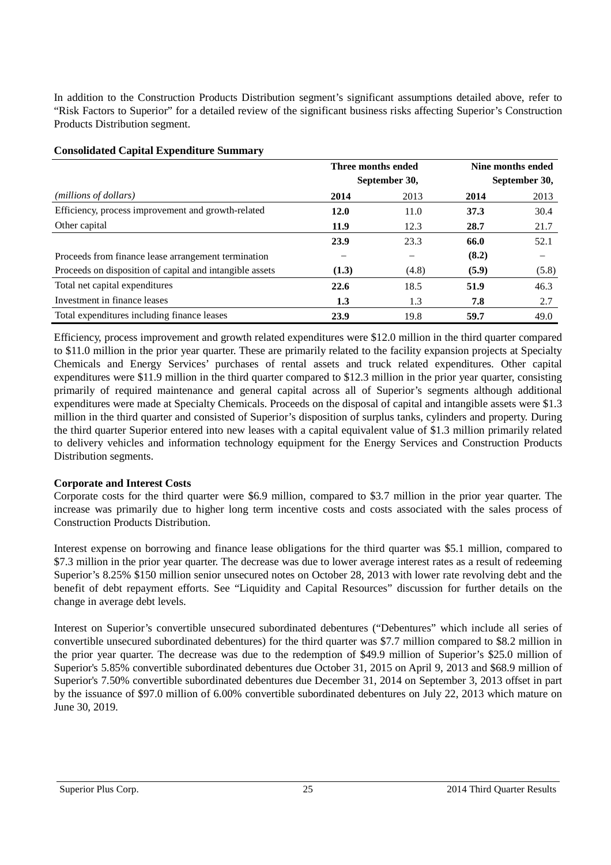In addition to the Construction Products Distribution segment's significant assumptions detailed above, refer to "Risk Factors to Superior" for a detailed review of the significant business risks affecting Superior's Construction Products Distribution segment.

|                                                          | Three months ended | September 30, | Nine months ended<br>September 30, |       |
|----------------------------------------------------------|--------------------|---------------|------------------------------------|-------|
| (millions of dollars)                                    | 2014               | 2013          | 2014                               | 2013  |
| Efficiency, process improvement and growth-related       | 12.0               | 11.0          | 37.3                               | 30.4  |
| Other capital                                            | 11.9               | 12.3          | 28.7                               | 21.7  |
|                                                          | 23.9               | 23.3          | 66.0                               | 52.1  |
| Proceeds from finance lease arrangement termination      |                    |               | (8.2)                              |       |
| Proceeds on disposition of capital and intangible assets | (1.3)              | (4.8)         | (5.9)                              | (5.8) |
| Total net capital expenditures                           | 22.6               | 18.5          | 51.9                               | 46.3  |
| Investment in finance leases                             | 1.3                | 1.3           | 7.8                                | 2.7   |
| Total expenditures including finance leases              | 23.9               | 19.8          | 59.7                               | 49.0  |

#### **Consolidated Capital Expenditure Summary**

Efficiency, process improvement and growth related expenditures were \$12.0 million in the third quarter compared to \$11.0 million in the prior year quarter. These are primarily related to the facility expansion projects at Specialty Chemicals and Energy Services' purchases of rental assets and truck related expenditures. Other capital expenditures were \$11.9 million in the third quarter compared to \$12.3 million in the prior year quarter, consisting primarily of required maintenance and general capital across all of Superior's segments although additional expenditures were made at Specialty Chemicals. Proceeds on the disposal of capital and intangible assets were \$1.3 million in the third quarter and consisted of Superior's disposition of surplus tanks, cylinders and property. During the third quarter Superior entered into new leases with a capital equivalent value of \$1.3 million primarily related to delivery vehicles and information technology equipment for the Energy Services and Construction Products Distribution segments.

### **Corporate and Interest Costs**

Corporate costs for the third quarter were \$6.9 million, compared to \$3.7 million in the prior year quarter. The increase was primarily due to higher long term incentive costs and costs associated with the sales process of Construction Products Distribution.

Interest expense on borrowing and finance lease obligations for the third quarter was \$5.1 million, compared to \$7.3 million in the prior year quarter. The decrease was due to lower average interest rates as a result of redeeming Superior's 8.25% \$150 million senior unsecured notes on October 28, 2013 with lower rate revolving debt and the benefit of debt repayment efforts. See "Liquidity and Capital Resources" discussion for further details on the change in average debt levels.

Interest on Superior's convertible unsecured subordinated debentures ("Debentures" which include all series of convertible unsecured subordinated debentures) for the third quarter was \$7.7 million compared to \$8.2 million in the prior year quarter. The decrease was due to the redemption of \$49.9 million of Superior's \$25.0 million of Superior's 5.85% convertible subordinated debentures due October 31, 2015 on April 9, 2013 and \$68.9 million of Superior's 7.50% convertible subordinated debentures due December 31, 2014 on September 3, 2013 offset in part by the issuance of \$97.0 million of 6.00% convertible subordinated debentures on July 22, 2013 which mature on June 30, 2019.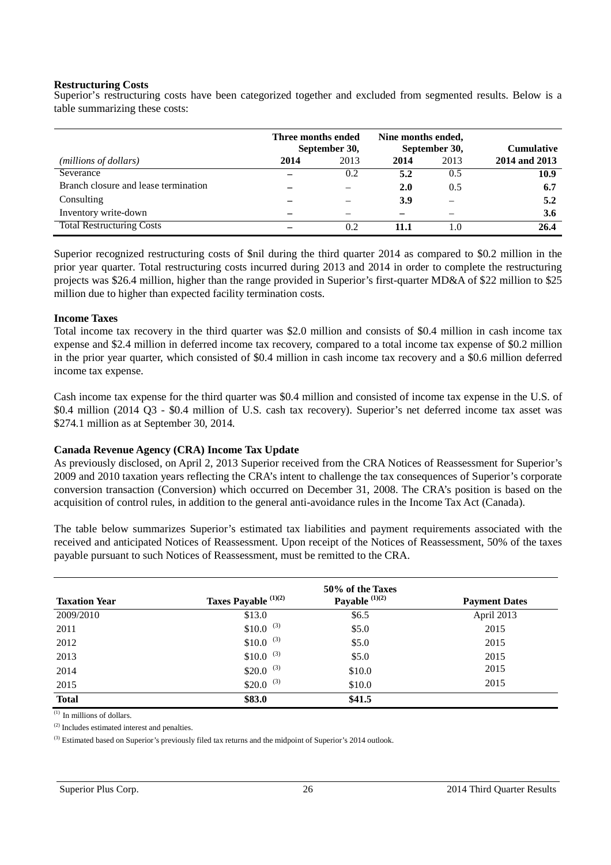#### **Restructuring Costs**

Superior's restructuring costs have been categorized together and excluded from segmented results. Below is a table summarizing these costs:

|                                      | Three months ended<br>September 30, |      | Nine months ended,<br>September 30, |          | <b>Cumulative</b> |
|--------------------------------------|-------------------------------------|------|-------------------------------------|----------|-------------------|
| (millions of dollars)                | 2014                                | 2013 | 2014                                | 2013     | 2014 and 2013     |
| Severance                            |                                     | 0.2  | 5.2                                 | 0.5      | 10.9              |
| Branch closure and lease termination |                                     |      | 2.0                                 | 0.5      | 6.7               |
| Consulting                           |                                     |      | 3.9                                 |          | 5.2               |
| Inventory write-down                 |                                     |      |                                     |          | 3.6               |
| <b>Total Restructuring Costs</b>     |                                     | 0.2  | 11.1                                | $\Omega$ | 26.4              |

Superior recognized restructuring costs of \$nil during the third quarter 2014 as compared to \$0.2 million in the prior year quarter. Total restructuring costs incurred during 2013 and 2014 in order to complete the restructuring projects was \$26.4 million, higher than the range provided in Superior's first-quarter MD&A of \$22 million to \$25 million due to higher than expected facility termination costs.

#### **Income Taxes**

Total income tax recovery in the third quarter was \$2.0 million and consists of \$0.4 million in cash income tax expense and \$2.4 million in deferred income tax recovery, compared to a total income tax expense of \$0.2 million in the prior year quarter, which consisted of \$0.4 million in cash income tax recovery and a \$0.6 million deferred income tax expense.

Cash income tax expense for the third quarter was \$0.4 million and consisted of income tax expense in the U.S. of \$0.4 million (2014 Q3 - \$0.4 million of U.S. cash tax recovery). Superior's net deferred income tax asset was \$274.1 million as at September 30, 2014.

#### **Canada Revenue Agency (CRA) Income Tax Update**

As previously disclosed, on April 2, 2013 Superior received from the CRA Notices of Reassessment for Superior's 2009 and 2010 taxation years reflecting the CRA's intent to challenge the tax consequences of Superior's corporate conversion transaction (Conversion) which occurred on December 31, 2008. The CRA's position is based on the acquisition of control rules, in addition to the general anti-avoidance rules in the Income Tax Act (Canada).

The table below summarizes Superior's estimated tax liabilities and payment requirements associated with the received and anticipated Notices of Reassessment. Upon receipt of the Notices of Reassessment, 50% of the taxes payable pursuant to such Notices of Reassessment, must be remitted to the CRA.

|                      |                        | 50% of the Taxes |                      |
|----------------------|------------------------|------------------|----------------------|
| <b>Taxation Year</b> | Taxes Payable (1)(2)   | Payable $(1)(2)$ | <b>Payment Dates</b> |
| 2009/2010            | \$13.0                 | \$6.5            | April 2013           |
| 2011                 | $$10.0$ (3)            | \$5.0            | 2015                 |
| 2012                 | $$10.0$ <sup>(3)</sup> | \$5.0            | 2015                 |
| 2013                 | $$10.0$ <sup>(3)</sup> | \$5.0            | 2015                 |
| 2014                 | $$20.0$ (3)            | \$10.0           | 2015                 |
| 2015                 | $$20.0$ <sup>(3)</sup> | \$10.0           | 2015                 |
| <b>Total</b>         | \$83.0                 | \$41.5           |                      |

 $(1)$  In millions of dollars.

(2) Includes estimated interest and penalties.

<sup>(3)</sup> Estimated based on Superior's previously filed tax returns and the midpoint of Superior's 2014 outlook.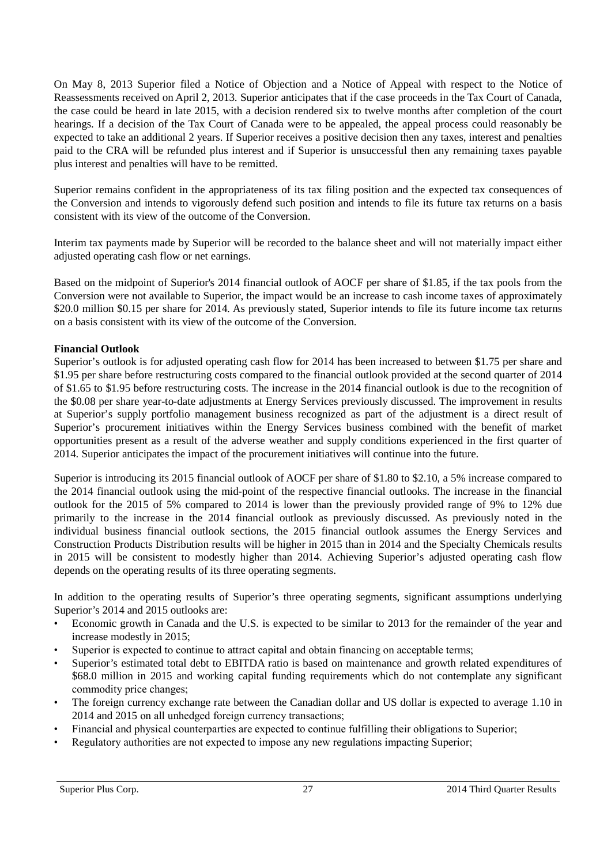On May 8, 2013 Superior filed a Notice of Objection and a Notice of Appeal with respect to the Notice of Reassessments received on April 2, 2013. Superior anticipates that if the case proceeds in the Tax Court of Canada, the case could be heard in late 2015, with a decision rendered six to twelve months after completion of the court hearings. If a decision of the Tax Court of Canada were to be appealed, the appeal process could reasonably be expected to take an additional 2 years. If Superior receives a positive decision then any taxes, interest and penalties paid to the CRA will be refunded plus interest and if Superior is unsuccessful then any remaining taxes payable plus interest and penalties will have to be remitted.

Superior remains confident in the appropriateness of its tax filing position and the expected tax consequences of the Conversion and intends to vigorously defend such position and intends to file its future tax returns on a basis consistent with its view of the outcome of the Conversion.

Interim tax payments made by Superior will be recorded to the balance sheet and will not materially impact either adjusted operating cash flow or net earnings.

Based on the midpoint of Superior's 2014 financial outlook of AOCF per share of \$1.85, if the tax pools from the Conversion were not available to Superior, the impact would be an increase to cash income taxes of approximately \$20.0 million \$0.15 per share for 2014. As previously stated, Superior intends to file its future income tax returns on a basis consistent with its view of the outcome of the Conversion.

### **Financial Outlook**

Superior's outlook is for adjusted operating cash flow for 2014 has been increased to between \$1.75 per share and \$1.95 per share before restructuring costs compared to the financial outlook provided at the second quarter of 2014 of \$1.65 to \$1.95 before restructuring costs. The increase in the 2014 financial outlook is due to the recognition of the \$0.08 per share year-to-date adjustments at Energy Services previously discussed. The improvement in results at Superior's supply portfolio management business recognized as part of the adjustment is a direct result of Superior's procurement initiatives within the Energy Services business combined with the benefit of market opportunities present as a result of the adverse weather and supply conditions experienced in the first quarter of 2014. Superior anticipates the impact of the procurement initiatives will continue into the future.

Superior is introducing its 2015 financial outlook of AOCF per share of \$1.80 to \$2.10, a 5% increase compared to the 2014 financial outlook using the mid-point of the respective financial outlooks. The increase in the financial outlook for the 2015 of 5% compared to 2014 is lower than the previously provided range of 9% to 12% due primarily to the increase in the 2014 financial outlook as previously discussed. As previously noted in the individual business financial outlook sections, the 2015 financial outlook assumes the Energy Services and Construction Products Distribution results will be higher in 2015 than in 2014 and the Specialty Chemicals results in 2015 will be consistent to modestly higher than 2014. Achieving Superior's adjusted operating cash flow depends on the operating results of its three operating segments.

In addition to the operating results of Superior's three operating segments, significant assumptions underlying Superior's 2014 and 2015 outlooks are:

- Economic growth in Canada and the U.S. is expected to be similar to 2013 for the remainder of the year and increase modestly in 2015;
- Superior is expected to continue to attract capital and obtain financing on acceptable terms;
- Superior's estimated total debt to EBITDA ratio is based on maintenance and growth related expenditures of \$68.0 million in 2015 and working capital funding requirements which do not contemplate any significant commodity price changes;
- The foreign currency exchange rate between the Canadian dollar and US dollar is expected to average 1.10 in 2014 and 2015 on all unhedged foreign currency transactions;
- Financial and physical counterparties are expected to continue fulfilling their obligations to Superior;
- Regulatory authorities are not expected to impose any new regulations impacting Superior;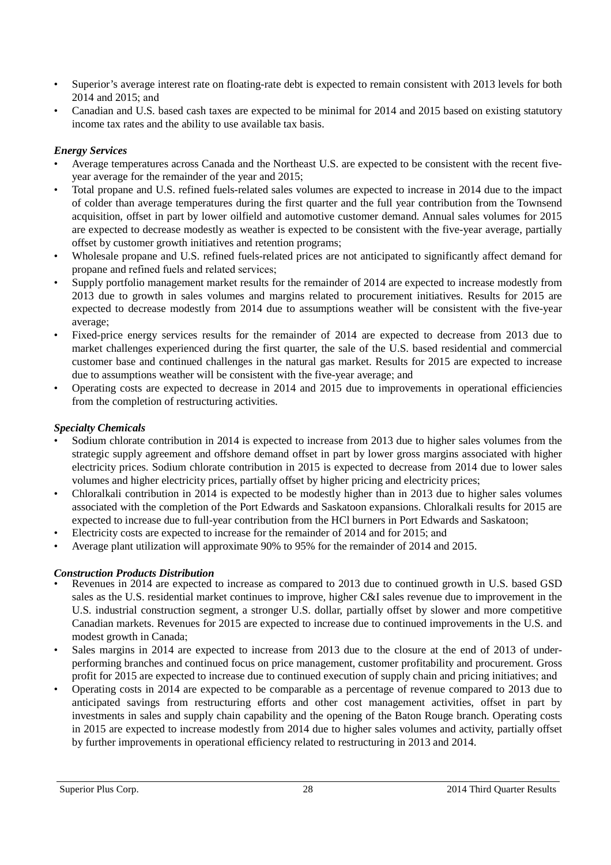- Superior's average interest rate on floating-rate debt is expected to remain consistent with 2013 levels for both 2014 and 2015; and
- Canadian and U.S. based cash taxes are expected to be minimal for 2014 and 2015 based on existing statutory income tax rates and the ability to use available tax basis.

# *Energy Services*

- Average temperatures across Canada and the Northeast U.S. are expected to be consistent with the recent fiveyear average for the remainder of the year and 2015;
- Total propane and U.S. refined fuels-related sales volumes are expected to increase in 2014 due to the impact of colder than average temperatures during the first quarter and the full year contribution from the Townsend acquisition, offset in part by lower oilfield and automotive customer demand. Annual sales volumes for 2015 are expected to decrease modestly as weather is expected to be consistent with the five-year average, partially offset by customer growth initiatives and retention programs;
- Wholesale propane and U.S. refined fuels-related prices are not anticipated to significantly affect demand for propane and refined fuels and related services;
- Supply portfolio management market results for the remainder of 2014 are expected to increase modestly from 2013 due to growth in sales volumes and margins related to procurement initiatives. Results for 2015 are expected to decrease modestly from 2014 due to assumptions weather will be consistent with the five-year average;
- Fixed-price energy services results for the remainder of 2014 are expected to decrease from 2013 due to market challenges experienced during the first quarter, the sale of the U.S. based residential and commercial customer base and continued challenges in the natural gas market. Results for 2015 are expected to increase due to assumptions weather will be consistent with the five-year average; and
- Operating costs are expected to decrease in 2014 and 2015 due to improvements in operational efficiencies from the completion of restructuring activities.

# *Specialty Chemicals*

- Sodium chlorate contribution in 2014 is expected to increase from 2013 due to higher sales volumes from the strategic supply agreement and offshore demand offset in part by lower gross margins associated with higher electricity prices. Sodium chlorate contribution in 2015 is expected to decrease from 2014 due to lower sales volumes and higher electricity prices, partially offset by higher pricing and electricity prices;
- Chloralkali contribution in 2014 is expected to be modestly higher than in 2013 due to higher sales volumes associated with the completion of the Port Edwards and Saskatoon expansions. Chloralkali results for 2015 are expected to increase due to full-year contribution from the HCl burners in Port Edwards and Saskatoon;
- Electricity costs are expected to increase for the remainder of 2014 and for 2015; and
- Average plant utilization will approximate 90% to 95% for the remainder of 2014 and 2015.

# *Construction Products Distribution*

- Revenues in 2014 are expected to increase as compared to 2013 due to continued growth in U.S. based GSD sales as the U.S. residential market continues to improve, higher C&I sales revenue due to improvement in the U.S. industrial construction segment, a stronger U.S. dollar, partially offset by slower and more competitive Canadian markets. Revenues for 2015 are expected to increase due to continued improvements in the U.S. and modest growth in Canada;
- Sales margins in 2014 are expected to increase from 2013 due to the closure at the end of 2013 of underperforming branches and continued focus on price management, customer profitability and procurement. Gross profit for 2015 are expected to increase due to continued execution of supply chain and pricing initiatives; and
- Operating costs in 2014 are expected to be comparable as a percentage of revenue compared to 2013 due to anticipated savings from restructuring efforts and other cost management activities, offset in part by investments in sales and supply chain capability and the opening of the Baton Rouge branch. Operating costs in 2015 are expected to increase modestly from 2014 due to higher sales volumes and activity, partially offset by further improvements in operational efficiency related to restructuring in 2013 and 2014.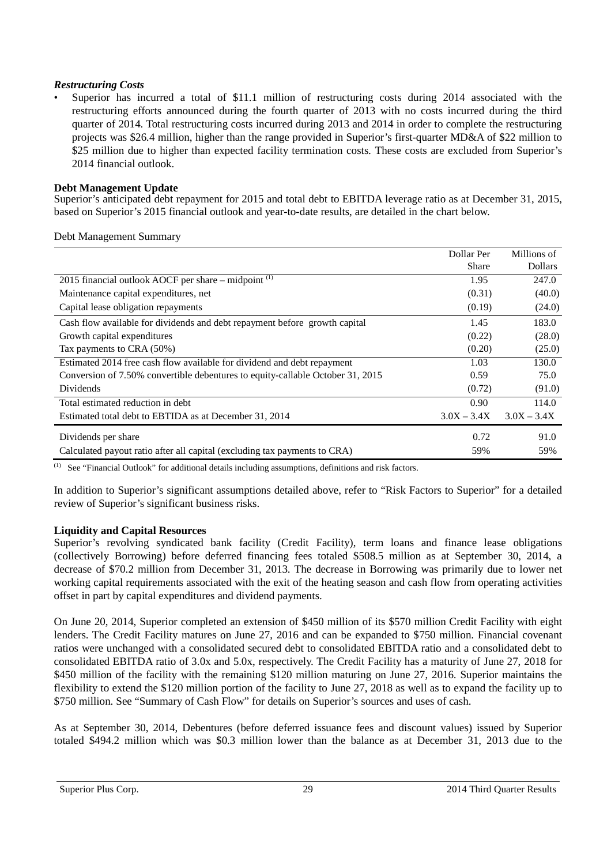## *Restructuring Costs*

• Superior has incurred a total of \$11.1 million of restructuring costs during 2014 associated with the restructuring efforts announced during the fourth quarter of 2013 with no costs incurred during the third quarter of 2014. Total restructuring costs incurred during 2013 and 2014 in order to complete the restructuring projects was \$26.4 million, higher than the range provided in Superior's first-quarter MD&A of \$22 million to \$25 million due to higher than expected facility termination costs. These costs are excluded from Superior's 2014 financial outlook.

# **Debt Management Update**

Superior's anticipated debt repayment for 2015 and total debt to EBITDA leverage ratio as at December 31, 2015, based on Superior's 2015 financial outlook and year-to-date results, are detailed in the chart below.

Debt Management Summary

|                                                                                | Dollar Per    | Millions of    |
|--------------------------------------------------------------------------------|---------------|----------------|
|                                                                                | <b>Share</b>  | <b>Dollars</b> |
| 2015 financial outlook AOCF per share – midpoint $(1)$                         | 1.95          | 247.0          |
| Maintenance capital expenditures, net                                          | (0.31)        | (40.0)         |
| Capital lease obligation repayments                                            | (0.19)        | (24.0)         |
| Cash flow available for dividends and debt repayment before growth capital     | 1.45          | 183.0          |
| Growth capital expenditures                                                    | (0.22)        | (28.0)         |
| Tax payments to CRA (50%)                                                      | (0.20)        | (25.0)         |
| Estimated 2014 free cash flow available for dividend and debt repayment        | 1.03          | 130.0          |
| Conversion of 7.50% convertible debentures to equity-callable October 31, 2015 | 0.59          | 75.0           |
| Dividends                                                                      | (0.72)        | (91.0)         |
| Total estimated reduction in debt                                              | 0.90          | 114.0          |
| Estimated total debt to EBTIDA as at December 31, 2014                         | $3.0X - 3.4X$ | $3.0X - 3.4X$  |
| Dividends per share                                                            | 0.72          | 91.0           |
| Calculated payout ratio after all capital (excluding tax payments to CRA)      | 59%           | 59%            |

(1) See "Financial Outlook" for additional details including assumptions, definitions and risk factors.

In addition to Superior's significant assumptions detailed above, refer to "Risk Factors to Superior" for a detailed review of Superior's significant business risks.

# **Liquidity and Capital Resources**

Superior's revolving syndicated bank facility (Credit Facility), term loans and finance lease obligations (collectively Borrowing) before deferred financing fees totaled \$508.5 million as at September 30, 2014, a decrease of \$70.2 million from December 31, 2013. The decrease in Borrowing was primarily due to lower net working capital requirements associated with the exit of the heating season and cash flow from operating activities offset in part by capital expenditures and dividend payments.

On June 20, 2014, Superior completed an extension of \$450 million of its \$570 million Credit Facility with eight lenders. The Credit Facility matures on June 27, 2016 and can be expanded to \$750 million. Financial covenant ratios were unchanged with a consolidated secured debt to consolidated EBITDA ratio and a consolidated debt to consolidated EBITDA ratio of 3.0x and 5.0x, respectively. The Credit Facility has a maturity of June 27, 2018 for \$450 million of the facility with the remaining \$120 million maturing on June 27, 2016. Superior maintains the flexibility to extend the \$120 million portion of the facility to June 27, 2018 as well as to expand the facility up to \$750 million. See "Summary of Cash Flow" for details on Superior's sources and uses of cash.

As at September 30, 2014, Debentures (before deferred issuance fees and discount values) issued by Superior totaled \$494.2 million which was \$0.3 million lower than the balance as at December 31, 2013 due to the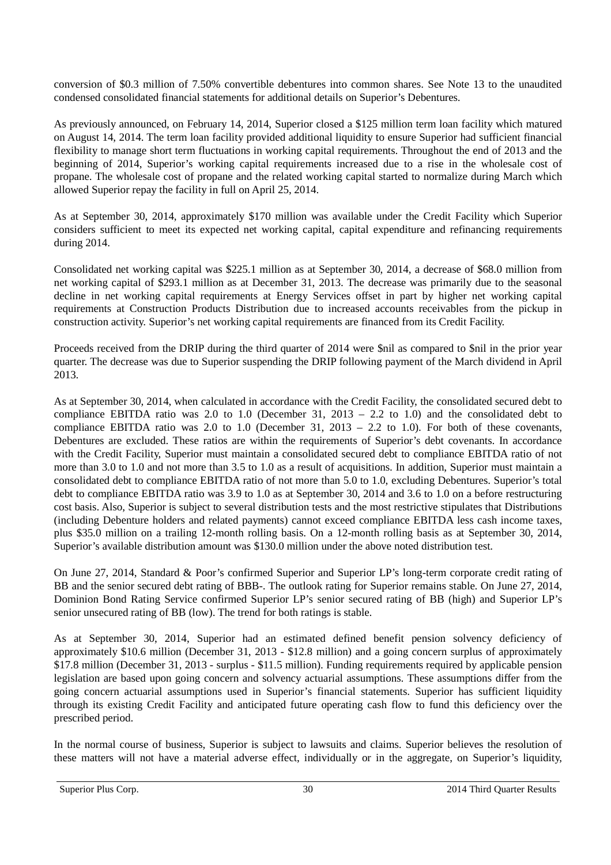conversion of \$0.3 million of 7.50% convertible debentures into common shares. See Note 13 to the unaudited condensed consolidated financial statements for additional details on Superior's Debentures.

As previously announced, on February 14, 2014, Superior closed a \$125 million term loan facility which matured on August 14, 2014. The term loan facility provided additional liquidity to ensure Superior had sufficient financial flexibility to manage short term fluctuations in working capital requirements. Throughout the end of 2013 and the beginning of 2014, Superior's working capital requirements increased due to a rise in the wholesale cost of propane. The wholesale cost of propane and the related working capital started to normalize during March which allowed Superior repay the facility in full on April 25, 2014.

As at September 30, 2014, approximately \$170 million was available under the Credit Facility which Superior considers sufficient to meet its expected net working capital, capital expenditure and refinancing requirements during 2014.

Consolidated net working capital was \$225.1 million as at September 30, 2014, a decrease of \$68.0 million from net working capital of \$293.1 million as at December 31, 2013. The decrease was primarily due to the seasonal decline in net working capital requirements at Energy Services offset in part by higher net working capital requirements at Construction Products Distribution due to increased accounts receivables from the pickup in construction activity. Superior's net working capital requirements are financed from its Credit Facility.

Proceeds received from the DRIP during the third quarter of 2014 were \$nil as compared to \$nil in the prior year quarter. The decrease was due to Superior suspending the DRIP following payment of the March dividend in April 2013.

As at September 30, 2014, when calculated in accordance with the Credit Facility, the consolidated secured debt to compliance EBITDA ratio was 2.0 to 1.0 (December 31,  $2013 - 2.2$  to 1.0) and the consolidated debt to compliance EBITDA ratio was 2.0 to 1.0 (December 31,  $2013 - 2.2$  to 1.0). For both of these covenants, Debentures are excluded. These ratios are within the requirements of Superior's debt covenants. In accordance with the Credit Facility, Superior must maintain a consolidated secured debt to compliance EBITDA ratio of not more than 3.0 to 1.0 and not more than 3.5 to 1.0 as a result of acquisitions. In addition, Superior must maintain a consolidated debt to compliance EBITDA ratio of not more than 5.0 to 1.0, excluding Debentures. Superior's total debt to compliance EBITDA ratio was 3.9 to 1.0 as at September 30, 2014 and 3.6 to 1.0 on a before restructuring cost basis. Also, Superior is subject to several distribution tests and the most restrictive stipulates that Distributions (including Debenture holders and related payments) cannot exceed compliance EBITDA less cash income taxes, plus \$35.0 million on a trailing 12-month rolling basis. On a 12-month rolling basis as at September 30, 2014, Superior's available distribution amount was \$130.0 million under the above noted distribution test.

On June 27, 2014, Standard & Poor's confirmed Superior and Superior LP's long-term corporate credit rating of BB and the senior secured debt rating of BBB-. The outlook rating for Superior remains stable. On June 27, 2014, Dominion Bond Rating Service confirmed Superior LP's senior secured rating of BB (high) and Superior LP's senior unsecured rating of BB (low). The trend for both ratings is stable.

As at September 30, 2014, Superior had an estimated defined benefit pension solvency deficiency of approximately \$10.6 million (December 31, 2013 - \$12.8 million) and a going concern surplus of approximately \$17.8 million (December 31, 2013 - surplus - \$11.5 million). Funding requirements required by applicable pension legislation are based upon going concern and solvency actuarial assumptions. These assumptions differ from the going concern actuarial assumptions used in Superior's financial statements. Superior has sufficient liquidity through its existing Credit Facility and anticipated future operating cash flow to fund this deficiency over the prescribed period.

In the normal course of business, Superior is subject to lawsuits and claims. Superior believes the resolution of these matters will not have a material adverse effect, individually or in the aggregate, on Superior's liquidity,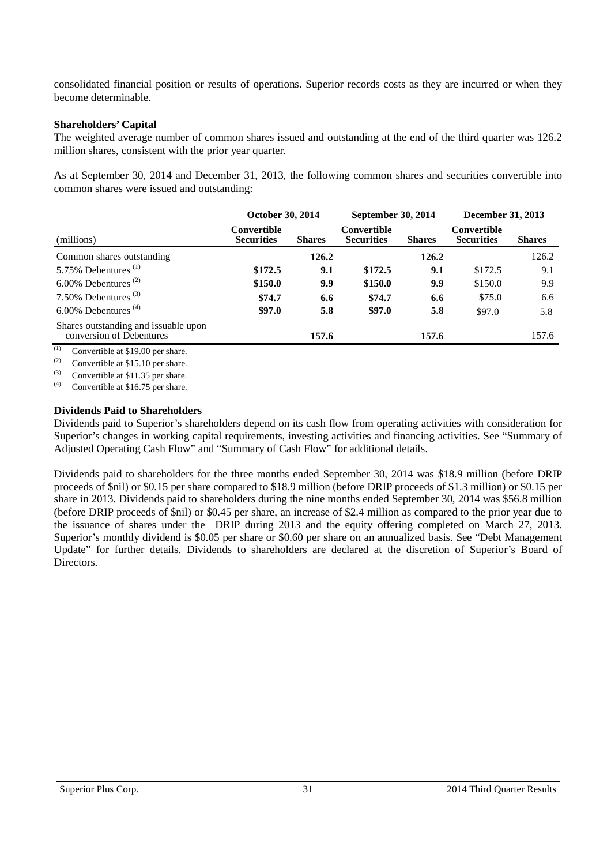consolidated financial position or results of operations. Superior records costs as they are incurred or when they become determinable.

#### **Shareholders' Capital**

The weighted average number of common shares issued and outstanding at the end of the third quarter was 126.2 million shares, consistent with the prior year quarter.

As at September 30, 2014 and December 31, 2013, the following common shares and securities convertible into common shares were issued and outstanding:

|                                                                  | <b>October 30, 2014</b>          |               | September 30, 2014               |               | December 31, 2013                |               |
|------------------------------------------------------------------|----------------------------------|---------------|----------------------------------|---------------|----------------------------------|---------------|
| (millions)                                                       | Convertible<br><b>Securities</b> | <b>Shares</b> | Convertible<br><b>Securities</b> | <b>Shares</b> | Convertible<br><b>Securities</b> | <b>Shares</b> |
| Common shares outstanding                                        |                                  | 126.2         |                                  | 126.2         |                                  | 126.2         |
| 5.75% Debentures <sup><math>(1)</math></sup>                     | \$172.5                          | 9.1           | \$172.5                          | 9.1           | \$172.5                          | 9.1           |
| 6.00% Debentures <sup><math>(2)</math></sup>                     | \$150.0                          | 9.9           | \$150.0                          | 9.9           | \$150.0                          | 9.9           |
| 7.50% Debentures $^{(3)}$                                        | \$74.7                           | 6.6           | \$74.7                           | 6.6           | \$75.0                           | 6.6           |
| 6.00% Debentures $(4)$                                           | \$97.0                           | 5.8           | \$97.0                           | 5.8           | \$97.0                           | 5.8           |
| Shares outstanding and issuable upon<br>conversion of Debentures |                                  | 157.6         |                                  | 157.6         |                                  | 157.6         |

 $(1)$  Convertible at \$19.00 per share.

(2) Convertible at  $$15.10$  per share.

(3) Convertible at \$11.35 per share.

 $(4)$  Convertible at \$16.75 per share.

### **Dividends Paid to Shareholders**

Dividends paid to Superior's shareholders depend on its cash flow from operating activities with consideration for Superior's changes in working capital requirements, investing activities and financing activities. See "Summary of Adjusted Operating Cash Flow" and "Summary of Cash Flow" for additional details.

Dividends paid to shareholders for the three months ended September 30, 2014 was \$18.9 million (before DRIP proceeds of \$nil) or \$0.15 per share compared to \$18.9 million (before DRIP proceeds of \$1.3 million) or \$0.15 per share in 2013. Dividends paid to shareholders during the nine months ended September 30, 2014 was \$56.8 million (before DRIP proceeds of \$nil) or \$0.45 per share, an increase of \$2.4 million as compared to the prior year due to the issuance of shares under the DRIP during 2013 and the equity offering completed on March 27, 2013. Superior's monthly dividend is \$0.05 per share or \$0.60 per share on an annualized basis. See "Debt Management Update" for further details. Dividends to shareholders are declared at the discretion of Superior's Board of Directors.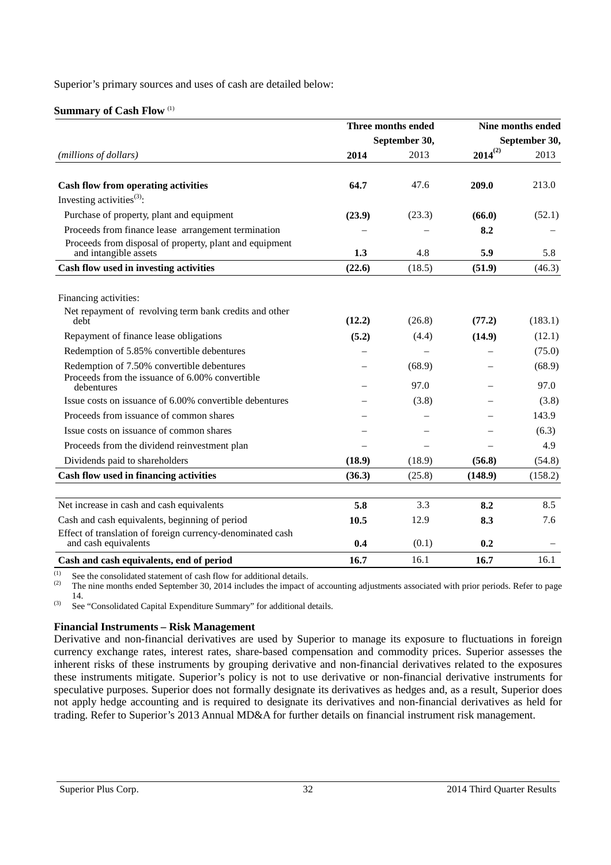Superior's primary sources and uses of cash are detailed below:

#### **Summary of Cash Flow**<sup>(1)</sup>

|                                                                                    | Three months ended |               | Nine months ended |               |  |
|------------------------------------------------------------------------------------|--------------------|---------------|-------------------|---------------|--|
|                                                                                    |                    | September 30, |                   | September 30, |  |
| (millions of dollars)                                                              | 2014               | 2013          | $2014^{(2)}$      | 2013          |  |
|                                                                                    |                    |               |                   |               |  |
| <b>Cash flow from operating activities</b>                                         | 64.7               | 47.6          | 209.0             | 213.0         |  |
| Investing activities <sup>(3)</sup> :                                              |                    |               |                   |               |  |
| Purchase of property, plant and equipment                                          | (23.9)             | (23.3)        | (66.0)            | (52.1)        |  |
| Proceeds from finance lease arrangement termination                                |                    |               | 8.2               |               |  |
| Proceeds from disposal of property, plant and equipment<br>and intangible assets   | 1.3                | 4.8           | 5.9               | 5.8           |  |
| Cash flow used in investing activities                                             | (22.6)             | (18.5)        | (51.9)            | (46.3)        |  |
|                                                                                    |                    |               |                   |               |  |
| Financing activities:                                                              |                    |               |                   |               |  |
| Net repayment of revolving term bank credits and other<br>debt                     | (12.2)             | (26.8)        | (77.2)            | (183.1)       |  |
| Repayment of finance lease obligations                                             | (5.2)              | (4.4)         | (14.9)            | (12.1)        |  |
| Redemption of 5.85% convertible debentures                                         |                    |               |                   | (75.0)        |  |
| Redemption of 7.50% convertible debentures                                         |                    | (68.9)        |                   | (68.9)        |  |
| Proceeds from the issuance of 6.00% convertible<br>debentures                      |                    | 97.0          |                   | 97.0          |  |
| Issue costs on issuance of 6.00% convertible debentures                            |                    | (3.8)         |                   | (3.8)         |  |
| Proceeds from issuance of common shares                                            |                    |               |                   | 143.9         |  |
| Issue costs on issuance of common shares                                           |                    |               |                   | (6.3)         |  |
| Proceeds from the dividend reinvestment plan                                       |                    |               |                   | 4.9           |  |
| Dividends paid to shareholders                                                     | (18.9)             | (18.9)        | (56.8)            | (54.8)        |  |
| Cash flow used in financing activities                                             | (36.3)             | (25.8)        | (148.9)           | (158.2)       |  |
|                                                                                    |                    |               |                   |               |  |
| Net increase in cash and cash equivalents                                          | 5.8                | 3.3           | 8.2               | 8.5           |  |
| Cash and cash equivalents, beginning of period                                     | 10.5               | 12.9          | 8.3               | 7.6           |  |
| Effect of translation of foreign currency-denominated cash<br>and cash equivalents | 0.4                | (0.1)         | 0.2               |               |  |
| Cash and cash equivalents, end of period                                           | 16.7               | 16.1          | 16.7              | 16.1          |  |

(1) See the consolidated statement of cash flow for additional details.<br>(2) The pipe graphs and details and  $\frac{20}{20}$  and includes the investor

The nine months ended September 30, 2014 includes the impact of accounting adjustments associated with prior periods. Refer to page 14.

(3) See "Consolidated Capital Expenditure Summary" for additional details.

#### **Financial Instruments – Risk Management**

Derivative and non-financial derivatives are used by Superior to manage its exposure to fluctuations in foreign currency exchange rates, interest rates, share-based compensation and commodity prices. Superior assesses the inherent risks of these instruments by grouping derivative and non-financial derivatives related to the exposures these instruments mitigate. Superior's policy is not to use derivative or non-financial derivative instruments for speculative purposes. Superior does not formally designate its derivatives as hedges and, as a result, Superior does not apply hedge accounting and is required to designate its derivatives and non-financial derivatives as held for trading. Refer to Superior's 2013 Annual MD&A for further details on financial instrument risk management.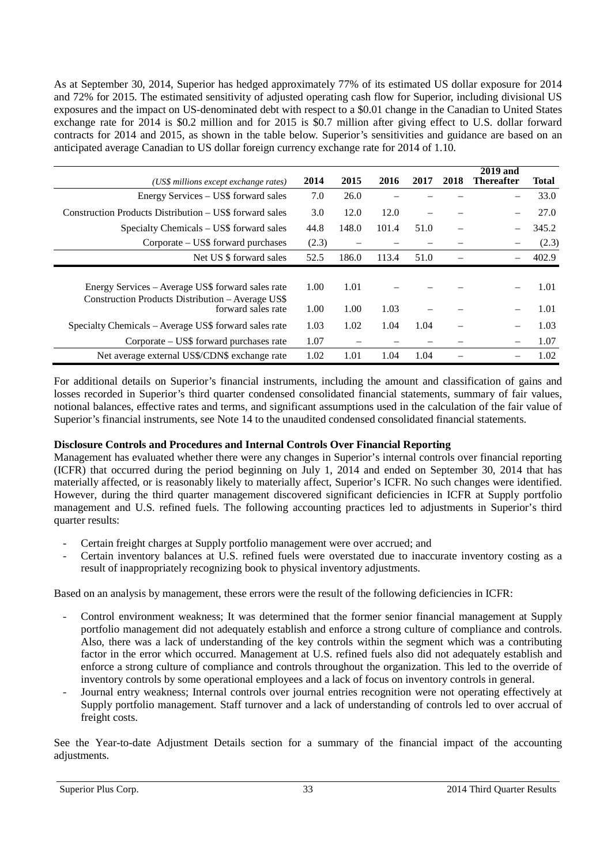As at September 30, 2014, Superior has hedged approximately 77% of its estimated US dollar exposure for 2014 and 72% for 2015. The estimated sensitivity of adjusted operating cash flow for Superior, including divisional US exposures and the impact on US-denominated debt with respect to a \$0.01 change in the Canadian to United States exchange rate for 2014 is \$0.2 million and for 2015 is \$0.7 million after giving effect to U.S. dollar forward contracts for 2014 and 2015, as shown in the table below. Superior's sensitivities and guidance are based on an anticipated average Canadian to US dollar foreign currency exchange rate for 2014 of 1.10.

| (US\$ millions except exchange rates)                                   | 2014  | 2015  | 2016  | 2017 | 2018 | <b>2019</b> and<br><b>Thereafter</b> | <b>Total</b> |
|-------------------------------------------------------------------------|-------|-------|-------|------|------|--------------------------------------|--------------|
| Energy Services – US\$ forward sales                                    | 7.0   | 26.0  |       |      |      | $\overline{\phantom{0}}$             | 33.0         |
| Construction Products Distribution – US\$ forward sales                 | 3.0   | 12.0  | 12.0  |      |      | $\overline{\phantom{0}}$             | 27.0         |
| Specialty Chemicals – US\$ forward sales                                | 44.8  | 148.0 | 101.4 | 51.0 |      |                                      | 345.2        |
| Corporate – US\$ forward purchases                                      | (2.3) |       |       |      |      |                                      | (2.3)        |
| Net US \$ forward sales                                                 | 52.5  | 186.0 | 113.4 | 51.0 |      |                                      | 402.9        |
|                                                                         |       |       |       |      |      |                                      |              |
| Energy Services – Average US\$ forward sales rate                       | 1.00  | 1.01  |       |      |      |                                      | 1.01         |
| Construction Products Distribution – Average US\$<br>forward sales rate | 1.00  | 1.00  | 1.03  |      |      |                                      | 1.01         |
| Specialty Chemicals – Average US\$ forward sales rate                   | 1.03  | 1.02  | 1.04  | 1.04 |      |                                      | 1.03         |
| Corporate – US\$ forward purchases rate                                 | 1.07  |       |       |      |      | $\overline{\phantom{0}}$             | 1.07         |
| Net average external US\$/CDN\$ exchange rate                           | 1.02  | 1.01  | 1.04  | 1.04 |      |                                      | 1.02         |

For additional details on Superior's financial instruments, including the amount and classification of gains and losses recorded in Superior's third quarter condensed consolidated financial statements, summary of fair values, notional balances, effective rates and terms, and significant assumptions used in the calculation of the fair value of Superior's financial instruments, see Note 14 to the unaudited condensed consolidated financial statements.

### **Disclosure Controls and Procedures and Internal Controls Over Financial Reporting**

Management has evaluated whether there were any changes in Superior's internal controls over financial reporting (ICFR) that occurred during the period beginning on July 1, 2014 and ended on September 30, 2014 that has materially affected, or is reasonably likely to materially affect, Superior's ICFR. No such changes were identified. However, during the third quarter management discovered significant deficiencies in ICFR at Supply portfolio management and U.S. refined fuels. The following accounting practices led to adjustments in Superior's third quarter results:

- Certain freight charges at Supply portfolio management were over accrued; and
- Certain inventory balances at U.S. refined fuels were overstated due to inaccurate inventory costing as a result of inappropriately recognizing book to physical inventory adjustments.

Based on an analysis by management, these errors were the result of the following deficiencies in ICFR:

- Control environment weakness; It was determined that the former senior financial management at Supply portfolio management did not adequately establish and enforce a strong culture of compliance and controls. Also, there was a lack of understanding of the key controls within the segment which was a contributing factor in the error which occurred. Management at U.S. refined fuels also did not adequately establish and enforce a strong culture of compliance and controls throughout the organization. This led to the override of inventory controls by some operational employees and a lack of focus on inventory controls in general.
- Journal entry weakness; Internal controls over journal entries recognition were not operating effectively at Supply portfolio management. Staff turnover and a lack of understanding of controls led to over accrual of freight costs.

See the Year-to-date Adjustment Details section for a summary of the financial impact of the accounting adjustments.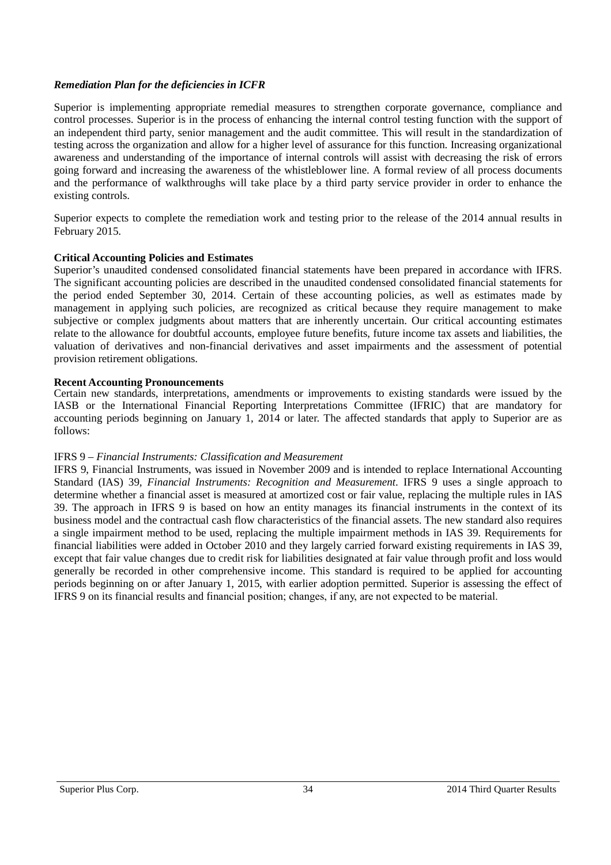#### *Remediation Plan for the deficiencies in ICFR*

Superior is implementing appropriate remedial measures to strengthen corporate governance, compliance and control processes. Superior is in the process of enhancing the internal control testing function with the support of an independent third party, senior management and the audit committee. This will result in the standardization of testing across the organization and allow for a higher level of assurance for this function. Increasing organizational awareness and understanding of the importance of internal controls will assist with decreasing the risk of errors going forward and increasing the awareness of the whistleblower line. A formal review of all process documents and the performance of walkthroughs will take place by a third party service provider in order to enhance the existing controls.

Superior expects to complete the remediation work and testing prior to the release of the 2014 annual results in February 2015.

#### **Critical Accounting Policies and Estimates**

Superior's unaudited condensed consolidated financial statements have been prepared in accordance with IFRS. The significant accounting policies are described in the unaudited condensed consolidated financial statements for the period ended September 30, 2014. Certain of these accounting policies, as well as estimates made by management in applying such policies, are recognized as critical because they require management to make subjective or complex judgments about matters that are inherently uncertain. Our critical accounting estimates relate to the allowance for doubtful accounts, employee future benefits, future income tax assets and liabilities, the valuation of derivatives and non-financial derivatives and asset impairments and the assessment of potential provision retirement obligations.

#### **Recent Accounting Pronouncements**

Certain new standards, interpretations, amendments or improvements to existing standards were issued by the IASB or the International Financial Reporting Interpretations Committee (IFRIC) that are mandatory for accounting periods beginning on January 1, 2014 or later. The affected standards that apply to Superior are as follows:

#### IFRS 9 – *Financial Instruments: Classification and Measurement*

IFRS 9, Financial Instruments, was issued in November 2009 and is intended to replace International Accounting Standard (IAS) 39*, Financial Instruments: Recognition and Measurement*. IFRS 9 uses a single approach to determine whether a financial asset is measured at amortized cost or fair value, replacing the multiple rules in IAS 39. The approach in IFRS 9 is based on how an entity manages its financial instruments in the context of its business model and the contractual cash flow characteristics of the financial assets. The new standard also requires a single impairment method to be used, replacing the multiple impairment methods in IAS 39. Requirements for financial liabilities were added in October 2010 and they largely carried forward existing requirements in IAS 39, except that fair value changes due to credit risk for liabilities designated at fair value through profit and loss would generally be recorded in other comprehensive income. This standard is required to be applied for accounting periods beginning on or after January 1, 2015, with earlier adoption permitted. Superior is assessing the effect of IFRS 9 on its financial results and financial position; changes, if any, are not expected to be material.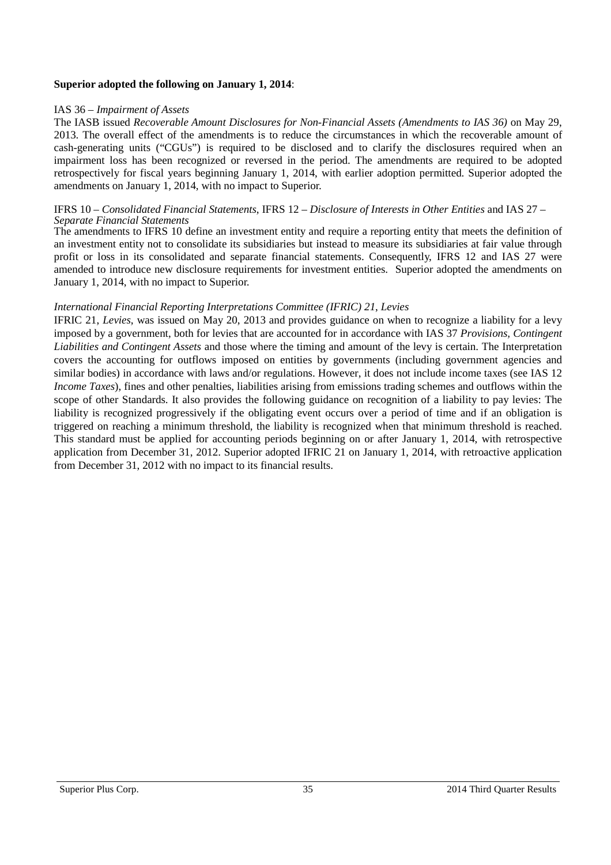#### **Superior adopted the following on January 1, 2014**:

#### IAS 36 *– Impairment of Assets*

The IASB issued *Recoverable Amount Disclosures for Non-Financial Assets (Amendments to IAS 36)* on May 29, 2013. The overall effect of the amendments is to reduce the circumstances in which the recoverable amount of cash-generating units ("CGUs") is required to be disclosed and to clarify the disclosures required when an impairment loss has been recognized or reversed in the period. The amendments are required to be adopted retrospectively for fiscal years beginning January 1, 2014, with earlier adoption permitted. Superior adopted the amendments on January 1, 2014, with no impact to Superior.

#### IFRS 10 – *Consolidated Financial Statements*, IFRS 12 – *Disclosure of Interests in Other Entities* and IAS 27 – *Separate Financial Statements*

The amendments to IFRS 10 define an investment entity and require a reporting entity that meets the definition of an investment entity not to consolidate its subsidiaries but instead to measure its subsidiaries at fair value through profit or loss in its consolidated and separate financial statements. Consequently, IFRS 12 and IAS 27 were amended to introduce new disclosure requirements for investment entities. Superior adopted the amendments on January 1, 2014, with no impact to Superior.

#### *International Financial Reporting Interpretations Committee (IFRIC) 21*, *Levies*

IFRIC 21, *Levies*, was issued on May 20, 2013 and provides guidance on when to recognize a liability for a levy imposed by a government, both for levies that are accounted for in accordance with IAS 37 *Provisions, Contingent Liabilities and Contingent Assets* and those where the timing and amount of the levy is certain. The Interpretation covers the accounting for outflows imposed on entities by governments (including government agencies and similar bodies) in accordance with laws and/or regulations. However, it does not include income taxes (see IAS 12 *Income Taxes*), fines and other penalties, liabilities arising from emissions trading schemes and outflows within the scope of other Standards. It also provides the following guidance on recognition of a liability to pay levies: The liability is recognized progressively if the obligating event occurs over a period of time and if an obligation is triggered on reaching a minimum threshold, the liability is recognized when that minimum threshold is reached. This standard must be applied for accounting periods beginning on or after January 1, 2014, with retrospective application from December 31, 2012. Superior adopted IFRIC 21 on January 1, 2014, with retroactive application from December 31, 2012 with no impact to its financial results.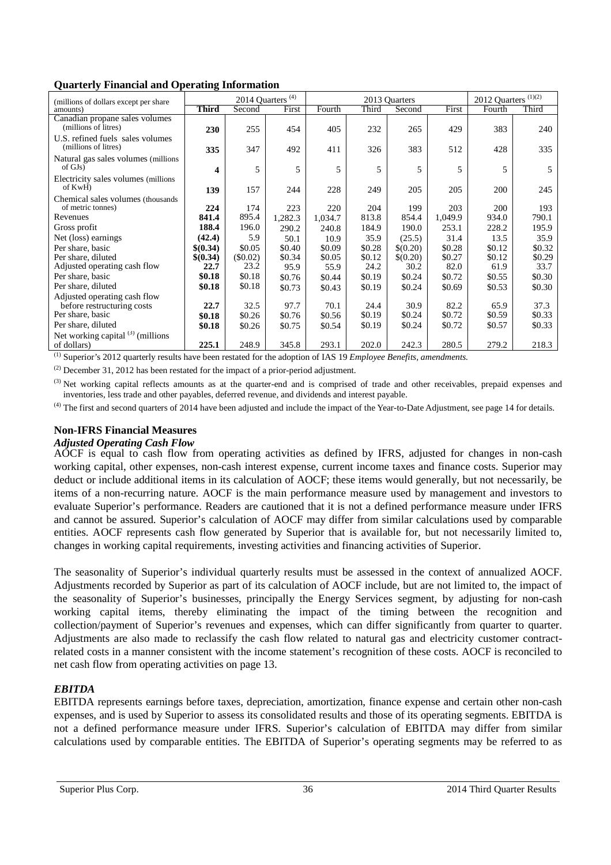|  | <b>Quarterly Financial and Operating Information</b> |  |
|--|------------------------------------------------------|--|
|  |                                                      |  |

| (millions of dollars except per share)                   | $2014$ Quarters <sup>(4)</sup> |            |         | 2013 Quarters |        |          |         | 2012 Quarters <sup>(1)(2)</sup> |        |
|----------------------------------------------------------|--------------------------------|------------|---------|---------------|--------|----------|---------|---------------------------------|--------|
| amounts)                                                 | <b>Third</b>                   | Second     | First   | Fourth        | Third  | Second   | First   | Fourth                          | Third  |
| Canadian propane sales volumes<br>(millions of litres)   | 230                            | 255        | 454     | 405           | 232    | 265      | 429     | 383                             | 240    |
| U.S. refined fuels sales volumes<br>(millions of litres) | 335                            | 347        | 492     | 411           | 326    | 383      | 512     | 428                             | 335    |
| Natural gas sales volumes (millions)<br>of GJs)          | 4                              | 5          | 5       | 5             | 5      | 5        | 5       | $\overline{5}$                  | 5      |
| Electricity sales volumes (millions<br>of KwH            | 139                            | 157        | 244     | 228           | 249    | 205      | 205     | 200                             | 245    |
| Chemical sales volumes (thousands<br>of metric tonnes)   | 224                            | 174        | 223     | 220           | 204    | 199      | 203     | 200                             | 193    |
| Revenues                                                 | 841.4                          | 895.4      | 1,282.3 | 1,034.7       | 813.8  | 854.4    | 1,049.9 | 934.0                           | 790.1  |
| Gross profit                                             | 188.4                          | 196.0      | 290.2   | 240.8         | 184.9  | 190.0    | 253.1   | 228.2                           | 195.9  |
| Net (loss) earnings                                      | (42.4)                         | 5.9        | 50.1    | 10.9          | 35.9   | (25.5)   | 31.4    | 13.5                            | 35.9   |
| Per share, basic                                         | \$(0.34)                       | \$0.05     | \$0.40  | \$0.09        | \$0.28 | \$(0.20) | \$0.28  | \$0.12                          | \$0.32 |
| Per share, diluted                                       | \$(0.34)                       | $(\$0.02)$ | \$0.34  | \$0.05        | \$0.12 | \$(0.20) | \$0.27  | \$0.12                          | \$0.29 |
| Adjusted operating cash flow                             | 22.7                           | 23.2       | 95.9    | 55.9          | 24.2   | 30.2     | 82.0    | 61.9                            | 33.7   |
| Per share, basic                                         | \$0.18                         | \$0.18     | \$0.76  | \$0.44        | \$0.19 | \$0.24   | \$0.72  | \$0.55                          | \$0.30 |
| Per share, diluted                                       | \$0.18                         | \$0.18     | \$0.73  | \$0.43        | \$0.19 | \$0.24   | \$0.69  | \$0.53                          | \$0.30 |
| Adjusted operating cash flow                             |                                |            |         |               |        |          |         |                                 |        |
| before restructuring costs                               | 22.7                           | 32.5       | 97.7    | 70.1          | 24.4   | 30.9     | 82.2    | 65.9                            | 37.3   |
| Per share, basic                                         | \$0.18                         | \$0.26     | \$0.76  | \$0.56        | \$0.19 | \$0.24   | \$0.72  | \$0.59                          | \$0.33 |
| Per share, diluted                                       | \$0.18                         | \$0.26     | \$0.75  | \$0.54        | \$0.19 | \$0.24   | \$0.72  | \$0.57                          | \$0.33 |
| Net working capital $(3)$ (millions                      |                                |            |         |               |        |          |         |                                 |        |
| of dollars)                                              | 225.1                          | 248.9      | 345.8   | 293.1         | 202.0  | 242.3    | 280.5   | 279.2                           | 218.3  |

(1) Superior's 2012 quarterly results have been restated for the adoption of IAS 19 *Employee Benefits, amendments.*

(2) December 31, 2012 has been restated for the impact of a prior-period adjustment.

 $<sup>(3)</sup>$  Net working capital reflects amounts as at the quarter-end and is comprised of trade and other receivables, prepaid expenses and</sup> inventories, less trade and other payables, deferred revenue, and dividends and interest payable.

 $^{(4)}$  The first and second quarters of 2014 have been adjusted and include the impact of the Year-to-Date Adjustment, see page 14 for details.

# **Non-IFRS Financial Measures**

### *Adjusted Operating Cash Flow*

AOCF is equal to cash flow from operating activities as defined by IFRS, adjusted for changes in non-cash working capital, other expenses, non-cash interest expense, current income taxes and finance costs. Superior may deduct or include additional items in its calculation of AOCF; these items would generally, but not necessarily, be items of a non-recurring nature. AOCF is the main performance measure used by management and investors to evaluate Superior's performance. Readers are cautioned that it is not a defined performance measure under IFRS and cannot be assured. Superior's calculation of AOCF may differ from similar calculations used by comparable entities. AOCF represents cash flow generated by Superior that is available for, but not necessarily limited to, changes in working capital requirements, investing activities and financing activities of Superior.

The seasonality of Superior's individual quarterly results must be assessed in the context of annualized AOCF. Adjustments recorded by Superior as part of its calculation of AOCF include, but are not limited to, the impact of the seasonality of Superior's businesses, principally the Energy Services segment, by adjusting for non-cash working capital items, thereby eliminating the impact of the timing between the recognition and collection/payment of Superior's revenues and expenses, which can differ significantly from quarter to quarter. Adjustments are also made to reclassify the cash flow related to natural gas and electricity customer contractrelated costs in a manner consistent with the income statement's recognition of these costs. AOCF is reconciled to net cash flow from operating activities on page 13.

# *EBITDA*

EBITDA represents earnings before taxes, depreciation, amortization, finance expense and certain other non-cash expenses, and is used by Superior to assess its consolidated results and those of its operating segments. EBITDA is not a defined performance measure under IFRS. Superior's calculation of EBITDA may differ from similar calculations used by comparable entities. The EBITDA of Superior's operating segments may be referred to as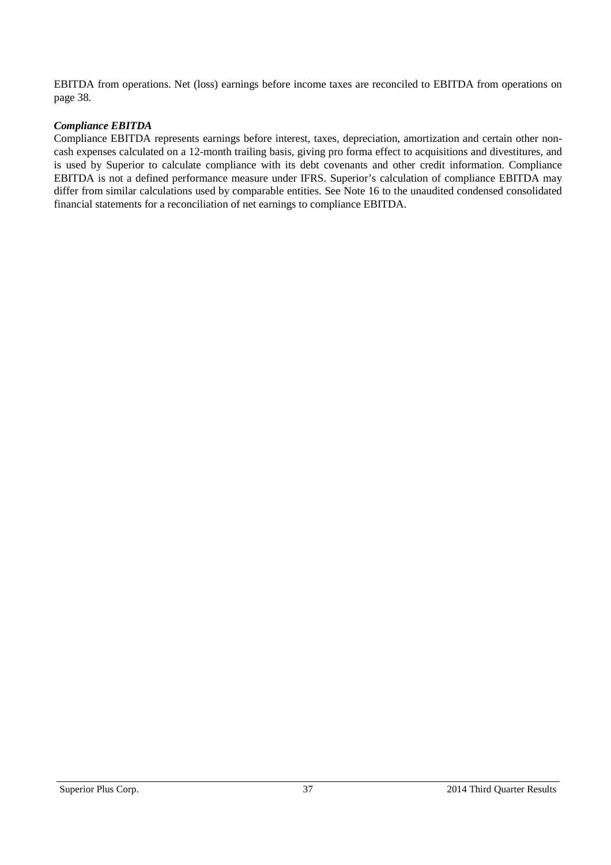EBITDA from operations. Net (loss) earnings before income taxes are reconciled to EBITDA from operations on page 38.

# *Compliance EBITDA*

Compliance EBITDA represents earnings before interest, taxes, depreciation, amortization and certain other noncash expenses calculated on a 12-month trailing basis, giving pro forma effect to acquisitions and divestitures, and is used by Superior to calculate compliance with its debt covenants and other credit information. Compliance EBITDA is not a defined performance measure under IFRS. Superior's calculation of compliance EBITDA may differ from similar calculations used by comparable entities. See Note 16 to the unaudited condensed consolidated financial statements for a reconciliation of net earnings to compliance EBITDA.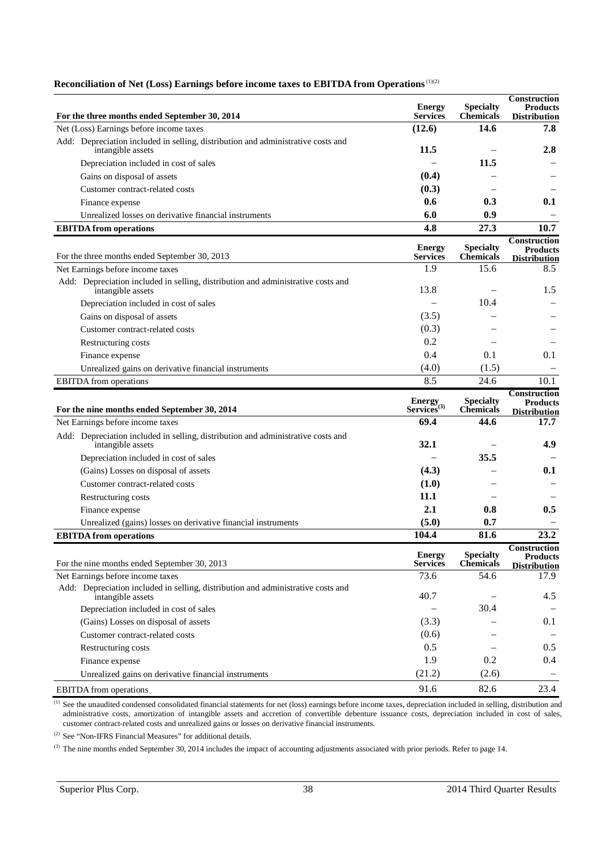|  | Reconciliation of Net (Loss) Earnings before income taxes to EBITDA from Operations <sup>(1)(2)</sup> |  |
|--|-------------------------------------------------------------------------------------------------------|--|
|--|-------------------------------------------------------------------------------------------------------|--|

|                                                                                                       |                                   |                                      | <b>Construction</b>                                    |
|-------------------------------------------------------------------------------------------------------|-----------------------------------|--------------------------------------|--------------------------------------------------------|
| For the three months ended September 30, 2014                                                         | <b>Energy</b><br><b>Services</b>  | <b>Specialty</b><br><b>Chemicals</b> | <b>Products</b><br><b>Distribution</b>                 |
| Net (Loss) Earnings before income taxes                                                               | (12.6)                            | 14.6                                 | 7.8                                                    |
| Add: Depreciation included in selling, distribution and administrative costs and                      |                                   |                                      |                                                        |
| intangible assets                                                                                     | 11.5                              |                                      | 2.8                                                    |
| Depreciation included in cost of sales                                                                |                                   | 11.5                                 |                                                        |
| Gains on disposal of assets                                                                           | (0.4)                             |                                      |                                                        |
| Customer contract-related costs                                                                       | (0.3)                             |                                      |                                                        |
| Finance expense                                                                                       | 0.6                               | 0.3                                  | 0.1                                                    |
| Unrealized losses on derivative financial instruments                                                 | 6.0                               | 0.9                                  |                                                        |
| <b>EBITDA</b> from operations                                                                         | 4.8                               | 27.3                                 | 10.7                                                   |
| For the three months ended September 30, 2013                                                         | <b>Energy</b><br><b>Services</b>  | <b>Specialty</b><br><b>Chemicals</b> | Construction<br><b>Products</b><br><b>Distribution</b> |
| Net Earnings before income taxes                                                                      | 1.9                               | 15.6                                 | 8.5                                                    |
| Add: Depreciation included in selling, distribution and administrative costs and<br>intangible assets | 13.8                              |                                      | 1.5                                                    |
| Depreciation included in cost of sales                                                                |                                   | 10.4                                 |                                                        |
| Gains on disposal of assets                                                                           | (3.5)                             |                                      |                                                        |
| Customer contract-related costs                                                                       | (0.3)                             |                                      |                                                        |
| Restructuring costs                                                                                   | 0.2                               |                                      |                                                        |
| Finance expense                                                                                       | 0.4                               | 0.1                                  | 0.1                                                    |
| Unrealized gains on derivative financial instruments                                                  | (4.0)                             | (1.5)                                |                                                        |
| <b>EBITDA</b> from operations                                                                         | 8.5                               | 24.6                                 | 10.1                                                   |
|                                                                                                       |                                   |                                      |                                                        |
|                                                                                                       |                                   |                                      | <b>Construction</b>                                    |
| For the nine months ended September 30, 2014                                                          | Energy<br>Services <sup>(3)</sup> | <b>Specialty</b><br><b>Chemicals</b> | <b>Products</b><br><b>Distribution</b>                 |
| Net Earnings before income taxes                                                                      | 69.4                              | 44.6                                 | 17.7                                                   |
| Add: Depreciation included in selling, distribution and administrative costs and<br>intangible assets | 32.1                              |                                      | 4.9                                                    |
| Depreciation included in cost of sales                                                                |                                   | 35.5                                 |                                                        |
| (Gains) Losses on disposal of assets                                                                  | (4.3)                             |                                      | 0.1                                                    |
| Customer contract-related costs                                                                       | (1.0)                             |                                      |                                                        |
| Restructuring costs                                                                                   | 11.1                              |                                      |                                                        |
| Finance expense                                                                                       | 2.1                               | 0.8                                  | 0.5                                                    |
| Unrealized (gains) losses on derivative financial instruments                                         | (5.0)                             | 0.7                                  |                                                        |
| <b>EBITDA</b> from operations                                                                         | 104.4                             | 81.6                                 | 23.2                                                   |
|                                                                                                       | <b>Energy</b><br><b>Services</b>  | <b>Specialty</b><br><b>Chemicals</b> | <b>Construction</b><br><b>Products</b>                 |
| For the nine months ended September 30, 2013<br>Net Earnings before income taxes                      | 73.6                              | 54.6                                 | <b>Distribution</b><br>17.9                            |
| Add: Depreciation included in selling, distribution and administrative costs and<br>intangible assets | 40.7                              |                                      | 4.5                                                    |
| Depreciation included in cost of sales                                                                |                                   | 30.4                                 |                                                        |
| (Gains) Losses on disposal of assets                                                                  | (3.3)                             |                                      | 0.1                                                    |
| Customer contract-related costs                                                                       | (0.6)                             |                                      |                                                        |
| Restructuring costs                                                                                   | 0.5                               |                                      | 0.5                                                    |
| Finance expense                                                                                       | 1.9                               | 0.2                                  | $0.4\,$                                                |
| Unrealized gains on derivative financial instruments                                                  | (21.2)                            | (2.6)                                |                                                        |

 $(1)$  See the unaudited condensed consolidated financial statements for net (loss) earnings before income taxes, depreciation included in selling, distribution and administrative costs, amortization of intangible assets and accretion of convertible debenture issuance costs, depreciation included in cost of sales, customer contract-related costs and unrealized gains or losses on derivative financial instruments.

(2) See "Non-IFRS Financial Measures" for additional details.

<sup>(3)</sup> The nine months ended September 30, 2014 includes the impact of accounting adjustments associated with prior periods. Refer to page 14.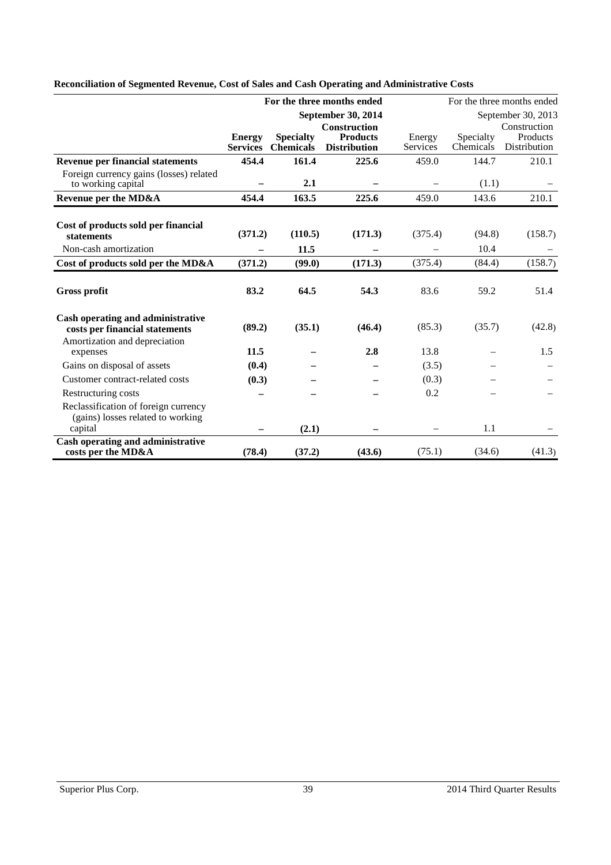|  |  | Reconciliation of Segmented Revenue, Cost of Sales and Cash Operating and Administrative Costs |
|--|--|------------------------------------------------------------------------------------------------|
|--|--|------------------------------------------------------------------------------------------------|

|                                                                                                      |                                  |                                      | For the three months ended                                    |                    |                        | For the three months ended               |
|------------------------------------------------------------------------------------------------------|----------------------------------|--------------------------------------|---------------------------------------------------------------|--------------------|------------------------|------------------------------------------|
|                                                                                                      |                                  |                                      | September 30, 2014                                            |                    |                        | September 30, 2013                       |
|                                                                                                      | <b>Energy</b><br><b>Services</b> | <b>Specialty</b><br><b>Chemicals</b> | <b>Construction</b><br><b>Products</b><br><b>Distribution</b> | Energy<br>Services | Specialty<br>Chemicals | Construction<br>Products<br>Distribution |
| <b>Revenue per financial statements</b>                                                              | 454.4                            | 161.4                                | 225.6                                                         | 459.0              | 144.7                  | 210.1                                    |
| Foreign currency gains (losses) related<br>to working capital                                        |                                  | 2.1                                  |                                                               |                    | (1.1)                  |                                          |
| Revenue per the MD&A                                                                                 | 454.4                            | 163.5                                | 225.6                                                         | 459.0              | 143.6                  | 210.1                                    |
| Cost of products sold per financial<br>statements                                                    | (371.2)                          | (110.5)                              | (171.3)                                                       | (375.4)            | (94.8)                 | (158.7)                                  |
| Non-cash amortization                                                                                |                                  | 11.5                                 |                                                               |                    | 10.4                   |                                          |
| Cost of products sold per the MD&A                                                                   | (371.2)                          | (99.0)                               | (171.3)                                                       | (375.4)            | (84.4)                 | (158.7)                                  |
| <b>Gross profit</b>                                                                                  | 83.2                             | 64.5                                 | 54.3                                                          | 83.6               | 59.2                   | 51.4                                     |
| Cash operating and administrative<br>costs per financial statements<br>Amortization and depreciation | (89.2)                           | (35.1)                               | (46.4)                                                        | (85.3)             | (35.7)                 | (42.8)                                   |
| expenses                                                                                             | 11.5                             |                                      | 2.8                                                           | 13.8               |                        | 1.5                                      |
| Gains on disposal of assets                                                                          | (0.4)                            |                                      |                                                               | (3.5)              |                        |                                          |
| Customer contract-related costs                                                                      | (0.3)                            |                                      |                                                               | (0.3)              |                        |                                          |
| Restructuring costs                                                                                  |                                  |                                      |                                                               | 0.2                |                        |                                          |
| Reclassification of foreign currency<br>(gains) losses related to working<br>capital                 |                                  | (2.1)                                |                                                               |                    | 1.1                    |                                          |
| Cash operating and administrative<br>costs per the MD&A                                              | (78.4)                           | (37.2)                               | (43.6)                                                        | (75.1)             | (34.6)                 | (41.3)                                   |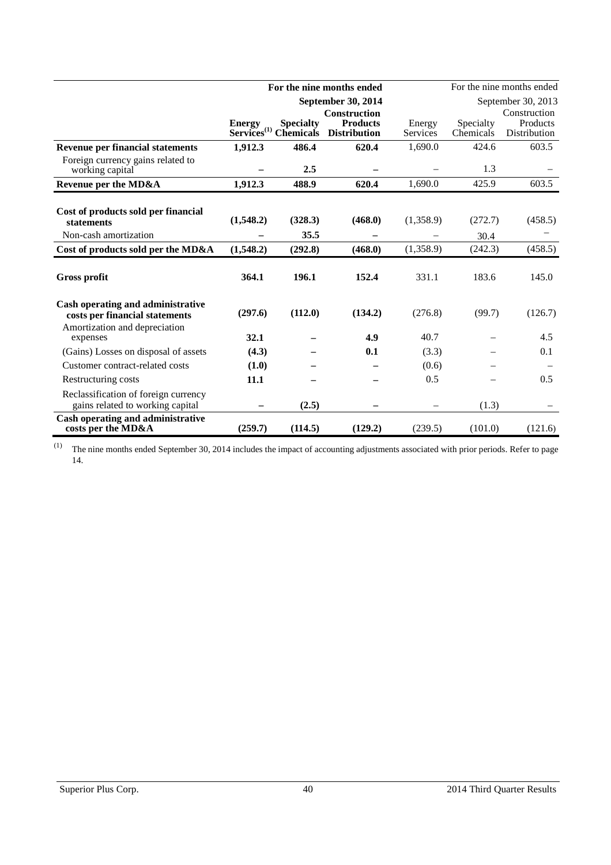|                                                                                                                  |                          |                                                       | For the nine months ended                                     |                           |                        | For the nine months ended                |
|------------------------------------------------------------------------------------------------------------------|--------------------------|-------------------------------------------------------|---------------------------------------------------------------|---------------------------|------------------------|------------------------------------------|
|                                                                                                                  |                          |                                                       | September 30, 2014                                            |                           |                        | September 30, 2013                       |
|                                                                                                                  | <b>Energy</b>            | <b>Specialty</b><br>Services <sup>(1)</sup> Chemicals | <b>Construction</b><br><b>Products</b><br><b>Distribution</b> | Energy<br><b>Services</b> | Specialty<br>Chemicals | Construction<br>Products<br>Distribution |
| <b>Revenue per financial statements</b>                                                                          | 1,912.3                  | 486.4                                                 | 620.4                                                         | 1,690.0                   | 424.6                  | 603.5                                    |
| Foreign currency gains related to<br>working capital                                                             |                          | 2.5                                                   |                                                               |                           | 1.3                    |                                          |
| Revenue per the MD&A                                                                                             | 1,912.3                  | 488.9                                                 | 620.4                                                         | 1,690.0                   | 425.9                  | 603.5                                    |
| Cost of products sold per financial<br>statements<br>Non-cash amortization                                       | (1,548.2)                | (328.3)<br>35.5                                       | (468.0)                                                       | (1,358.9)                 | (272.7)<br>30.4        | (458.5)                                  |
| Cost of products sold per the MD&A                                                                               | (1,548.2)                | (292.8)                                               | (468.0)                                                       | (1,358.9)                 | (242.3)                | (458.5)                                  |
| <b>Gross profit</b>                                                                                              | 364.1                    | 196.1                                                 | 152.4                                                         | 331.1                     | 183.6                  | 145.0                                    |
| Cash operating and administrative<br>costs per financial statements<br>Amortization and depreciation<br>expenses | (297.6)<br>32.1          | (112.0)                                               | (134.2)<br>4.9                                                | (276.8)<br>40.7           | (99.7)                 | (126.7)<br>4.5                           |
| (Gains) Losses on disposal of assets                                                                             | (4.3)                    |                                                       | 0.1                                                           | (3.3)                     |                        | 0.1                                      |
| Customer contract-related costs                                                                                  | (1.0)                    |                                                       |                                                               | (0.6)                     |                        |                                          |
| Restructuring costs                                                                                              | 11.1                     |                                                       |                                                               | 0.5                       |                        | 0.5                                      |
| Reclassification of foreign currency<br>gains related to working capital                                         | $\overline{\phantom{0}}$ | (2.5)                                                 |                                                               | $\overline{\phantom{0}}$  | (1.3)                  |                                          |
| Cash operating and administrative<br>costs per the MD&A                                                          | (259.7)                  | (114.5)                                               | (129.2)                                                       | (239.5)                   | (101.0)                | (121.6)                                  |

 $(1)$  The nine months ended September 30, 2014 includes the impact of accounting adjustments associated with prior periods. Refer to page 14.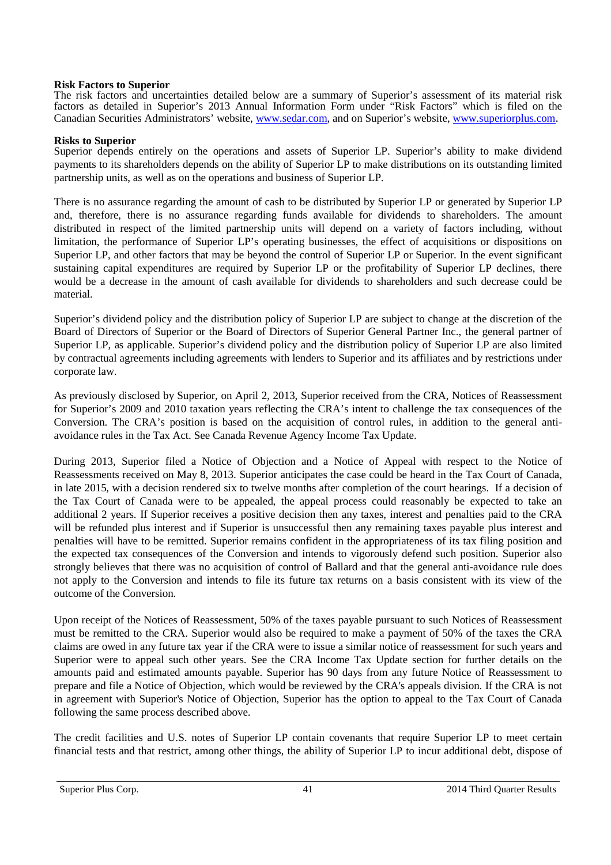#### **Risk Factors to Superior**

The risk factors and uncertainties detailed below are a summary of Superior's assessment of its material risk factors as detailed in Superior's 2013 Annual Information Form under "Risk Factors" which is filed on the Canadian Securities Administrators' website, www.sedar.com, and on Superior's website, www.superiorplus.com.

#### **Risks to Superior**

Superior depends entirely on the operations and assets of Superior LP. Superior's ability to make dividend payments to its shareholders depends on the ability of Superior LP to make distributions on its outstanding limited partnership units, as well as on the operations and business of Superior LP.

There is no assurance regarding the amount of cash to be distributed by Superior LP or generated by Superior LP and, therefore, there is no assurance regarding funds available for dividends to shareholders. The amount distributed in respect of the limited partnership units will depend on a variety of factors including, without limitation, the performance of Superior LP's operating businesses, the effect of acquisitions or dispositions on Superior LP, and other factors that may be beyond the control of Superior LP or Superior. In the event significant sustaining capital expenditures are required by Superior LP or the profitability of Superior LP declines, there would be a decrease in the amount of cash available for dividends to shareholders and such decrease could be material.

Superior's dividend policy and the distribution policy of Superior LP are subject to change at the discretion of the Board of Directors of Superior or the Board of Directors of Superior General Partner Inc., the general partner of Superior LP, as applicable. Superior's dividend policy and the distribution policy of Superior LP are also limited by contractual agreements including agreements with lenders to Superior and its affiliates and by restrictions under corporate law.

As previously disclosed by Superior, on April 2, 2013, Superior received from the CRA, Notices of Reassessment for Superior's 2009 and 2010 taxation years reflecting the CRA's intent to challenge the tax consequences of the Conversion. The CRA's position is based on the acquisition of control rules, in addition to the general antiavoidance rules in the Tax Act. See Canada Revenue Agency Income Tax Update.

During 2013, Superior filed a Notice of Objection and a Notice of Appeal with respect to the Notice of Reassessments received on May 8, 2013. Superior anticipates the case could be heard in the Tax Court of Canada, in late 2015, with a decision rendered six to twelve months after completion of the court hearings. If a decision of the Tax Court of Canada were to be appealed, the appeal process could reasonably be expected to take an additional 2 years. If Superior receives a positive decision then any taxes, interest and penalties paid to the CRA will be refunded plus interest and if Superior is unsuccessful then any remaining taxes payable plus interest and penalties will have to be remitted. Superior remains confident in the appropriateness of its tax filing position and the expected tax consequences of the Conversion and intends to vigorously defend such position. Superior also strongly believes that there was no acquisition of control of Ballard and that the general anti-avoidance rule does not apply to the Conversion and intends to file its future tax returns on a basis consistent with its view of the outcome of the Conversion.

Upon receipt of the Notices of Reassessment, 50% of the taxes payable pursuant to such Notices of Reassessment must be remitted to the CRA. Superior would also be required to make a payment of 50% of the taxes the CRA claims are owed in any future tax year if the CRA were to issue a similar notice of reassessment for such years and Superior were to appeal such other years. See the CRA Income Tax Update section for further details on the amounts paid and estimated amounts payable. Superior has 90 days from any future Notice of Reassessment to prepare and file a Notice of Objection, which would be reviewed by the CRA's appeals division. If the CRA is not in agreement with Superior's Notice of Objection, Superior has the option to appeal to the Tax Court of Canada following the same process described above.

The credit facilities and U.S. notes of Superior LP contain covenants that require Superior LP to meet certain financial tests and that restrict, among other things, the ability of Superior LP to incur additional debt, dispose of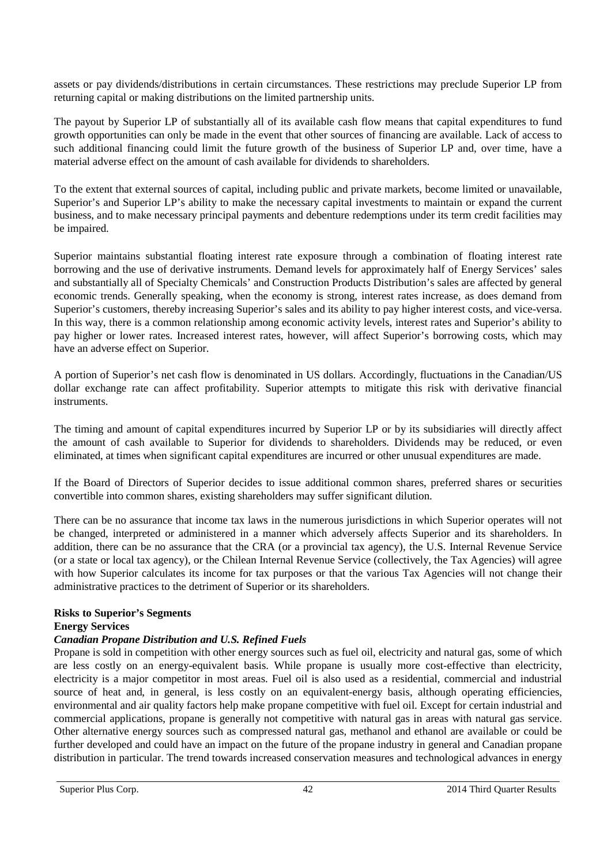assets or pay dividends/distributions in certain circumstances. These restrictions may preclude Superior LP from returning capital or making distributions on the limited partnership units.

The payout by Superior LP of substantially all of its available cash flow means that capital expenditures to fund growth opportunities can only be made in the event that other sources of financing are available. Lack of access to such additional financing could limit the future growth of the business of Superior LP and, over time, have a material adverse effect on the amount of cash available for dividends to shareholders.

To the extent that external sources of capital, including public and private markets, become limited or unavailable, Superior's and Superior LP's ability to make the necessary capital investments to maintain or expand the current business, and to make necessary principal payments and debenture redemptions under its term credit facilities may be impaired.

Superior maintains substantial floating interest rate exposure through a combination of floating interest rate borrowing and the use of derivative instruments. Demand levels for approximately half of Energy Services' sales and substantially all of Specialty Chemicals' and Construction Products Distribution's sales are affected by general economic trends. Generally speaking, when the economy is strong, interest rates increase, as does demand from Superior's customers, thereby increasing Superior's sales and its ability to pay higher interest costs, and vice-versa. In this way, there is a common relationship among economic activity levels, interest rates and Superior's ability to pay higher or lower rates. Increased interest rates, however, will affect Superior's borrowing costs, which may have an adverse effect on Superior.

A portion of Superior's net cash flow is denominated in US dollars. Accordingly, fluctuations in the Canadian/US dollar exchange rate can affect profitability. Superior attempts to mitigate this risk with derivative financial instruments.

The timing and amount of capital expenditures incurred by Superior LP or by its subsidiaries will directly affect the amount of cash available to Superior for dividends to shareholders. Dividends may be reduced, or even eliminated, at times when significant capital expenditures are incurred or other unusual expenditures are made.

If the Board of Directors of Superior decides to issue additional common shares, preferred shares or securities convertible into common shares, existing shareholders may suffer significant dilution.

There can be no assurance that income tax laws in the numerous jurisdictions in which Superior operates will not be changed, interpreted or administered in a manner which adversely affects Superior and its shareholders. In addition, there can be no assurance that the CRA (or a provincial tax agency), the U.S. Internal Revenue Service (or a state or local tax agency), or the Chilean Internal Revenue Service (collectively, the Tax Agencies) will agree with how Superior calculates its income for tax purposes or that the various Tax Agencies will not change their administrative practices to the detriment of Superior or its shareholders.

## **Risks to Superior's Segments**

## **Energy Services**

# *Canadian Propane Distribution and U.S. Refined Fuels*

Propane is sold in competition with other energy sources such as fuel oil, electricity and natural gas, some of which are less costly on an energy-equivalent basis. While propane is usually more cost-effective than electricity, electricity is a major competitor in most areas. Fuel oil is also used as a residential, commercial and industrial source of heat and, in general, is less costly on an equivalent-energy basis, although operating efficiencies, environmental and air quality factors help make propane competitive with fuel oil. Except for certain industrial and commercial applications, propane is generally not competitive with natural gas in areas with natural gas service. Other alternative energy sources such as compressed natural gas, methanol and ethanol are available or could be further developed and could have an impact on the future of the propane industry in general and Canadian propane distribution in particular. The trend towards increased conservation measures and technological advances in energy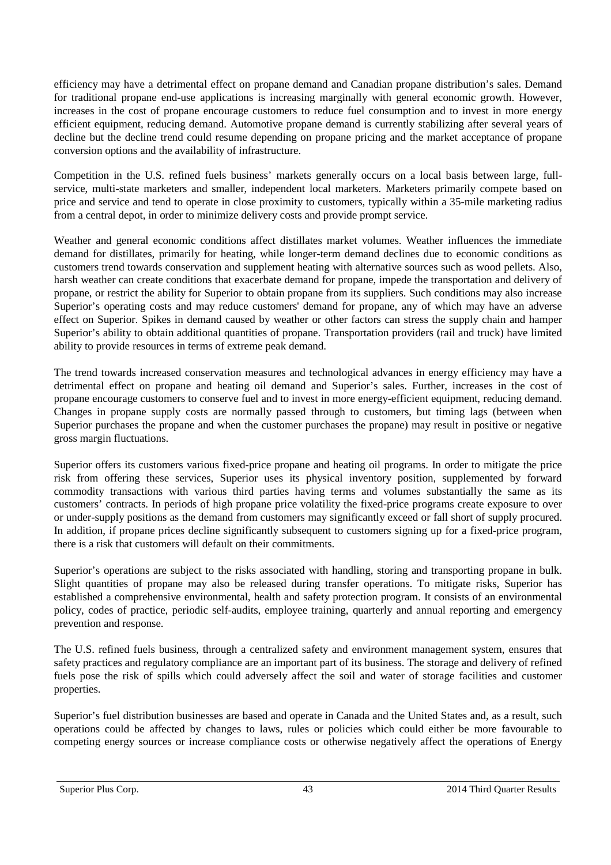efficiency may have a detrimental effect on propane demand and Canadian propane distribution's sales. Demand for traditional propane end-use applications is increasing marginally with general economic growth. However, increases in the cost of propane encourage customers to reduce fuel consumption and to invest in more energy efficient equipment, reducing demand. Automotive propane demand is currently stabilizing after several years of decline but the decline trend could resume depending on propane pricing and the market acceptance of propane conversion options and the availability of infrastructure.

Competition in the U.S. refined fuels business' markets generally occurs on a local basis between large, fullservice, multi-state marketers and smaller, independent local marketers. Marketers primarily compete based on price and service and tend to operate in close proximity to customers, typically within a 35-mile marketing radius from a central depot, in order to minimize delivery costs and provide prompt service.

Weather and general economic conditions affect distillates market volumes. Weather influences the immediate demand for distillates, primarily for heating, while longer-term demand declines due to economic conditions as customers trend towards conservation and supplement heating with alternative sources such as wood pellets. Also, harsh weather can create conditions that exacerbate demand for propane, impede the transportation and delivery of propane, or restrict the ability for Superior to obtain propane from its suppliers. Such conditions may also increase Superior's operating costs and may reduce customers' demand for propane, any of which may have an adverse effect on Superior. Spikes in demand caused by weather or other factors can stress the supply chain and hamper Superior's ability to obtain additional quantities of propane. Transportation providers (rail and truck) have limited ability to provide resources in terms of extreme peak demand.

The trend towards increased conservation measures and technological advances in energy efficiency may have a detrimental effect on propane and heating oil demand and Superior's sales. Further, increases in the cost of propane encourage customers to conserve fuel and to invest in more energy-efficient equipment, reducing demand. Changes in propane supply costs are normally passed through to customers, but timing lags (between when Superior purchases the propane and when the customer purchases the propane) may result in positive or negative gross margin fluctuations.

Superior offers its customers various fixed-price propane and heating oil programs. In order to mitigate the price risk from offering these services, Superior uses its physical inventory position, supplemented by forward commodity transactions with various third parties having terms and volumes substantially the same as its customers' contracts. In periods of high propane price volatility the fixed-price programs create exposure to over or under-supply positions as the demand from customers may significantly exceed or fall short of supply procured. In addition, if propane prices decline significantly subsequent to customers signing up for a fixed-price program, there is a risk that customers will default on their commitments.

Superior's operations are subject to the risks associated with handling, storing and transporting propane in bulk. Slight quantities of propane may also be released during transfer operations. To mitigate risks, Superior has established a comprehensive environmental, health and safety protection program. It consists of an environmental policy, codes of practice, periodic self-audits, employee training, quarterly and annual reporting and emergency prevention and response.

The U.S. refined fuels business, through a centralized safety and environment management system, ensures that safety practices and regulatory compliance are an important part of its business. The storage and delivery of refined fuels pose the risk of spills which could adversely affect the soil and water of storage facilities and customer properties.

Superior's fuel distribution businesses are based and operate in Canada and the United States and, as a result, such operations could be affected by changes to laws, rules or policies which could either be more favourable to competing energy sources or increase compliance costs or otherwise negatively affect the operations of Energy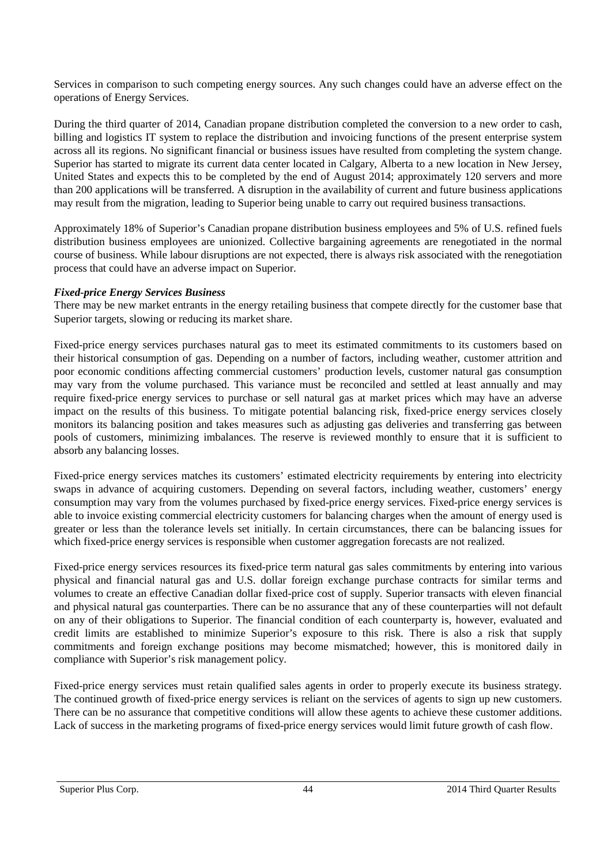Services in comparison to such competing energy sources. Any such changes could have an adverse effect on the operations of Energy Services.

During the third quarter of 2014, Canadian propane distribution completed the conversion to a new order to cash, billing and logistics IT system to replace the distribution and invoicing functions of the present enterprise system across all its regions. No significant financial or business issues have resulted from completing the system change. Superior has started to migrate its current data center located in Calgary, Alberta to a new location in New Jersey, United States and expects this to be completed by the end of August 2014; approximately 120 servers and more than 200 applications will be transferred. A disruption in the availability of current and future business applications may result from the migration, leading to Superior being unable to carry out required business transactions.

Approximately 18% of Superior's Canadian propane distribution business employees and 5% of U.S. refined fuels distribution business employees are unionized. Collective bargaining agreements are renegotiated in the normal course of business. While labour disruptions are not expected, there is always risk associated with the renegotiation process that could have an adverse impact on Superior.

## *Fixed-price Energy Services Business*

There may be new market entrants in the energy retailing business that compete directly for the customer base that Superior targets, slowing or reducing its market share.

Fixed-price energy services purchases natural gas to meet its estimated commitments to its customers based on their historical consumption of gas. Depending on a number of factors, including weather, customer attrition and poor economic conditions affecting commercial customers' production levels, customer natural gas consumption may vary from the volume purchased. This variance must be reconciled and settled at least annually and may require fixed-price energy services to purchase or sell natural gas at market prices which may have an adverse impact on the results of this business. To mitigate potential balancing risk, fixed-price energy services closely monitors its balancing position and takes measures such as adjusting gas deliveries and transferring gas between pools of customers, minimizing imbalances. The reserve is reviewed monthly to ensure that it is sufficient to absorb any balancing losses.

Fixed-price energy services matches its customers' estimated electricity requirements by entering into electricity swaps in advance of acquiring customers. Depending on several factors, including weather, customers' energy consumption may vary from the volumes purchased by fixed-price energy services. Fixed-price energy services is able to invoice existing commercial electricity customers for balancing charges when the amount of energy used is greater or less than the tolerance levels set initially. In certain circumstances, there can be balancing issues for which fixed-price energy services is responsible when customer aggregation forecasts are not realized.

Fixed-price energy services resources its fixed-price term natural gas sales commitments by entering into various physical and financial natural gas and U.S. dollar foreign exchange purchase contracts for similar terms and volumes to create an effective Canadian dollar fixed-price cost of supply. Superior transacts with eleven financial and physical natural gas counterparties. There can be no assurance that any of these counterparties will not default on any of their obligations to Superior. The financial condition of each counterparty is, however, evaluated and credit limits are established to minimize Superior's exposure to this risk. There is also a risk that supply commitments and foreign exchange positions may become mismatched; however, this is monitored daily in compliance with Superior's risk management policy.

Fixed-price energy services must retain qualified sales agents in order to properly execute its business strategy. The continued growth of fixed-price energy services is reliant on the services of agents to sign up new customers. There can be no assurance that competitive conditions will allow these agents to achieve these customer additions. Lack of success in the marketing programs of fixed-price energy services would limit future growth of cash flow.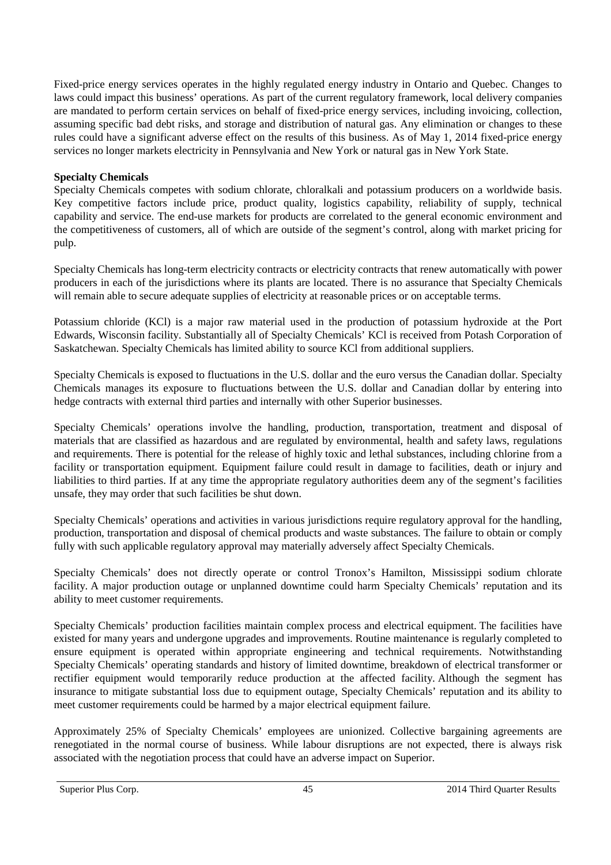Fixed-price energy services operates in the highly regulated energy industry in Ontario and Quebec. Changes to laws could impact this business' operations. As part of the current regulatory framework, local delivery companies are mandated to perform certain services on behalf of fixed-price energy services, including invoicing, collection, assuming specific bad debt risks, and storage and distribution of natural gas. Any elimination or changes to these rules could have a significant adverse effect on the results of this business. As of May 1, 2014 fixed-price energy services no longer markets electricity in Pennsylvania and New York or natural gas in New York State.

## **Specialty Chemicals**

Specialty Chemicals competes with sodium chlorate, chloralkali and potassium producers on a worldwide basis. Key competitive factors include price, product quality, logistics capability, reliability of supply, technical capability and service. The end-use markets for products are correlated to the general economic environment and the competitiveness of customers, all of which are outside of the segment's control, along with market pricing for pulp.

Specialty Chemicals has long-term electricity contracts or electricity contracts that renew automatically with power producers in each of the jurisdictions where its plants are located. There is no assurance that Specialty Chemicals will remain able to secure adequate supplies of electricity at reasonable prices or on acceptable terms.

Potassium chloride (KCl) is a major raw material used in the production of potassium hydroxide at the Port Edwards, Wisconsin facility. Substantially all of Specialty Chemicals' KCl is received from Potash Corporation of Saskatchewan. Specialty Chemicals has limited ability to source KCl from additional suppliers.

Specialty Chemicals is exposed to fluctuations in the U.S. dollar and the euro versus the Canadian dollar. Specialty Chemicals manages its exposure to fluctuations between the U.S. dollar and Canadian dollar by entering into hedge contracts with external third parties and internally with other Superior businesses.

Specialty Chemicals' operations involve the handling, production, transportation, treatment and disposal of materials that are classified as hazardous and are regulated by environmental, health and safety laws, regulations and requirements. There is potential for the release of highly toxic and lethal substances, including chlorine from a facility or transportation equipment. Equipment failure could result in damage to facilities, death or injury and liabilities to third parties. If at any time the appropriate regulatory authorities deem any of the segment's facilities unsafe, they may order that such facilities be shut down.

Specialty Chemicals' operations and activities in various jurisdictions require regulatory approval for the handling, production, transportation and disposal of chemical products and waste substances. The failure to obtain or comply fully with such applicable regulatory approval may materially adversely affect Specialty Chemicals.

Specialty Chemicals' does not directly operate or control Tronox's Hamilton, Mississippi sodium chlorate facility. A major production outage or unplanned downtime could harm Specialty Chemicals' reputation and its ability to meet customer requirements.

Specialty Chemicals' production facilities maintain complex process and electrical equipment. The facilities have existed for many years and undergone upgrades and improvements. Routine maintenance is regularly completed to ensure equipment is operated within appropriate engineering and technical requirements. Notwithstanding Specialty Chemicals' operating standards and history of limited downtime, breakdown of electrical transformer or rectifier equipment would temporarily reduce production at the affected facility. Although the segment has insurance to mitigate substantial loss due to equipment outage, Specialty Chemicals' reputation and its ability to meet customer requirements could be harmed by a major electrical equipment failure.

Approximately 25% of Specialty Chemicals' employees are unionized. Collective bargaining agreements are renegotiated in the normal course of business. While labour disruptions are not expected, there is always risk associated with the negotiation process that could have an adverse impact on Superior.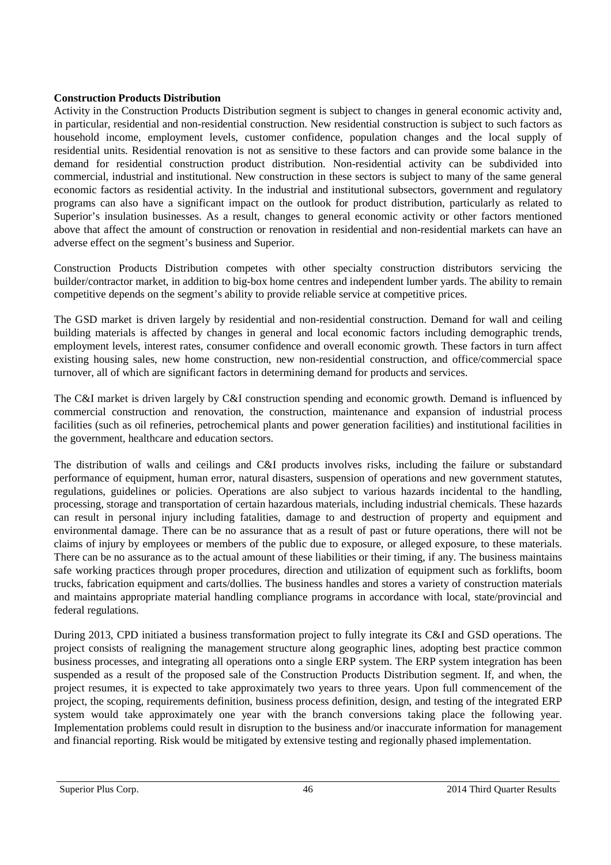## **Construction Products Distribution**

Activity in the Construction Products Distribution segment is subject to changes in general economic activity and, in particular, residential and non-residential construction. New residential construction is subject to such factors as household income, employment levels, customer confidence, population changes and the local supply of residential units. Residential renovation is not as sensitive to these factors and can provide some balance in the demand for residential construction product distribution. Non-residential activity can be subdivided into commercial, industrial and institutional. New construction in these sectors is subject to many of the same general economic factors as residential activity. In the industrial and institutional subsectors, government and regulatory programs can also have a significant impact on the outlook for product distribution, particularly as related to Superior's insulation businesses. As a result, changes to general economic activity or other factors mentioned above that affect the amount of construction or renovation in residential and non-residential markets can have an adverse effect on the segment's business and Superior.

Construction Products Distribution competes with other specialty construction distributors servicing the builder/contractor market, in addition to big-box home centres and independent lumber yards. The ability to remain competitive depends on the segment's ability to provide reliable service at competitive prices.

The GSD market is driven largely by residential and non-residential construction. Demand for wall and ceiling building materials is affected by changes in general and local economic factors including demographic trends, employment levels, interest rates, consumer confidence and overall economic growth. These factors in turn affect existing housing sales, new home construction, new non-residential construction, and office/commercial space turnover, all of which are significant factors in determining demand for products and services.

The C&I market is driven largely by C&I construction spending and economic growth. Demand is influenced by commercial construction and renovation, the construction, maintenance and expansion of industrial process facilities (such as oil refineries, petrochemical plants and power generation facilities) and institutional facilities in the government, healthcare and education sectors.

The distribution of walls and ceilings and C&I products involves risks, including the failure or substandard performance of equipment, human error, natural disasters, suspension of operations and new government statutes, regulations, guidelines or policies. Operations are also subject to various hazards incidental to the handling, processing, storage and transportation of certain hazardous materials, including industrial chemicals. These hazards can result in personal injury including fatalities, damage to and destruction of property and equipment and environmental damage. There can be no assurance that as a result of past or future operations, there will not be claims of injury by employees or members of the public due to exposure, or alleged exposure, to these materials. There can be no assurance as to the actual amount of these liabilities or their timing, if any. The business maintains safe working practices through proper procedures, direction and utilization of equipment such as forklifts, boom trucks, fabrication equipment and carts/dollies. The business handles and stores a variety of construction materials and maintains appropriate material handling compliance programs in accordance with local, state/provincial and federal regulations.

During 2013, CPD initiated a business transformation project to fully integrate its C&I and GSD operations. The project consists of realigning the management structure along geographic lines, adopting best practice common business processes, and integrating all operations onto a single ERP system. The ERP system integration has been suspended as a result of the proposed sale of the Construction Products Distribution segment. If, and when, the project resumes, it is expected to take approximately two years to three years. Upon full commencement of the project, the scoping, requirements definition, business process definition, design, and testing of the integrated ERP system would take approximately one year with the branch conversions taking place the following year. Implementation problems could result in disruption to the business and/or inaccurate information for management and financial reporting. Risk would be mitigated by extensive testing and regionally phased implementation.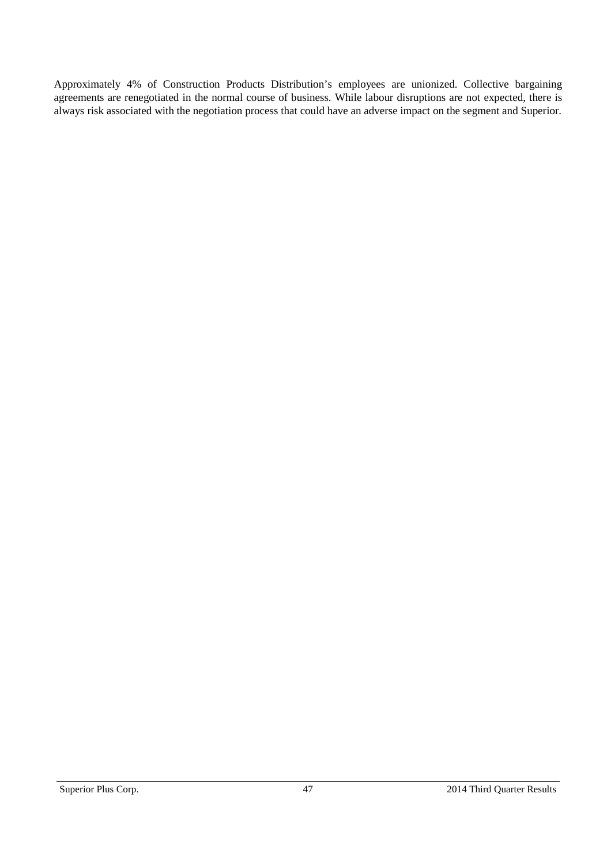Approximately 4% of Construction Products Distribution's employees are unionized. Collective bargaining agreements are renegotiated in the normal course of business. While labour disruptions are not expected, there is always risk associated with the negotiation process that could have an adverse impact on the segment and Superior.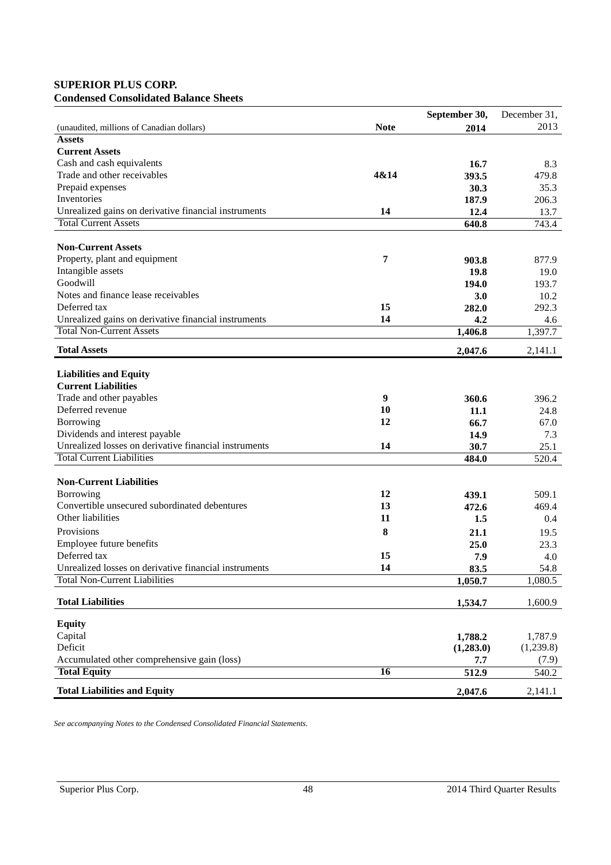### **SUPERIOR PLUS CORP. Condensed Consolidated Balance Sheets**

|                                                       |                 | September 30, | December 31, |
|-------------------------------------------------------|-----------------|---------------|--------------|
| (unaudited, millions of Canadian dollars)             | <b>Note</b>     | 2014          | 2013         |
| <b>Assets</b>                                         |                 |               |              |
| <b>Current Assets</b>                                 |                 |               |              |
| Cash and cash equivalents                             |                 | 16.7          | 8.3          |
| Trade and other receivables                           | 4&14            | 393.5         | 479.8        |
| Prepaid expenses                                      |                 | 30.3          | 35.3         |
| Inventories                                           |                 | 187.9         | 206.3        |
| Unrealized gains on derivative financial instruments  | 14              | 12.4          | 13.7         |
| <b>Total Current Assets</b>                           |                 | 640.8         | 743.4        |
|                                                       |                 |               |              |
| <b>Non-Current Assets</b>                             |                 |               |              |
| Property, plant and equipment                         | 7               | 903.8         | 877.9        |
| Intangible assets                                     |                 | 19.8          | 19.0         |
| Goodwill                                              |                 | 194.0         | 193.7        |
| Notes and finance lease receivables                   |                 | 3.0           | 10.2         |
| Deferred tax                                          | 15              | 282.0         | 292.3        |
| Unrealized gains on derivative financial instruments  | 14              | 4.2           | 4.6          |
| <b>Total Non-Current Assets</b>                       |                 | 1,406.8       | 1,397.7      |
| <b>Total Assets</b>                                   |                 | 2,047.6       | 2,141.1      |
|                                                       |                 |               |              |
| <b>Liabilities and Equity</b>                         |                 |               |              |
| <b>Current Liabilities</b>                            |                 |               |              |
| Trade and other payables                              | 9               | 360.6         | 396.2        |
| Deferred revenue                                      | 10              | 11.1          | 24.8         |
| Borrowing                                             | 12              | 66.7          | 67.0         |
| Dividends and interest payable                        |                 | 14.9          | 7.3          |
| Unrealized losses on derivative financial instruments | 14              | 30.7          | 25.1         |
| <b>Total Current Liabilities</b>                      |                 | 484.0         | 520.4        |
|                                                       |                 |               |              |
| <b>Non-Current Liabilities</b>                        |                 |               |              |
| Borrowing                                             | 12              | 439.1         | 509.1        |
| Convertible unsecured subordinated debentures         | 13              | 472.6         | 469.4        |
| Other liabilities                                     | 11              | 1.5           | 0.4          |
| Provisions                                            | 8               | 21.1          | 19.5         |
| Employee future benefits                              |                 | 25.0          | 23.3         |
| Deferred tax                                          | 15              | 7.9           | 4.0          |
| Unrealized losses on derivative financial instruments | 14              | 83.5          | 54.8         |
| <b>Total Non-Current Liabilities</b>                  |                 | 1,050.7       | 1,080.5      |
| <b>Total Liabilities</b>                              |                 | 1,534.7       | 1,600.9      |
|                                                       |                 |               |              |
| <b>Equity</b>                                         |                 |               |              |
| Capital                                               |                 | 1,788.2       | 1,787.9      |
| Deficit                                               |                 | (1,283.0)     | (1,239.8)    |
| Accumulated other comprehensive gain (loss)           |                 | 7.7           | (7.9)        |
| <b>Total Equity</b>                                   | $\overline{16}$ | 512.9         | 540.2        |
| <b>Total Liabilities and Equity</b>                   |                 | 2,047.6       | 2,141.1      |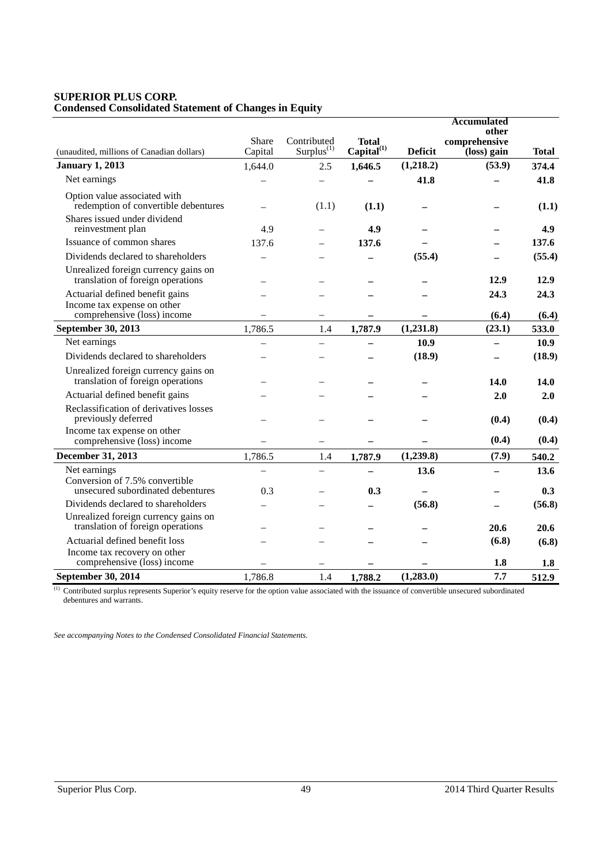### **SUPERIOR PLUS CORP. Condensed Consolidated Statement of Changes in Equity**

|                                                                           |                  |                                         |                                        |                | <b>Accumulated</b><br>other  |              |
|---------------------------------------------------------------------------|------------------|-----------------------------------------|----------------------------------------|----------------|------------------------------|--------------|
| (unaudited, millions of Canadian dollars)                                 | Share<br>Capital | Contributed<br>$Surplus$ <sup>(1)</sup> | <b>Total</b><br>Capital <sup>(1)</sup> | <b>Deficit</b> | comprehensive<br>(loss) gain | <b>Total</b> |
| <b>January 1, 2013</b>                                                    | 1,644.0          | 2.5                                     | 1,646.5                                | (1,218.2)      | (53.9)                       | 374.4        |
| Net earnings                                                              |                  | $\overline{\phantom{0}}$                |                                        | 41.8           |                              | 41.8         |
| Option value associated with<br>redemption of convertible debentures      |                  | (1.1)                                   | (1.1)                                  |                |                              | (1.1)        |
| Shares issued under dividend<br>reinvestment plan                         | 4.9              |                                         | 4.9                                    |                |                              | 4.9          |
| Issuance of common shares                                                 | 137.6            |                                         | 137.6                                  |                |                              | 137.6        |
| Dividends declared to shareholders                                        |                  |                                         |                                        | (55.4)         |                              | (55.4)       |
| Unrealized foreign currency gains on<br>translation of foreign operations |                  |                                         |                                        |                | 12.9                         | 12.9         |
| Actuarial defined benefit gains                                           |                  |                                         |                                        |                | 24.3                         | 24.3         |
| Income tax expense on other<br>comprehensive (loss) income                |                  | $\overline{\phantom{0}}$                |                                        |                | (6.4)                        | (6.4)        |
| September 30, 2013                                                        | 1,786.5          | 1.4                                     | 1,787.9                                | (1,231.8)      | (23.1)                       | 533.0        |
| Net earnings                                                              |                  | $\overline{\phantom{0}}$                |                                        | 10.9           | —                            | 10.9         |
| Dividends declared to shareholders                                        |                  |                                         |                                        | (18.9)         |                              | (18.9)       |
| Unrealized foreign currency gains on<br>translation of foreign operations |                  |                                         |                                        |                | 14.0                         | 14.0         |
| Actuarial defined benefit gains                                           |                  |                                         |                                        |                | 2.0                          | 2.0          |
| Reclassification of derivatives losses<br>previously deferred             |                  |                                         |                                        |                | (0.4)                        | (0.4)        |
| Income tax expense on other<br>comprehensive (loss) income                |                  |                                         |                                        |                | (0.4)                        | (0.4)        |
| December 31, 2013                                                         | 1,786.5          | 1.4                                     | 1,787.9                                | (1,239.8)      | (7.9)                        | 540.2        |
| Net earnings                                                              |                  |                                         |                                        | 13.6           |                              | 13.6         |
| Conversion of 7.5% convertible<br>unsecured subordinated debentures       | 0.3              |                                         | 0.3                                    |                |                              | 0.3          |
| Dividends declared to shareholders                                        |                  |                                         |                                        | (56.8)         | —                            | (56.8)       |
| Unrealized foreign currency gains on<br>translation of foreign operations |                  |                                         |                                        |                | 20.6                         | 20.6         |
| Actuarial defined benefit loss                                            |                  |                                         |                                        |                | (6.8)                        | (6.8)        |
| Income tax recovery on other<br>comprehensive (loss) income               |                  |                                         |                                        |                | 1.8                          | 1.8          |
| September 30, 2014                                                        | 1,786.8          | 1.4                                     | 1,788.2                                | (1,283.0)      | 7.7                          | 512.9        |

<sup>(1)</sup> Contributed surplus represents Superior's equity reserve for the option value associated with the issuance of convertible unsecured subordinated debentures and warrants.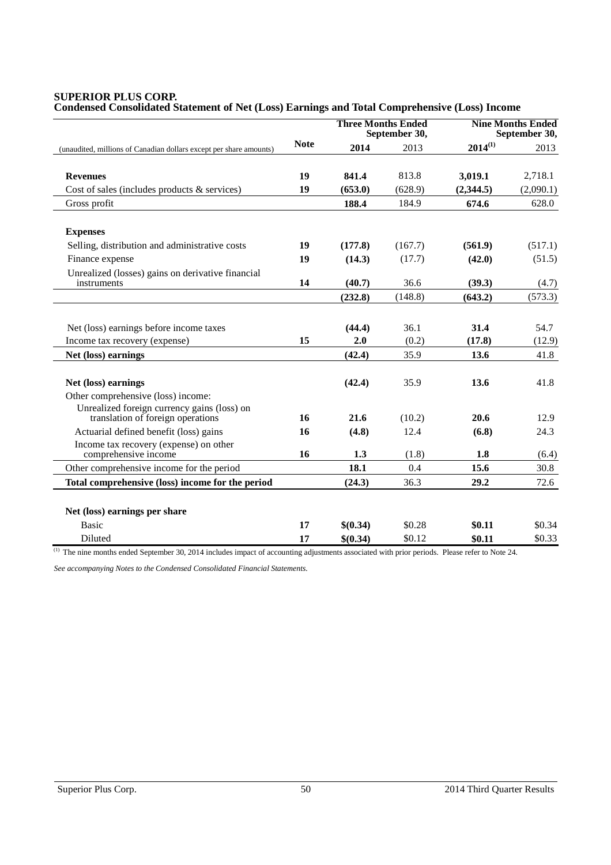# **SUPERIOR PLUS CORP.**

|                                                                                  |             |          | <b>Three Months Ended</b><br>September 30, | <b>Nine Months Ended</b><br>September 30, |           |  |
|----------------------------------------------------------------------------------|-------------|----------|--------------------------------------------|-------------------------------------------|-----------|--|
| (unaudited, millions of Canadian dollars except per share amounts)               | <b>Note</b> | 2014     | 2013                                       | $2014^{(1)}$                              | 2013      |  |
| <b>Revenues</b>                                                                  | 19          | 841.4    | 813.8                                      | 3,019.1                                   | 2,718.1   |  |
| Cost of sales (includes products $&$ services)                                   | 19          | (653.0)  | (628.9)                                    | (2,344.5)                                 | (2,090.1) |  |
| Gross profit                                                                     |             | 188.4    | 184.9                                      | 674.6                                     | 628.0     |  |
| <b>Expenses</b>                                                                  |             |          |                                            |                                           |           |  |
| Selling, distribution and administrative costs                                   | 19          | (177.8)  | (167.7)                                    | (561.9)                                   | (517.1)   |  |
| Finance expense                                                                  | 19          | (14.3)   | (17.7)                                     | (42.0)                                    | (51.5)    |  |
| Unrealized (losses) gains on derivative financial                                |             |          |                                            |                                           |           |  |
| instruments                                                                      | 14          | (40.7)   | 36.6                                       | (39.3)                                    | (4.7)     |  |
|                                                                                  |             | (232.8)  | (148.8)                                    | (643.2)                                   | (573.3)   |  |
| Net (loss) earnings before income taxes                                          |             | (44.4)   | 36.1                                       | 31.4                                      | 54.7      |  |
| Income tax recovery (expense)                                                    | 15          | 2.0      | (0.2)                                      | (17.8)                                    | (12.9)    |  |
| Net (loss) earnings                                                              |             | (42.4)   | 35.9                                       | 13.6                                      | 41.8      |  |
| Net (loss) earnings                                                              |             | (42.4)   | 35.9                                       | 13.6                                      | 41.8      |  |
| Other comprehensive (loss) income:                                               |             |          |                                            |                                           |           |  |
| Unrealized foreign currency gains (loss) on<br>translation of foreign operations | 16          | 21.6     | (10.2)                                     | 20.6                                      | 12.9      |  |
| Actuarial defined benefit (loss) gains                                           | 16          | (4.8)    | 12.4                                       | (6.8)                                     | 24.3      |  |
| Income tax recovery (expense) on other                                           |             |          |                                            |                                           |           |  |
| comprehensive income                                                             | 16          | 1.3      | (1.8)                                      | 1.8                                       | (6.4)     |  |
| Other comprehensive income for the period                                        |             | 18.1     | 0.4                                        | 15.6                                      | 30.8      |  |
| Total comprehensive (loss) income for the period                                 |             | (24.3)   | 36.3                                       | 29.2                                      | 72.6      |  |
| Net (loss) earnings per share                                                    |             |          |                                            |                                           |           |  |
| <b>Basic</b>                                                                     | 17          | \$(0.34) | \$0.28                                     | \$0.11                                    | \$0.34    |  |
| Diluted                                                                          | 17          | \$(0.34) | \$0.12                                     | \$0.11                                    | \$0.33    |  |

**Condensed Consolidated Statement of Net (Loss) Earnings and Total Comprehensive (Loss) Income** 

(1) The nine months ended September 30, 2014 includes impact of accounting adjustments associated with prior periods. Please refer to Note 24.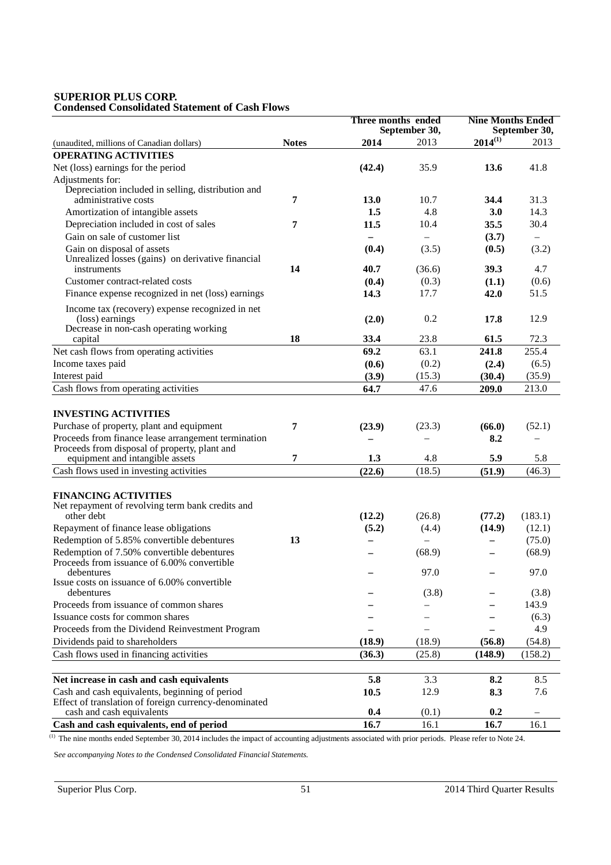|                                                                                                                                                                                  |                |        | Three months ended<br>September 30, | <b>Nine Months Ended</b><br>September 30, |                   |
|----------------------------------------------------------------------------------------------------------------------------------------------------------------------------------|----------------|--------|-------------------------------------|-------------------------------------------|-------------------|
| (unaudited, millions of Canadian dollars)                                                                                                                                        | <b>Notes</b>   | 2014   | 2013                                | $2014^{(1)}$                              | 2013              |
| <b>OPERATING ACTIVITIES</b>                                                                                                                                                      |                |        |                                     |                                           |                   |
| Net (loss) earnings for the period                                                                                                                                               |                | (42.4) | 35.9                                | 13.6                                      | 41.8              |
| Adjustments for:                                                                                                                                                                 |                |        |                                     |                                           |                   |
| Depreciation included in selling, distribution and                                                                                                                               |                |        |                                     |                                           |                   |
| administrative costs                                                                                                                                                             | $\overline{7}$ | 13.0   | 10.7                                | 34.4                                      | 31.3              |
| Amortization of intangible assets                                                                                                                                                |                | 1.5    | 4.8                                 | 3.0                                       | 14.3              |
| Depreciation included in cost of sales                                                                                                                                           | 7              | 11.5   | 10.4                                | 35.5                                      | 30.4              |
| Gain on sale of customer list                                                                                                                                                    |                |        | $\qquad \qquad -$                   | (3.7)                                     | $\qquad \qquad -$ |
| Gain on disposal of assets                                                                                                                                                       |                | (0.4)  | (3.5)                               | (0.5)                                     | (3.2)             |
| Unrealized losses (gains) on derivative financial<br>instruments                                                                                                                 | 14             | 40.7   | (36.6)                              | 39.3                                      | 4.7               |
| Customer contract-related costs                                                                                                                                                  |                | (0.4)  | (0.3)                               | (1.1)                                     | (0.6)             |
| Finance expense recognized in net (loss) earnings                                                                                                                                |                | 14.3   | 17.7                                | 42.0                                      | 51.5              |
|                                                                                                                                                                                  |                |        |                                     |                                           |                   |
| Income tax (recovery) expense recognized in net<br>(loss) earnings                                                                                                               |                | (2.0)  | 0.2                                 | 17.8                                      | 12.9              |
| Decrease in non-cash operating working                                                                                                                                           |                |        |                                     |                                           |                   |
| capital                                                                                                                                                                          | 18             | 33.4   | 23.8                                | 61.5                                      | 72.3              |
| Net cash flows from operating activities                                                                                                                                         |                | 69.2   | 63.1                                | 241.8                                     | 255.4             |
| Income taxes paid                                                                                                                                                                |                | (0.6)  | (0.2)                               | (2.4)                                     | (6.5)             |
| Interest paid                                                                                                                                                                    |                | (3.9)  | (15.3)                              | (30.4)                                    | (35.9)            |
| Cash flows from operating activities                                                                                                                                             |                | 64.7   | 47.6                                | 209.0                                     | 213.0             |
| <b>INVESTING ACTIVITIES</b><br>Purchase of property, plant and equipment<br>Proceeds from finance lease arrangement termination<br>Proceeds from disposal of property, plant and | 7              | (23.9) | (23.3)                              | (66.0)<br>8.2                             | (52.1)            |
| equipment and intangible assets                                                                                                                                                  | 7              | 1.3    | 4.8                                 | 5.9                                       | 5.8               |
| Cash flows used in investing activities                                                                                                                                          |                | (22.6) | (18.5)                              | (51.9)                                    | (46.3)            |
|                                                                                                                                                                                  |                |        |                                     |                                           |                   |
| <b>FINANCING ACTIVITIES</b><br>Net repayment of revolving term bank credits and                                                                                                  |                |        |                                     |                                           |                   |
| other debt                                                                                                                                                                       |                | (12.2) | (26.8)                              | (77.2)                                    | (183.1)           |
| Repayment of finance lease obligations                                                                                                                                           |                | (5.2)  | (4.4)                               | (14.9)                                    | (12.1)            |
| Redemption of 5.85% convertible debentures                                                                                                                                       | 13             |        |                                     |                                           | (75.0)            |
| Redemption of 7.50% convertible debentures<br>Proceeds from issuance of 6.00% convertible                                                                                        |                |        | (68.9)                              |                                           | (68.9)            |
| debentures                                                                                                                                                                       |                |        | 97.0                                |                                           | 97.0              |
| Issue costs on issuance of 6.00% convertible                                                                                                                                     |                |        |                                     |                                           |                   |
| debentures                                                                                                                                                                       |                |        | (3.8)                               |                                           | (3.8)             |
| Proceeds from issuance of common shares                                                                                                                                          |                |        |                                     |                                           | 143.9             |
| Issuance costs for common shares                                                                                                                                                 |                |        |                                     |                                           | (6.3)             |
| Proceeds from the Dividend Reinvestment Program                                                                                                                                  |                |        |                                     |                                           | 4.9               |
| Dividends paid to shareholders                                                                                                                                                   |                | (18.9) | (18.9)                              | (56.8)                                    | (54.8)            |
| Cash flows used in financing activities                                                                                                                                          |                | (36.3) | (25.8)                              | (148.9)                                   | (158.2)           |
|                                                                                                                                                                                  |                |        |                                     |                                           |                   |
| Net increase in cash and cash equivalents                                                                                                                                        |                | 5.8    | 3.3                                 | 8.2                                       | 8.5               |
| Cash and cash equivalents, beginning of period                                                                                                                                   |                | 10.5   | 12.9                                | 8.3                                       | 7.6               |
| Effect of translation of foreign currency-denominated<br>cash and cash equivalents                                                                                               |                | 0.4    | (0.1)                               | 0.2                                       |                   |
| Cash and cash equivalents, end of period                                                                                                                                         |                | 16.7   | 16.1                                | 16.7                                      | 16.1              |

#### **SUPERIOR PLUS CORP. Condensed Consolidated Statement of Cash Flows**

(1) The nine months ended September 30, 2014 includes the impact of accounting adjustments associated with prior periods. Please refer to Note 24.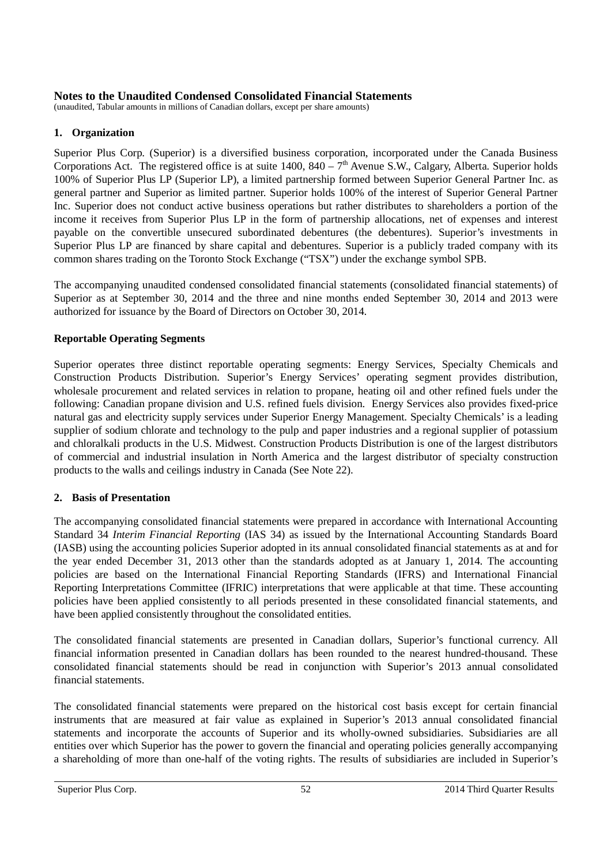# **Notes to the Unaudited Condensed Consolidated Financial Statements**

(unaudited, Tabular amounts in millions of Canadian dollars, except per share amounts)

### **1. Organization**

Superior Plus Corp. (Superior) is a diversified business corporation, incorporated under the Canada Business Corporations Act. The registered office is at suite 1400,  $840 - 7<sup>th</sup>$  Avenue S.W., Calgary, Alberta. Superior holds 100% of Superior Plus LP (Superior LP), a limited partnership formed between Superior General Partner Inc. as general partner and Superior as limited partner. Superior holds 100% of the interest of Superior General Partner Inc. Superior does not conduct active business operations but rather distributes to shareholders a portion of the income it receives from Superior Plus LP in the form of partnership allocations, net of expenses and interest payable on the convertible unsecured subordinated debentures (the debentures). Superior's investments in Superior Plus LP are financed by share capital and debentures. Superior is a publicly traded company with its common shares trading on the Toronto Stock Exchange ("TSX") under the exchange symbol SPB.

The accompanying unaudited condensed consolidated financial statements (consolidated financial statements) of Superior as at September 30, 2014 and the three and nine months ended September 30, 2014 and 2013 were authorized for issuance by the Board of Directors on October 30, 2014.

## **Reportable Operating Segments**

Superior operates three distinct reportable operating segments: Energy Services, Specialty Chemicals and Construction Products Distribution. Superior's Energy Services' operating segment provides distribution, wholesale procurement and related services in relation to propane, heating oil and other refined fuels under the following: Canadian propane division and U.S. refined fuels division. Energy Services also provides fixed-price natural gas and electricity supply services under Superior Energy Management. Specialty Chemicals' is a leading supplier of sodium chlorate and technology to the pulp and paper industries and a regional supplier of potassium and chloralkali products in the U.S. Midwest. Construction Products Distribution is one of the largest distributors of commercial and industrial insulation in North America and the largest distributor of specialty construction products to the walls and ceilings industry in Canada (See Note 22).

## **2. Basis of Presentation**

The accompanying consolidated financial statements were prepared in accordance with International Accounting Standard 34 *Interim Financial Reporting* (IAS 34) as issued by the International Accounting Standards Board (IASB) using the accounting policies Superior adopted in its annual consolidated financial statements as at and for the year ended December 31, 2013 other than the standards adopted as at January 1, 2014. The accounting policies are based on the International Financial Reporting Standards (IFRS) and International Financial Reporting Interpretations Committee (IFRIC) interpretations that were applicable at that time. These accounting policies have been applied consistently to all periods presented in these consolidated financial statements, and have been applied consistently throughout the consolidated entities.

The consolidated financial statements are presented in Canadian dollars, Superior's functional currency. All financial information presented in Canadian dollars has been rounded to the nearest hundred-thousand. These consolidated financial statements should be read in conjunction with Superior's 2013 annual consolidated financial statements.

The consolidated financial statements were prepared on the historical cost basis except for certain financial instruments that are measured at fair value as explained in Superior's 2013 annual consolidated financial statements and incorporate the accounts of Superior and its wholly-owned subsidiaries. Subsidiaries are all entities over which Superior has the power to govern the financial and operating policies generally accompanying a shareholding of more than one-half of the voting rights. The results of subsidiaries are included in Superior's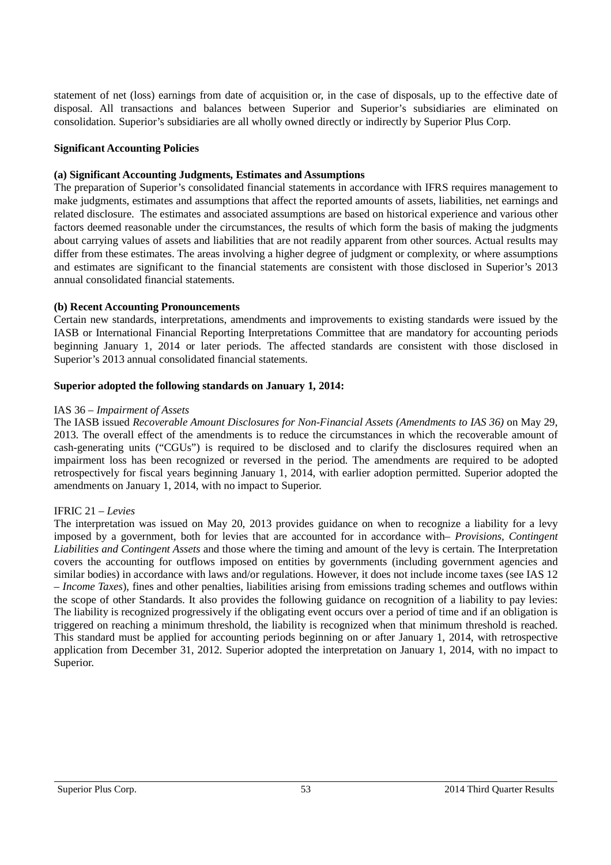statement of net (loss) earnings from date of acquisition or, in the case of disposals, up to the effective date of disposal. All transactions and balances between Superior and Superior's subsidiaries are eliminated on consolidation. Superior's subsidiaries are all wholly owned directly or indirectly by Superior Plus Corp.

### **Significant Accounting Policies**

### **(a) Significant Accounting Judgments, Estimates and Assumptions**

The preparation of Superior's consolidated financial statements in accordance with IFRS requires management to make judgments, estimates and assumptions that affect the reported amounts of assets, liabilities, net earnings and related disclosure. The estimates and associated assumptions are based on historical experience and various other factors deemed reasonable under the circumstances, the results of which form the basis of making the judgments about carrying values of assets and liabilities that are not readily apparent from other sources. Actual results may differ from these estimates. The areas involving a higher degree of judgment or complexity, or where assumptions and estimates are significant to the financial statements are consistent with those disclosed in Superior's 2013 annual consolidated financial statements.

### **(b) Recent Accounting Pronouncements**

Certain new standards, interpretations, amendments and improvements to existing standards were issued by the IASB or International Financial Reporting Interpretations Committee that are mandatory for accounting periods beginning January 1, 2014 or later periods. The affected standards are consistent with those disclosed in Superior's 2013 annual consolidated financial statements.

### **Superior adopted the following standards on January 1, 2014:**

### IAS 36 *– Impairment of Assets*

The IASB issued *Recoverable Amount Disclosures for Non-Financial Assets (Amendments to IAS 36)* on May 29, 2013. The overall effect of the amendments is to reduce the circumstances in which the recoverable amount of cash-generating units ("CGUs") is required to be disclosed and to clarify the disclosures required when an impairment loss has been recognized or reversed in the period. The amendments are required to be adopted retrospectively for fiscal years beginning January 1, 2014, with earlier adoption permitted. Superior adopted the amendments on January 1, 2014, with no impact to Superior.

## IFRIC 21 *– Levies*

The interpretation was issued on May 20, 2013 provides guidance on when to recognize a liability for a levy imposed by a government, both for levies that are accounted for in accordance with– *Provisions, Contingent Liabilities and Contingent Assets* and those where the timing and amount of the levy is certain. The Interpretation covers the accounting for outflows imposed on entities by governments (including government agencies and similar bodies) in accordance with laws and/or regulations. However, it does not include income taxes (see IAS 12 – *Income Taxes*), fines and other penalties, liabilities arising from emissions trading schemes and outflows within the scope of other Standards. It also provides the following guidance on recognition of a liability to pay levies: The liability is recognized progressively if the obligating event occurs over a period of time and if an obligation is triggered on reaching a minimum threshold, the liability is recognized when that minimum threshold is reached. This standard must be applied for accounting periods beginning on or after January 1, 2014, with retrospective application from December 31, 2012. Superior adopted the interpretation on January 1, 2014, with no impact to Superior.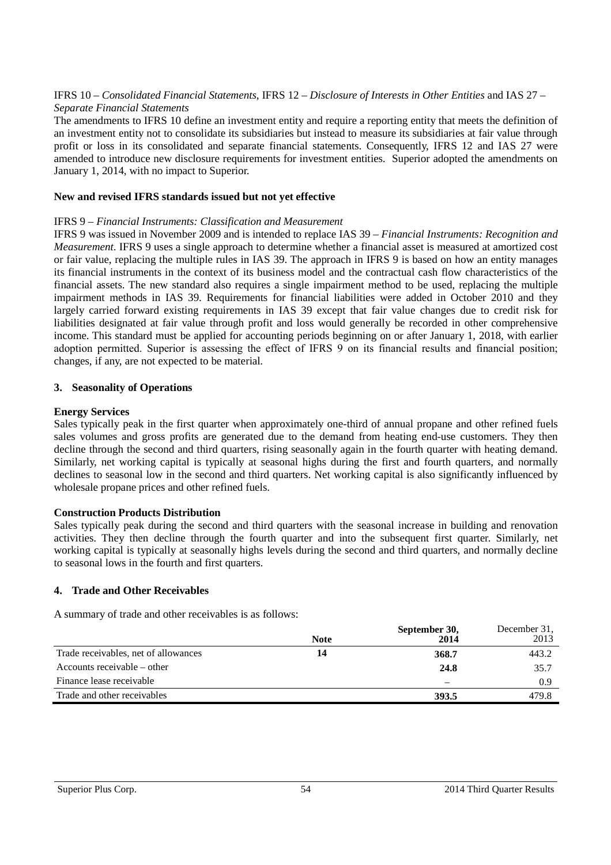## IFRS 10 – *Consolidated Financial Statements*, IFRS 12 – *Disclosure of Interests in Other Entities* and IAS 27 – *Separate Financial Statements*

The amendments to IFRS 10 define an investment entity and require a reporting entity that meets the definition of an investment entity not to consolidate its subsidiaries but instead to measure its subsidiaries at fair value through profit or loss in its consolidated and separate financial statements. Consequently, IFRS 12 and IAS 27 were amended to introduce new disclosure requirements for investment entities. Superior adopted the amendments on January 1, 2014, with no impact to Superior.

### **New and revised IFRS standards issued but not yet effective**

### IFRS 9 – *Financial Instruments: Classification and Measurement*

IFRS 9 was issued in November 2009 and is intended to replace IAS 39 – *Financial Instruments: Recognition and Measurement*. IFRS 9 uses a single approach to determine whether a financial asset is measured at amortized cost or fair value, replacing the multiple rules in IAS 39. The approach in IFRS 9 is based on how an entity manages its financial instruments in the context of its business model and the contractual cash flow characteristics of the financial assets. The new standard also requires a single impairment method to be used, replacing the multiple impairment methods in IAS 39. Requirements for financial liabilities were added in October 2010 and they largely carried forward existing requirements in IAS 39 except that fair value changes due to credit risk for liabilities designated at fair value through profit and loss would generally be recorded in other comprehensive income. This standard must be applied for accounting periods beginning on or after January 1, 2018, with earlier adoption permitted. Superior is assessing the effect of IFRS 9 on its financial results and financial position; changes, if any, are not expected to be material.

### **3. Seasonality of Operations**

### **Energy Services**

Sales typically peak in the first quarter when approximately one-third of annual propane and other refined fuels sales volumes and gross profits are generated due to the demand from heating end-use customers. They then decline through the second and third quarters, rising seasonally again in the fourth quarter with heating demand. Similarly, net working capital is typically at seasonal highs during the first and fourth quarters, and normally declines to seasonal low in the second and third quarters. Net working capital is also significantly influenced by wholesale propane prices and other refined fuels.

### **Construction Products Distribution**

Sales typically peak during the second and third quarters with the seasonal increase in building and renovation activities. They then decline through the fourth quarter and into the subsequent first quarter. Similarly, net working capital is typically at seasonally highs levels during the second and third quarters, and normally decline to seasonal lows in the fourth and first quarters.

## **4. Trade and Other Receivables**

A summary of trade and other receivables is as follows:

|                                      | <b>Note</b> | September 30,<br>2014 | December 31,<br>2013 |
|--------------------------------------|-------------|-----------------------|----------------------|
| Trade receivables, net of allowances | 14          | 368.7                 | 443.2                |
| Accounts receivable – other          |             | 24.8                  | 35.7                 |
| Finance lease receivable             |             |                       | 0.9                  |
| Trade and other receivables          |             | 393.5                 | 479.8                |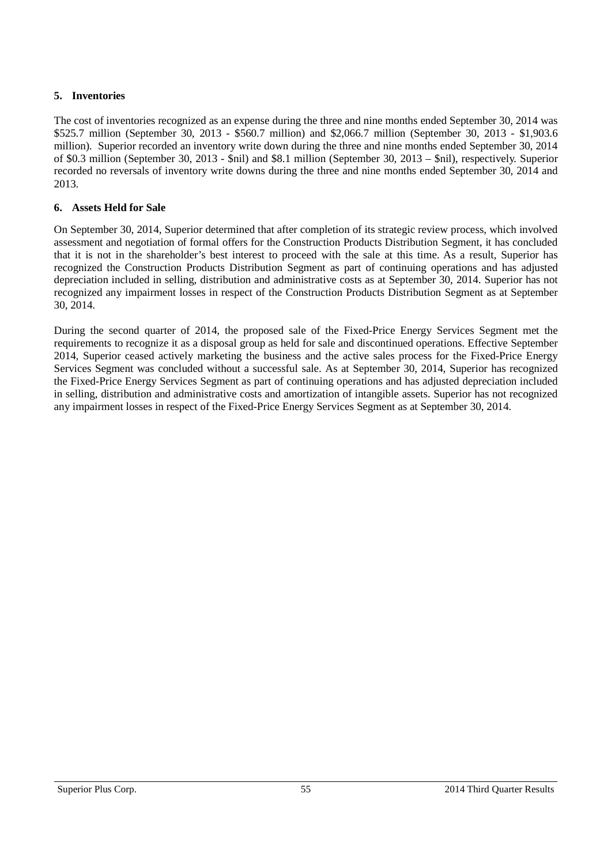# **5. Inventories**

The cost of inventories recognized as an expense during the three and nine months ended September 30, 2014 was \$525.7 million (September 30, 2013 - \$560.7 million) and \$2,066.7 million (September 30, 2013 - \$1,903.6 million). Superior recorded an inventory write down during the three and nine months ended September 30, 2014 of \$0.3 million (September 30, 2013 - \$nil) and \$8.1 million (September 30, 2013 – \$nil), respectively. Superior recorded no reversals of inventory write downs during the three and nine months ended September 30, 2014 and 2013.

## **6. Assets Held for Sale**

On September 30, 2014, Superior determined that after completion of its strategic review process, which involved assessment and negotiation of formal offers for the Construction Products Distribution Segment, it has concluded that it is not in the shareholder's best interest to proceed with the sale at this time. As a result, Superior has recognized the Construction Products Distribution Segment as part of continuing operations and has adjusted depreciation included in selling, distribution and administrative costs as at September 30, 2014. Superior has not recognized any impairment losses in respect of the Construction Products Distribution Segment as at September 30, 2014.

During the second quarter of 2014, the proposed sale of the Fixed-Price Energy Services Segment met the requirements to recognize it as a disposal group as held for sale and discontinued operations. Effective September 2014, Superior ceased actively marketing the business and the active sales process for the Fixed-Price Energy Services Segment was concluded without a successful sale. As at September 30, 2014, Superior has recognized the Fixed-Price Energy Services Segment as part of continuing operations and has adjusted depreciation included in selling, distribution and administrative costs and amortization of intangible assets. Superior has not recognized any impairment losses in respect of the Fixed-Price Energy Services Segment as at September 30, 2014.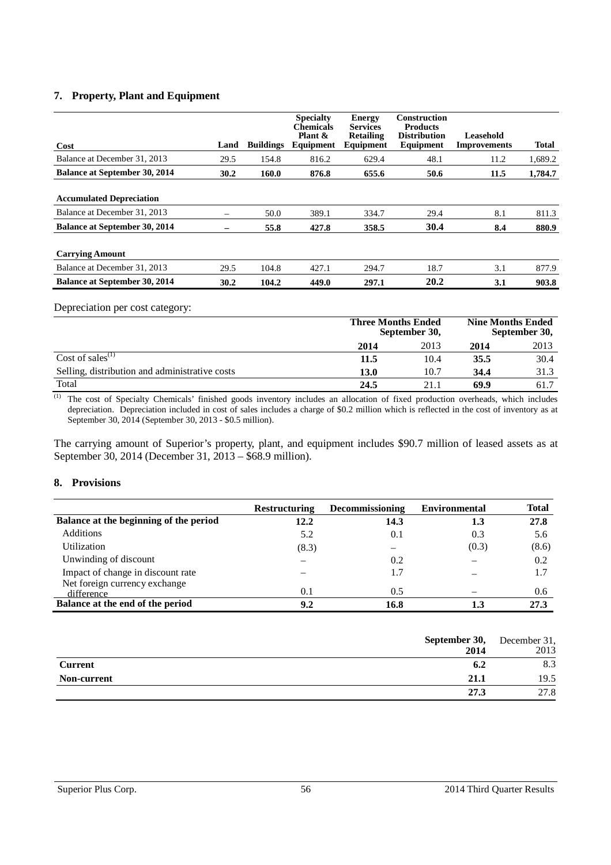### **7. Property, Plant and Equipment**

| Cost                                 | Land | <b>Buildings</b> | <b>Specialty</b><br><b>Chemicals</b><br>Plant &<br>Equipment | Energy<br><b>Services</b><br>Retailing<br>Equipment | <b>Construction</b><br><b>Products</b><br><b>Distribution</b><br>Equipment | Leasehold<br><b>Improvements</b> | <b>Total</b> |
|--------------------------------------|------|------------------|--------------------------------------------------------------|-----------------------------------------------------|----------------------------------------------------------------------------|----------------------------------|--------------|
| Balance at December 31, 2013         | 29.5 | 154.8            | 816.2                                                        | 629.4                                               | 48.1                                                                       | 11.2                             | 1,689.2      |
| <b>Balance at September 30, 2014</b> | 30.2 | 160.0            | 876.8                                                        | 655.6                                               | 50.6                                                                       | 11.5                             | 1,784.7      |
| <b>Accumulated Depreciation</b>      |      |                  |                                                              |                                                     |                                                                            |                                  |              |
| Balance at December 31, 2013         | -    | 50.0             | 389.1                                                        | 334.7                                               | 29.4                                                                       | 8.1                              | 811.3        |
| <b>Balance at September 30, 2014</b> | -    | 55.8             | 427.8                                                        | 358.5                                               | 30.4                                                                       | 8.4                              | 880.9        |
| <b>Carrying Amount</b>               |      |                  |                                                              |                                                     |                                                                            |                                  |              |
| Balance at December 31, 2013         | 29.5 | 104.8            | 427.1                                                        | 294.7                                               | 18.7                                                                       | 3.1                              | 877.9        |
| <b>Balance at September 30, 2014</b> | 30.2 | 104.2            | 449.0                                                        | 297.1                                               | 20.2                                                                       | 3.1                              | 903.8        |

#### Depreciation per cost category:

|                                                | <b>Three Months Ended</b><br>September 30, |      | <b>Nine Months Ended</b><br>September 30, |      |
|------------------------------------------------|--------------------------------------------|------|-------------------------------------------|------|
|                                                | 2014                                       | 2013 | 2014                                      | 2013 |
| Cost of sales $^{(1)}$                         | 11.5                                       | 10.4 | 35.5                                      | 30.4 |
| Selling, distribution and administrative costs | 13.0                                       | 10.7 | 34.4                                      | 31.3 |
| Total                                          | 24.5                                       | 21.1 | 69.9                                      | 61.7 |

(1) The cost of Specialty Chemicals' finished goods inventory includes an allocation of fixed production overheads, which includes depreciation. Depreciation included in cost of sales includes a charge of \$0.2 million which is reflected in the cost of inventory as at September 30, 2014 (September 30, 2013 - \$0.5 million).

The carrying amount of Superior's property, plant, and equipment includes \$90.7 million of leased assets as at September 30, 2014 (December 31, 2013 – \$68.9 million).

### **8. Provisions**

|                                             | <b>Restructuring</b> | <b>Decommissioning</b> | <b>Environmental</b> | Total |
|---------------------------------------------|----------------------|------------------------|----------------------|-------|
| Balance at the beginning of the period      | 12.2                 | 14.3                   |                      | 27.8  |
| <b>Additions</b>                            | 5.2                  | 0.1                    | 0.3                  | 5.6   |
| Utilization                                 | (8.3)                |                        | (0.3)                | (8.6) |
| Unwinding of discount                       |                      | 0.2                    |                      | 0.2   |
| Impact of change in discount rate           |                      | 1.7                    |                      |       |
| Net foreign currency exchange<br>difference | 0.1                  | 0.5                    |                      | 0.6   |
| Balance at the end of the period            | 9.2                  | 16.8                   |                      | 27.3  |

|                | September 30,<br>2014 | December 31,<br>2013 |
|----------------|-----------------------|----------------------|
| <b>Current</b> | 6.2                   | 8.3                  |
| Non-current    | 21.1                  | 19.5                 |
|                | 27.3                  | 27.8                 |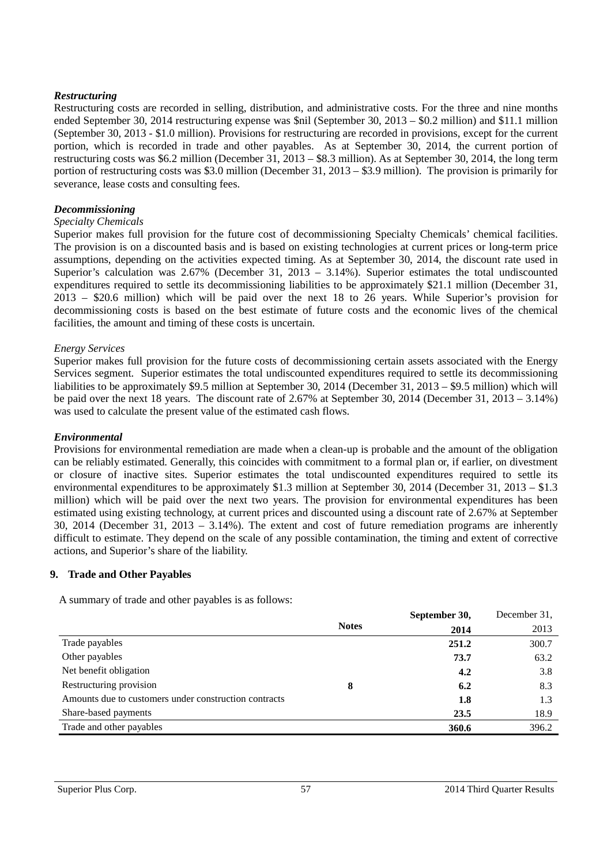### *Restructuring*

Restructuring costs are recorded in selling, distribution, and administrative costs. For the three and nine months ended September 30, 2014 restructuring expense was \$nil (September 30, 2013 – \$0.2 million) and \$11.1 million (September 30, 2013 - \$1.0 million). Provisions for restructuring are recorded in provisions, except for the current portion, which is recorded in trade and other payables. As at September 30, 2014, the current portion of restructuring costs was \$6.2 million (December 31, 2013 – \$8.3 million). As at September 30, 2014, the long term portion of restructuring costs was \$3.0 million (December 31, 2013 – \$3.9 million). The provision is primarily for severance, lease costs and consulting fees.

### *Decommissioning*

### *Specialty Chemicals*

Superior makes full provision for the future cost of decommissioning Specialty Chemicals' chemical facilities. The provision is on a discounted basis and is based on existing technologies at current prices or long-term price assumptions, depending on the activities expected timing. As at September 30, 2014, the discount rate used in Superior's calculation was 2.67% (December 31, 2013 – 3.14%). Superior estimates the total undiscounted expenditures required to settle its decommissioning liabilities to be approximately \$21.1 million (December 31, 2013 – \$20.6 million) which will be paid over the next 18 to 26 years. While Superior's provision for decommissioning costs is based on the best estimate of future costs and the economic lives of the chemical facilities, the amount and timing of these costs is uncertain.

### *Energy Services*

Superior makes full provision for the future costs of decommissioning certain assets associated with the Energy Services segment. Superior estimates the total undiscounted expenditures required to settle its decommissioning liabilities to be approximately \$9.5 million at September 30, 2014 (December 31, 2013 – \$9.5 million) which will be paid over the next 18 years. The discount rate of 2.67% at September 30, 2014 (December 31, 2013 – 3.14%) was used to calculate the present value of the estimated cash flows.

### *Environmental*

Provisions for environmental remediation are made when a clean-up is probable and the amount of the obligation can be reliably estimated. Generally, this coincides with commitment to a formal plan or, if earlier, on divestment or closure of inactive sites. Superior estimates the total undiscounted expenditures required to settle its environmental expenditures to be approximately \$1.3 million at September 30, 2014 (December 31, 2013 – \$1.3 million) which will be paid over the next two years. The provision for environmental expenditures has been estimated using existing technology, at current prices and discounted using a discount rate of 2.67% at September 30, 2014 (December 31, 2013 – 3.14%). The extent and cost of future remediation programs are inherently difficult to estimate. They depend on the scale of any possible contamination, the timing and extent of corrective actions, and Superior's share of the liability.

### **9. Trade and Other Payables**

A summary of trade and other payables is as follows:

|                                                       |              | September 30, | December 31. |
|-------------------------------------------------------|--------------|---------------|--------------|
|                                                       | <b>Notes</b> | 2014          | 2013         |
| Trade payables                                        |              | 251.2         | 300.7        |
| Other payables                                        |              | 73.7          | 63.2         |
| Net benefit obligation                                |              | 4.2           | 3.8          |
| Restructuring provision                               | 8            | 6.2           | 8.3          |
| Amounts due to customers under construction contracts |              | 1.8           | 1.3          |
| Share-based payments                                  |              | 23.5          | 18.9         |
| Trade and other payables                              |              | 360.6         | 396.2        |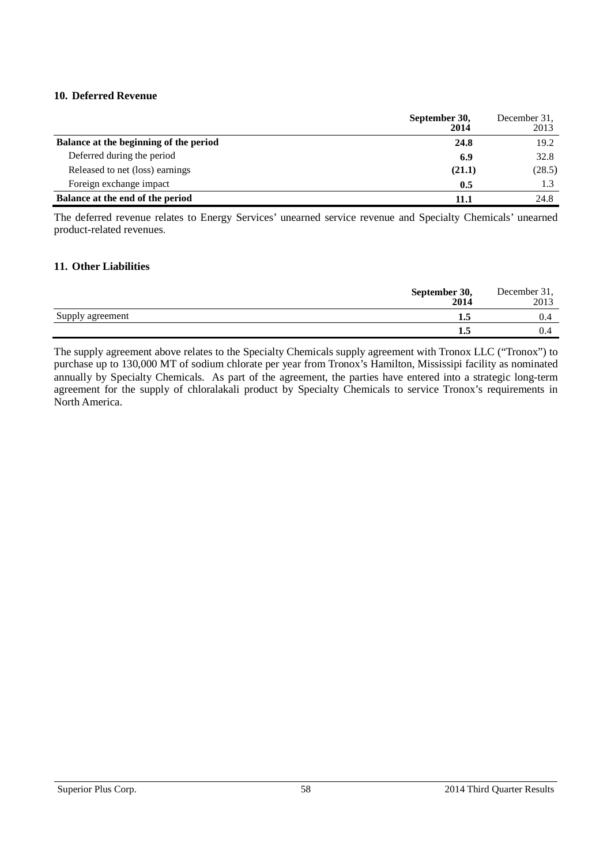### **10. Deferred Revenue**

|                                        | September 30,<br>2014 | December 31,<br>2013 |
|----------------------------------------|-----------------------|----------------------|
| Balance at the beginning of the period | 24.8                  | 19.2                 |
| Deferred during the period             | 6.9                   | 32.8                 |
| Released to net (loss) earnings        | (21.1)                | (28.5)               |
| Foreign exchange impact                | 0.5                   | 1.3                  |
| Balance at the end of the period       | 11.1                  | 24.8                 |

The deferred revenue relates to Energy Services' unearned service revenue and Specialty Chemicals' unearned product-related revenues.

## **11. Other Liabilities**

|                  | September 30,<br>2014 | December 31,<br>2013 |
|------------------|-----------------------|----------------------|
| Supply agreement | 1.J                   |                      |
|                  |                       |                      |

The supply agreement above relates to the Specialty Chemicals supply agreement with Tronox LLC ("Tronox") to purchase up to 130,000 MT of sodium chlorate per year from Tronox's Hamilton, Mississipi facility as nominated annually by Specialty Chemicals. As part of the agreement, the parties have entered into a strategic long-term agreement for the supply of chloralakali product by Specialty Chemicals to service Tronox's requirements in North America.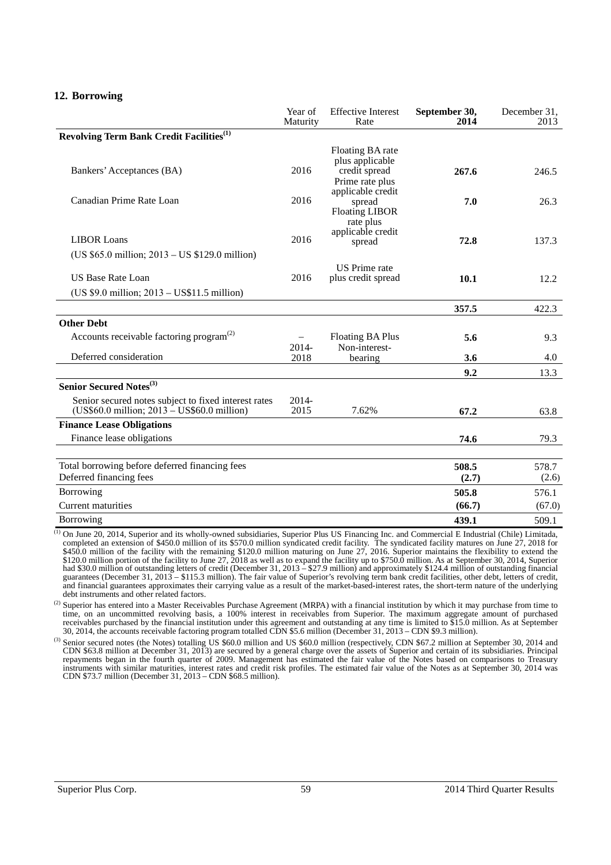### **12. Borrowing**

|                                                                                                                   | Year of<br>Maturity               | <b>Effective Interest</b><br>Rate                                       | September 30,<br>2014 | December 31,<br>2013 |
|-------------------------------------------------------------------------------------------------------------------|-----------------------------------|-------------------------------------------------------------------------|-----------------------|----------------------|
| <b>Revolving Term Bank Credit Facilities</b> <sup>(1)</sup>                                                       |                                   |                                                                         |                       |                      |
| Bankers' Acceptances (BA)                                                                                         | 2016                              | Floating BA rate<br>plus applicable<br>credit spread<br>Prime rate plus | 267.6                 | 246.5                |
| Canadian Prime Rate Loan                                                                                          | 2016                              | applicable credit<br>spread<br><b>Floating LIBOR</b><br>rate plus       | 7.0                   | 26.3                 |
| <b>LIBOR</b> Loans                                                                                                | 2016                              | applicable credit<br>spread                                             | 72.8                  | 137.3                |
| (US \$65.0 million; 2013 – US \$129.0 million)                                                                    |                                   |                                                                         |                       |                      |
| <b>US Base Rate Loan</b>                                                                                          | 2016                              | US Prime rate<br>plus credit spread                                     | 10.1                  | 12.2                 |
| (US \$9.0 million; 2013 – US\$11.5 million)                                                                       |                                   |                                                                         |                       |                      |
|                                                                                                                   |                                   |                                                                         | 357.5                 | 422.3                |
| <b>Other Debt</b>                                                                                                 |                                   |                                                                         |                       |                      |
| Accounts receivable factoring program <sup>(2)</sup>                                                              | $\overline{\phantom{0}}$<br>2014- | <b>Floating BA Plus</b><br>Non-interest-                                | 5.6                   | 9.3                  |
| Deferred consideration                                                                                            | 2018                              | bearing                                                                 | 3.6                   | 4.0                  |
|                                                                                                                   |                                   |                                                                         | 9.2                   | 13.3                 |
| <b>Senior Secured Notes</b> <sup>(3)</sup>                                                                        |                                   |                                                                         |                       |                      |
| Senior secured notes subject to fixed interest rates<br>$(US$60.0\text{ million}; 2013 - US$60.0\text{ million})$ | 2014-<br>2015                     | 7.62%                                                                   | 67.2                  | 63.8                 |
| <b>Finance Lease Obligations</b>                                                                                  |                                   |                                                                         |                       |                      |
| Finance lease obligations                                                                                         |                                   |                                                                         | 74.6                  | 79.3                 |
|                                                                                                                   |                                   |                                                                         |                       |                      |
| Total borrowing before deferred financing fees<br>Deferred financing fees                                         |                                   |                                                                         | 508.5<br>(2.7)        | 578.7<br>(2.6)       |
| Borrowing                                                                                                         |                                   |                                                                         | 505.8                 | 576.1                |
| <b>Current maturities</b>                                                                                         |                                   |                                                                         | (66.7)                | (67.0)               |
| <b>Borrowing</b>                                                                                                  |                                   |                                                                         | 439.1                 | 509.1                |

 $<sup>(1)</sup>$  On June 20, 2014, Superior and its wholly-owned subsidiaries, Superior Plus US Financing Inc. and Commercial E Industrial (Chile) Limitada,</sup> completed an extension of \$450.0 million of its \$570.0 million syndicated credit facility. The syndicated facility matures on June 27, 2018 for \$450.0 million of the facility with the remaining \$120.0 million maturing on June 27, 2016. Superior maintains the flexibility to extend the \$120.0 million portion of the facility to June 27, 2018 as well as to expand the facility up to \$750.0 million. As at September 30, 2014, Superior had \$30.0 million of outstanding letters of credit (December 31, 2013 – \$27.9 million) and approximately \$124.4 million of outstanding financial guarantees (December 31, 2013 – \$115.3 million). The fair value of Superior's revolving term bank credit facilities, other debt, letters of credit, and financial guarantees approximates their carrying value as a result of the market-based-interest rates, the short-term nature of the underlying debt instruments and other related factors.

<sup>(2)</sup> Superior has entered into a Master Receivables Purchase Agreement (MRPA) with a financial institution by which it may purchase from time to time, on an uncommitted revolving basis, a 100% interest in receivables from Superior. The maximum aggregate amount of purchased receivables purchased by the financial institution under this agreement and outstanding at any time is limited to \$15.0 million. As at September 30, 2014, the accounts receivable factoring program totalled CDN \$5.6 million (December 31, 2013 – CDN \$9.3 million).

<sup>(3)</sup> Senior secured notes (the Notes) totalling US \$60.0 million and US \$60.0 million (respectively, CDN \$67.2 million at September 30, 2014 and CDN \$63.8 million at December 31, 2013) are secured by a general charge over the assets of Superior and certain of its subsidiaries. Principal repayments began in the fourth quarter of 2009. Management has estimated the fair value of the Notes based on comparisons to Treasury instruments with similar maturities, interest rates and credit risk profiles. The estimated fair value of the Notes as at September 30, 2014 was CDN \$73.7 million (December 31, 2013 – CDN \$68.5 million).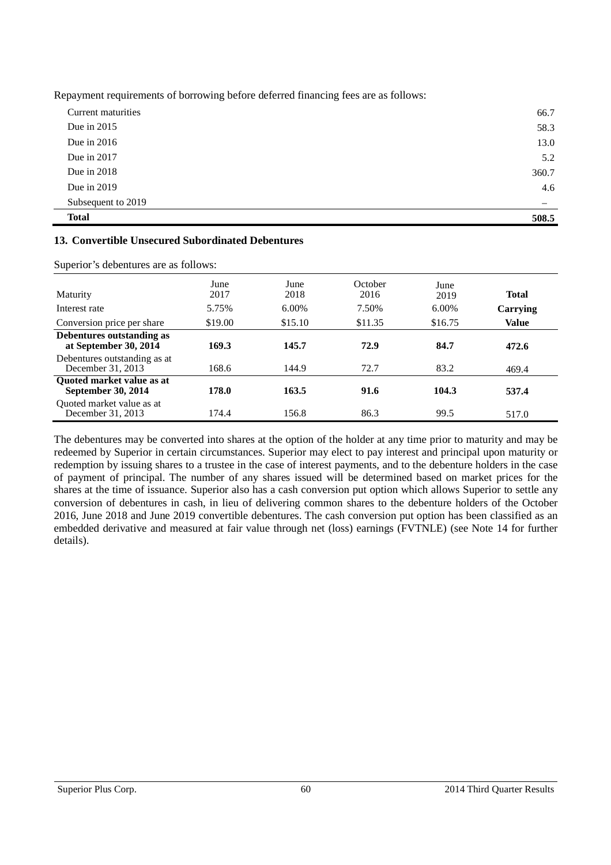Repayment requirements of borrowing before deferred financing fees are as follows:

| <b>Total</b>       | 508.5 |
|--------------------|-------|
| Subsequent to 2019 |       |
| Due in 2019        | 4.6   |
| Due in $2018$      | 360.7 |
| Due in 2017        | 5.2   |
| Due in 2016        | 13.0  |
| Due in 2015        | 58.3  |
| Current maturities | 66.7  |
|                    |       |

## **13. Convertible Unsecured Subordinated Debentures**

Superior's debentures are as follows:

| Maturity                                               | June<br>2017 | June<br>2018 | October<br>2016 | June<br>2019 | <b>Total</b> |
|--------------------------------------------------------|--------------|--------------|-----------------|--------------|--------------|
| Interest rate                                          | 5.75%        | $6.00\%$     | 7.50%           | $6.00\%$     | Carrying     |
| Conversion price per share                             | \$19.00      | \$15.10      | \$11.35         | \$16.75      | <b>Value</b> |
| Debentures outstanding as<br>at September 30, 2014     | 169.3        | 145.7        | 72.9            | 84.7         | 472.6        |
| Debentures outstanding as at<br>December 31, 2013      | 168.6        | 144.9        | 72.7            | 83.2         | 469.4        |
| <b>Ouoted market value as at</b><br>September 30, 2014 | 178.0        | 163.5        | 91.6            | 104.3        | 537.4        |
| Quoted market value as at<br>December 31, 2013         | 174.4        | 156.8        | 86.3            | 99.5         | 517.0        |

The debentures may be converted into shares at the option of the holder at any time prior to maturity and may be redeemed by Superior in certain circumstances. Superior may elect to pay interest and principal upon maturity or redemption by issuing shares to a trustee in the case of interest payments, and to the debenture holders in the case of payment of principal. The number of any shares issued will be determined based on market prices for the shares at the time of issuance. Superior also has a cash conversion put option which allows Superior to settle any conversion of debentures in cash, in lieu of delivering common shares to the debenture holders of the October 2016, June 2018 and June 2019 convertible debentures. The cash conversion put option has been classified as an embedded derivative and measured at fair value through net (loss) earnings (FVTNLE) (see Note 14 for further details).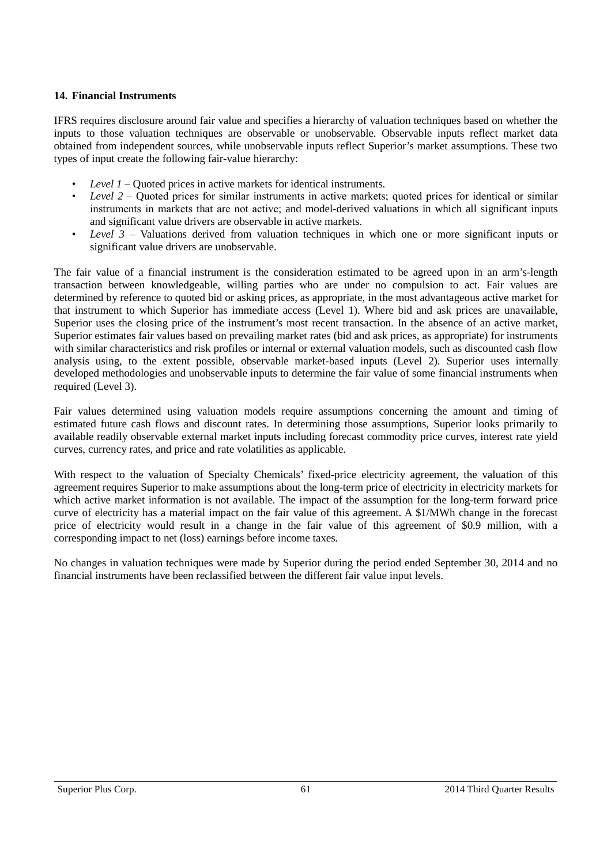## **14. Financial Instruments**

IFRS requires disclosure around fair value and specifies a hierarchy of valuation techniques based on whether the inputs to those valuation techniques are observable or unobservable. Observable inputs reflect market data obtained from independent sources, while unobservable inputs reflect Superior's market assumptions. These two types of input create the following fair-value hierarchy:

- *Level 1* Quoted prices in active markets for identical instruments.
- *Level 2* Quoted prices for similar instruments in active markets; quoted prices for identical or similar instruments in markets that are not active; and model-derived valuations in which all significant inputs and significant value drivers are observable in active markets.
- *Level 3* Valuations derived from valuation techniques in which one or more significant inputs or significant value drivers are unobservable.

The fair value of a financial instrument is the consideration estimated to be agreed upon in an arm's-length transaction between knowledgeable, willing parties who are under no compulsion to act. Fair values are determined by reference to quoted bid or asking prices, as appropriate, in the most advantageous active market for that instrument to which Superior has immediate access (Level 1). Where bid and ask prices are unavailable, Superior uses the closing price of the instrument's most recent transaction. In the absence of an active market, Superior estimates fair values based on prevailing market rates (bid and ask prices, as appropriate) for instruments with similar characteristics and risk profiles or internal or external valuation models, such as discounted cash flow analysis using, to the extent possible, observable market-based inputs (Level 2). Superior uses internally developed methodologies and unobservable inputs to determine the fair value of some financial instruments when required (Level 3).

Fair values determined using valuation models require assumptions concerning the amount and timing of estimated future cash flows and discount rates. In determining those assumptions, Superior looks primarily to available readily observable external market inputs including forecast commodity price curves, interest rate yield curves, currency rates, and price and rate volatilities as applicable.

With respect to the valuation of Specialty Chemicals' fixed-price electricity agreement, the valuation of this agreement requires Superior to make assumptions about the long-term price of electricity in electricity markets for which active market information is not available. The impact of the assumption for the long-term forward price curve of electricity has a material impact on the fair value of this agreement. A \$1/MWh change in the forecast price of electricity would result in a change in the fair value of this agreement of \$0.9 million, with a corresponding impact to net (loss) earnings before income taxes.

No changes in valuation techniques were made by Superior during the period ended September 30, 2014 and no financial instruments have been reclassified between the different fair value input levels.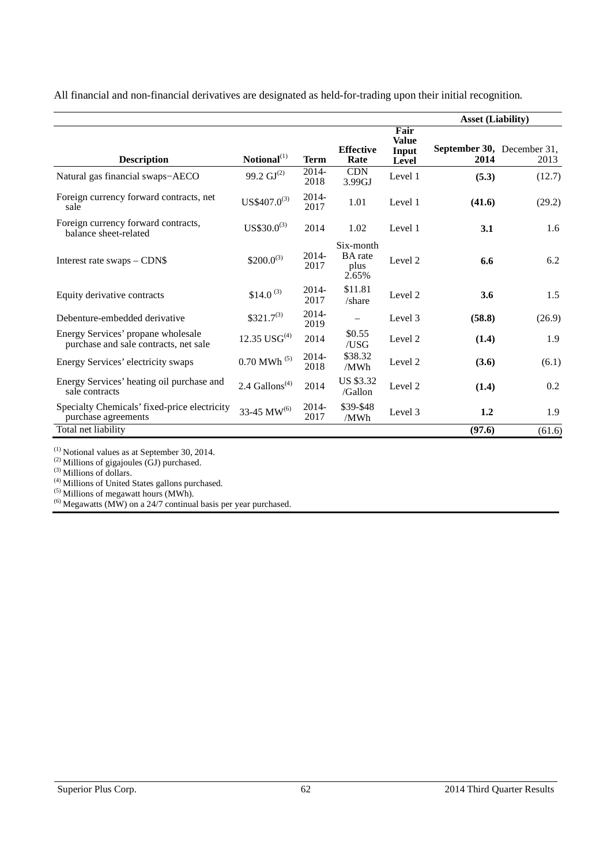|                                                                             |                                         |                  |                                              |                                        | <b>Asset (Liability)</b> |                                    |
|-----------------------------------------------------------------------------|-----------------------------------------|------------------|----------------------------------------------|----------------------------------------|--------------------------|------------------------------------|
| <b>Description</b>                                                          | Notional <sup>(1)</sup>                 | <b>Term</b>      | <b>Effective</b><br>Rate                     | Fair<br><b>Value</b><br>Input<br>Level | 2014                     | September 30, December 31,<br>2013 |
| Natural gas financial swaps-AECO                                            | 99.2 $GI^{(2)}$                         | $2014 -$<br>2018 | <b>CDN</b><br>3.99GJ                         | Level 1                                | (5.3)                    | (12.7)                             |
| Foreign currency forward contracts, net<br>sale                             | $US$407.0^{(3)}$                        | $2014 -$<br>2017 | 1.01                                         | Level 1                                | (41.6)                   | (29.2)                             |
| Foreign currency forward contracts,<br>balance sheet-related                | $US$30.0^{(3)}$                         | 2014             | 1.02                                         | Level 1                                | 3.1                      | 1.6                                |
| Interest rate swaps – CDN\$                                                 | $$200.0^{(3)}$                          | 2014-<br>2017    | Six-month<br><b>BA</b> rate<br>plus<br>2.65% | Level 2                                | 6.6                      | 6.2                                |
| Equity derivative contracts                                                 | \$14.0 <sup>(3)</sup>                   | $2014 -$<br>2017 | \$11.81<br>/share                            | Level 2                                | 3.6                      | 1.5                                |
| Debenture-embedded derivative                                               | $$321.7^{(3)}$                          | $2014 -$<br>2019 |                                              | Level 3                                | (58.8)                   | (26.9)                             |
| Energy Services' propane wholesale<br>purchase and sale contracts, net sale | $12.35$ USG <sup>(4)</sup>              | 2014             | \$0.55<br>/USG                               | Level 2                                | (1.4)                    | 1.9                                |
| Energy Services' electricity swaps                                          | $0.70$ MWh $^{(5)}$                     | 2014-<br>2018    | \$38.32<br>/MWh                              | Level 2                                | (3.6)                    | (6.1)                              |
| Energy Services' heating oil purchase and<br>sale contracts                 | 2.4 Gallons <sup><math>(4)</math></sup> | 2014             | US \$3.32<br>/Gallon                         | Level 2                                | (1.4)                    | 0.2                                |
| Specialty Chemicals' fixed-price electricity<br>purchase agreements         | 33-45 MW $^{(6)}$                       | $2014-$<br>2017  | \$39-\$48<br>/MWh                            | Level 3                                | 1.2                      | 1.9                                |
| Total net liability                                                         |                                         |                  |                                              |                                        | (97.6)                   | (61.6)                             |

All financial and non-financial derivatives are designated as held-for-trading upon their initial recognition.

 $(1)$  Notional values as at September 30, 2014.

 $^{(2)}$  Millions of gigajoules (GJ) purchased.

(3) Millions of dollars.

(4) Millions of United States gallons purchased.

 $<sup>(5)</sup>$  Millions of megawatt hours (MWh).</sup>

 $^{(6)}$  Megawatts (MW) on a 24/7 continual basis per year purchased.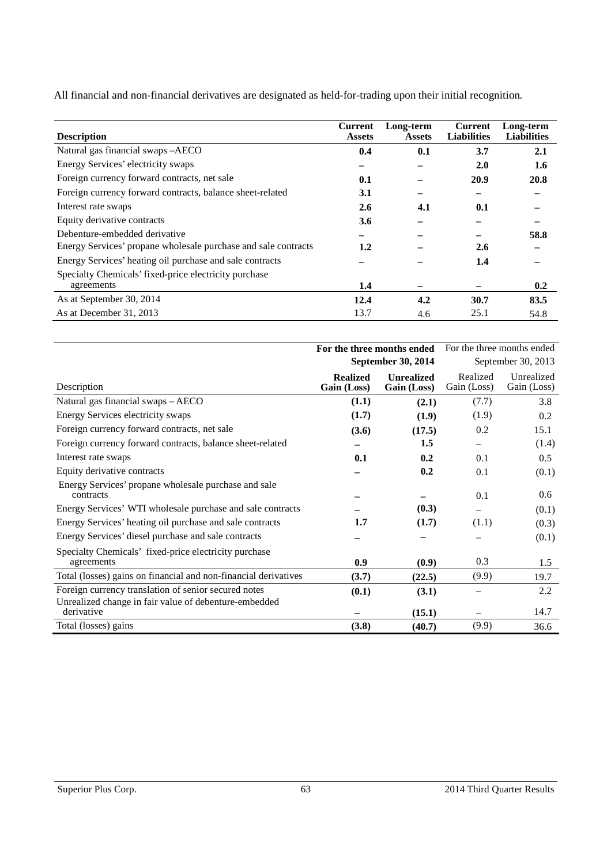All financial and non-financial derivatives are designated as held-for-trading upon their initial recognition.

| <b>Description</b>                                             | Current<br><b>Assets</b> | Long-term<br><b>Assets</b> | Current<br><b>Liabilities</b> | Long-term<br><b>Liabilities</b> |
|----------------------------------------------------------------|--------------------------|----------------------------|-------------------------------|---------------------------------|
| Natural gas financial swaps -AECO                              | 0.4                      | 0.1                        | 3.7                           | 2.1                             |
| Energy Services' electricity swaps                             |                          |                            | 2.0                           | 1.6                             |
| Foreign currency forward contracts, net sale                   | 0.1                      |                            | 20.9                          | 20.8                            |
| Foreign currency forward contracts, balance sheet-related      | 3.1                      |                            |                               |                                 |
| Interest rate swaps                                            | 2.6                      | 4.1                        | 0.1                           |                                 |
| Equity derivative contracts                                    | 3.6                      |                            |                               |                                 |
| Debenture-embedded derivative                                  |                          |                            |                               | 58.8                            |
| Energy Services' propane wholesale purchase and sale contracts | $1.2\,$                  |                            | 2.6                           |                                 |
| Energy Services' heating oil purchase and sale contracts       |                          |                            | 1.4                           |                                 |
| Specialty Chemicals' fixed-price electricity purchase          |                          |                            |                               |                                 |
| agreements                                                     | 1.4                      |                            |                               | 0.2                             |
| As at September 30, 2014                                       | 12.4                     | 4.2                        | 30.7                          | 83.5                            |
| As at December 31, 2013                                        | 13.7                     | 4.6                        | 25.1                          | 54.8                            |

|                                                                     | For the three months ended     |                                  | For the three months ended |                           |  |
|---------------------------------------------------------------------|--------------------------------|----------------------------------|----------------------------|---------------------------|--|
|                                                                     |                                | September 30, 2014               | September 30, 2013         |                           |  |
| Description                                                         | <b>Realized</b><br>Gain (Loss) | <b>Unrealized</b><br>Gain (Loss) | Realized<br>Gain (Loss)    | Unrealized<br>Gain (Loss) |  |
| Natural gas financial swaps - AECO                                  | (1.1)                          | (2.1)                            | (7.7)                      | 3.8                       |  |
| Energy Services electricity swaps                                   | (1.7)                          | (1.9)                            | (1.9)                      | 0.2                       |  |
| Foreign currency forward contracts, net sale                        | (3.6)                          | (17.5)                           | 0.2                        | 15.1                      |  |
| Foreign currency forward contracts, balance sheet-related           |                                | $1.5\,$                          | $\overline{\phantom{0}}$   | (1.4)                     |  |
| Interest rate swaps                                                 | 0.1                            | 0.2                              | 0.1                        | 0.5                       |  |
| Equity derivative contracts                                         |                                | 0.2                              | 0.1                        | (0.1)                     |  |
| Energy Services' propane wholesale purchase and sale<br>contracts   |                                |                                  | 0.1                        | 0.6                       |  |
| Energy Services' WTI wholesale purchase and sale contracts          |                                | (0.3)                            |                            | (0.1)                     |  |
| Energy Services' heating oil purchase and sale contracts            | 1.7                            | (1.7)                            | (1.1)                      | (0.3)                     |  |
| Energy Services' diesel purchase and sale contracts                 |                                |                                  |                            | (0.1)                     |  |
| Specialty Chemicals' fixed-price electricity purchase<br>agreements | 0.9                            | (0.9)                            | 0.3                        | 1.5                       |  |
| Total (losses) gains on financial and non-financial derivatives     | (3.7)                          | (22.5)                           | (9.9)                      | 19.7                      |  |
| Foreign currency translation of senior secured notes                | (0.1)                          | (3.1)                            |                            | 2.2                       |  |
| Unrealized change in fair value of debenture-embedded<br>derivative |                                | (15.1)                           |                            | 14.7                      |  |
| Total (losses) gains                                                | (3.8)                          | (40.7)                           | (9.9)                      | 36.6                      |  |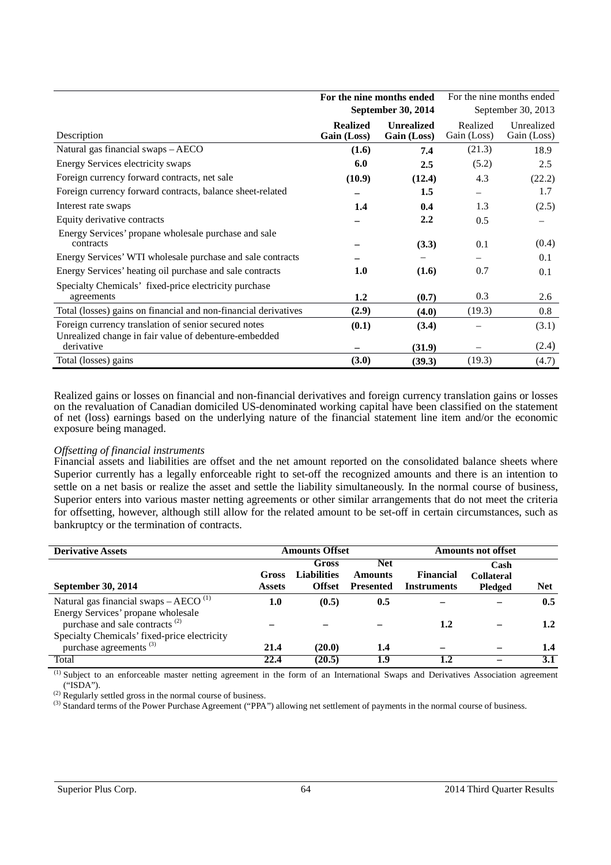|                                                                     | For the nine months ended      |                                  | For the nine months ended |                           |  |
|---------------------------------------------------------------------|--------------------------------|----------------------------------|---------------------------|---------------------------|--|
|                                                                     | <b>September 30, 2014</b>      |                                  | September 30, 2013        |                           |  |
| Description                                                         | <b>Realized</b><br>Gain (Loss) | <b>Unrealized</b><br>Gain (Loss) | Realized<br>Gain (Loss)   | Unrealized<br>Gain (Loss) |  |
| Natural gas financial swaps - AECO                                  | (1.6)                          | 7.4                              | (21.3)                    | 18.9                      |  |
| Energy Services electricity swaps                                   | 6.0                            | 2.5                              | (5.2)                     | 2.5                       |  |
| Foreign currency forward contracts, net sale                        | (10.9)                         | (12.4)                           | 4.3                       | (22.2)                    |  |
| Foreign currency forward contracts, balance sheet-related           |                                | $1.5\,$                          | $\overline{\phantom{0}}$  | 1.7                       |  |
| Interest rate swaps                                                 | 1.4                            | 0.4                              | 1.3                       | (2.5)                     |  |
| Equity derivative contracts                                         |                                | $2.2\,$                          | 0.5                       |                           |  |
| Energy Services' propane wholesale purchase and sale<br>contracts   |                                | (3.3)                            | 0.1                       | (0.4)                     |  |
| Energy Services' WTI wholesale purchase and sale contracts          |                                |                                  |                           | 0.1                       |  |
| Energy Services' heating oil purchase and sale contracts            | 1.0                            | (1.6)                            | 0.7                       | 0.1                       |  |
| Specialty Chemicals' fixed-price electricity purchase<br>agreements | 1.2                            | (0.7)                            | 0.3                       | 2.6                       |  |
| Total (losses) gains on financial and non-financial derivatives     | (2.9)                          | (4.0)                            | (19.3)                    | 0.8                       |  |
| Foreign currency translation of senior secured notes                | (0.1)                          | (3.4)                            |                           | (3.1)                     |  |
| Unrealized change in fair value of debenture-embedded<br>derivative |                                | (31.9)                           |                           | (2.4)                     |  |
| Total (losses) gains                                                | (3.0)                          | (39.3)                           | (19.3)                    | (4.7)                     |  |

Realized gains or losses on financial and non-financial derivatives and foreign currency translation gains or losses on the revaluation of Canadian domiciled US-denominated working capital have been classified on the statement of net (loss) earnings based on the underlying nature of the financial statement line item and/or the economic exposure being managed.

### *Offsetting of financial instruments*

Financial assets and liabilities are offset and the net amount reported on the consolidated balance sheets where Superior currently has a legally enforceable right to set-off the recognized amounts and there is an intention to settle on a net basis or realize the asset and settle the liability simultaneously. In the normal course of business, Superior enters into various master netting agreements or other similar arrangements that do not meet the criteria for offsetting, however, although still allow for the related amount to be set-off in certain circumstances, such as bankruptcy or the termination of contracts.

| <b>Derivative Assets</b>                                                         | <b>Amounts Offset</b>  |                                              |                                                  |                                 | <b>Amounts not offset</b>            |               |
|----------------------------------------------------------------------------------|------------------------|----------------------------------------------|--------------------------------------------------|---------------------------------|--------------------------------------|---------------|
| September 30, 2014                                                               | Gross<br><b>Assets</b> | Gross<br><b>Liabilities</b><br><b>Offset</b> | <b>Net</b><br><b>Amounts</b><br><b>Presented</b> | Financial<br><b>Instruments</b> | Cash<br><b>Collateral</b><br>Pledged | <b>Net</b>    |
| Natural gas financial swaps $-$ AECO <sup><math>(1)</math></sup>                 | 1.0                    | (0.5)                                        | 0.5                                              |                                 |                                      | 0.5           |
| Energy Services' propane wholesale<br>purchase and sale contracts <sup>(2)</sup> |                        |                                              |                                                  | 1.2                             |                                      | $1.2^{\circ}$ |
| Specialty Chemicals' fixed-price electricity<br>purchase agreements $^{(3)}$     | 21.4                   | (20.0)                                       | 1.4                                              |                                 |                                      | 1.4           |
| Total                                                                            | 22.4                   | (20.5)                                       | 1.9                                              | 1.2                             |                                      | 3.1           |

(1) Subject to an enforceable master netting agreement in the form of an International Swaps and Derivatives Association agreement ("ISDA").

 $(2)$  Regularly settled gross in the normal course of business.

(3) Standard terms of the Power Purchase Agreement ("PPA") allowing net settlement of payments in the normal course of business.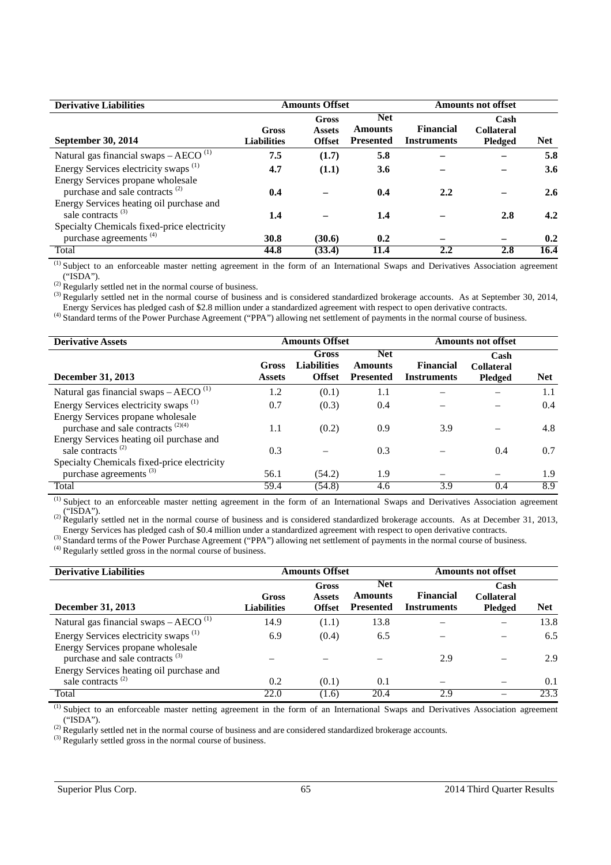| <b>Derivative Liabilities</b>                                                     | <b>Amounts Offset</b>       |                                         |                                                  |                                        | <b>Amounts not offset</b>                   |            |
|-----------------------------------------------------------------------------------|-----------------------------|-----------------------------------------|--------------------------------------------------|----------------------------------------|---------------------------------------------|------------|
| September 30, 2014                                                                | Gross<br><b>Liabilities</b> | Gross<br><b>Assets</b><br><b>Offset</b> | <b>Net</b><br><b>Amounts</b><br><b>Presented</b> | <b>Financial</b><br><b>Instruments</b> | Cash<br><b>Collateral</b><br><b>Pledged</b> | <b>Net</b> |
| Natural gas financial swaps $-$ AECO <sup><math>(1)</math></sup>                  | 7.5                         | (1.7)                                   | 5.8                                              |                                        |                                             | 5.8        |
| Energy Services electricity swaps <sup>(1)</sup>                                  | 4.7                         | (1.1)                                   | 3.6                                              |                                        |                                             | 3.6        |
| Energy Services propane wholesale<br>purchase and sale contracts <sup>(2)</sup>   | 0.4                         |                                         | 0.4                                              | 2.2                                    |                                             | 2.6        |
| Energy Services heating oil purchase and<br>sale contracts $(3)$                  | 1.4                         |                                         | 1.4                                              |                                        | 2.8                                         | 4.2        |
| Specialty Chemicals fixed-price electricity<br>purchase agreements <sup>(4)</sup> | 30.8                        | (30.6)                                  | 0.2                                              |                                        |                                             | 0.2        |
| Total                                                                             | 44.8                        | (33.4)                                  | 11.4                                             | 2.2                                    | 2.8                                         | 16.4       |

(1) Subject to an enforceable master netting agreement in the form of an International Swaps and Derivatives Association agreement ("ISDA").

 $(2)$  Regularly settled net in the normal course of business.

 $^{(3)}$  Regularly settled net in the normal course of business and is considered standardized brokerage accounts. As at September 30, 2014, Energy Services has pledged cash of \$2.8 million under a standardized agreement with respect to open derivative contracts.

(4) Standard terms of the Power Purchase Agreement ("PPA") allowing net settlement of payments in the normal course of business.

| <b>Derivative Assets</b>                                                                                              | <b>Amounts Offset</b>  |                                              |                                                  | <b>Amounts not offset</b>       |                                             |            |
|-----------------------------------------------------------------------------------------------------------------------|------------------------|----------------------------------------------|--------------------------------------------------|---------------------------------|---------------------------------------------|------------|
| <b>December 31, 2013</b>                                                                                              | Gross<br><b>Assets</b> | Gross<br><b>Liabilities</b><br><b>Offset</b> | <b>Net</b><br><b>Amounts</b><br><b>Presented</b> | Financial<br><b>Instruments</b> | Cash<br><b>Collateral</b><br><b>Pledged</b> | <b>Net</b> |
| Natural gas financial swaps $-$ AECO <sup><math>(1)</math></sup>                                                      | 1.2                    | (0.1)                                        | 1.1                                              |                                 |                                             | 1.1        |
| Energy Services electricity swaps <sup>(1)</sup>                                                                      | 0.7                    | (0.3)                                        | 0.4                                              |                                 |                                             | 0.4        |
| Energy Services propane wholesale<br>purchase and sale contracts $(2)(4)$<br>Energy Services heating oil purchase and | 1.1                    | (0.2)                                        | 0.9                                              | 3.9                             |                                             | 4.8        |
| sale contracts <sup><math>(2)</math></sup>                                                                            | 0.3                    |                                              | 0.3                                              |                                 | 0.4                                         | 0.7        |
| Specialty Chemicals fixed-price electricity<br>purchase agreements <sup>(3)</sup>                                     | 56.1                   | (54.2)                                       | 1.9                                              |                                 |                                             | 1.9        |
| Total                                                                                                                 | 59.4                   | (54.8)                                       | 4.6                                              | 3.9                             | 0.4                                         | 8.9        |

(1) Subject to an enforceable master netting agreement in the form of an International Swaps and Derivatives Association agreement ("ISDA").

<sup>(2)</sup> Regularly settled net in the normal course of business and is considered standardized brokerage accounts. As at December 31, 2013, Energy Services has pledged cash of \$0.4 million under a standardized agreement with respect to open derivative contracts.

<sup>(3)</sup> Standard terms of the Power Purchase Agreement ("PPA") allowing net settlement of payments in the normal course of business.

(4) Regularly settled gross in the normal course of business.

| <b>Derivative Liabilities</b>                                                                                               | <b>Amounts Offset</b> |                                         |                                           | <b>Amounts not offset</b>              |                                      |            |
|-----------------------------------------------------------------------------------------------------------------------------|-----------------------|-----------------------------------------|-------------------------------------------|----------------------------------------|--------------------------------------|------------|
| December 31, 2013                                                                                                           | Gross<br>Liabilities  | Gross<br><b>Assets</b><br><b>Offset</b> | <b>Net</b><br><b>Amounts</b><br>Presented | <b>Financial</b><br><b>Instruments</b> | Cash<br><b>Collateral</b><br>Pledged | <b>Net</b> |
| Natural gas financial swaps $-$ AECO <sup><math>(1)</math></sup>                                                            | 14.9                  | (1.1)                                   | 13.8                                      |                                        |                                      | 13.8       |
| Energy Services electricity swaps <sup>(1)</sup>                                                                            | 6.9                   | (0.4)                                   | 6.5                                       |                                        |                                      | 6.5        |
| Energy Services propane wholesale<br>purchase and sale contracts <sup>(3)</sup><br>Energy Services heating oil purchase and |                       |                                         |                                           | 2.9                                    |                                      | 2.9        |
| sale contracts <sup>(2)</sup>                                                                                               | 0.2                   | (0.1)                                   | 0.1                                       |                                        |                                      | 0.1        |
| Total                                                                                                                       | 22.0                  | (1.6)                                   | 20.4                                      | 2.9                                    |                                      | 23.3       |

<sup>(1)</sup> Subject to an enforceable master netting agreement in the form of an International Swaps and Derivatives Association agreement ("ISDA").

(2) Regularly settled net in the normal course of business and are considered standardized brokerage accounts.

<sup>(3)</sup> Regularly settled gross in the normal course of business.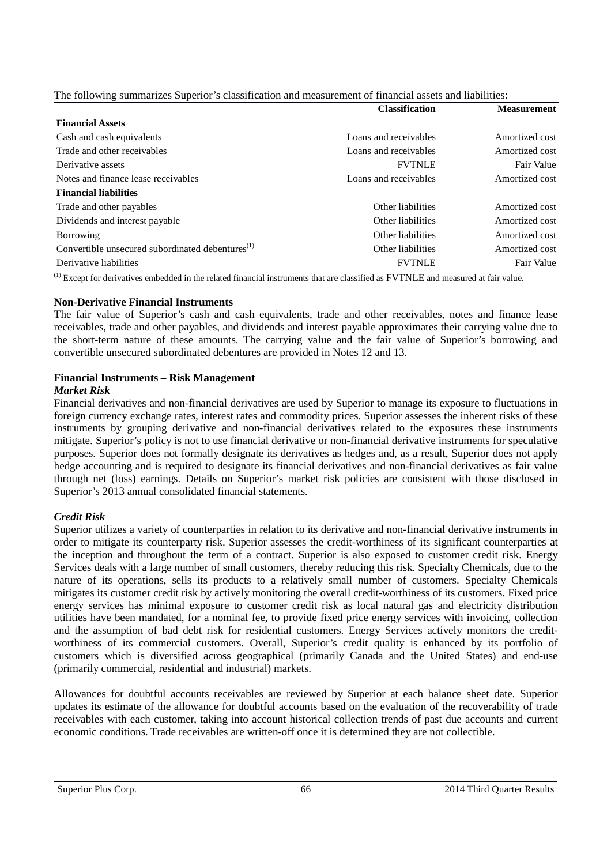The following summarizes Superior's classification and measurement of financial assets and liabilities:

|                                                              | <b>Classification</b> | <b>Measurement</b> |
|--------------------------------------------------------------|-----------------------|--------------------|
| <b>Financial Assets</b>                                      |                       |                    |
| Cash and cash equivalents                                    | Loans and receivables | Amortized cost     |
| Trade and other receivables                                  | Loans and receivables | Amortized cost     |
| Derivative assets                                            | <b>FVTNLE</b>         | Fair Value         |
| Notes and finance lease receivables                          | Loans and receivables | Amortized cost     |
| <b>Financial liabilities</b>                                 |                       |                    |
| Trade and other payables                                     | Other liabilities     | Amortized cost     |
| Dividends and interest payable                               | Other liabilities     | Amortized cost     |
| Borrowing                                                    | Other liabilities     | Amortized cost     |
| Convertible unsecured subordinated debentures <sup>(1)</sup> | Other liabilities     | Amortized cost     |
| Derivative liabilities                                       | <b>FVTNLE</b>         | Fair Value         |

 $<sup>(1)</sup>$  Except for derivatives embedded in the related financial instruments that are classified as  $FVTNLE$  and measured at fair value.</sup>

## **Non-Derivative Financial Instruments**

The fair value of Superior's cash and cash equivalents, trade and other receivables, notes and finance lease receivables, trade and other payables, and dividends and interest payable approximates their carrying value due to the short-term nature of these amounts. The carrying value and the fair value of Superior's borrowing and convertible unsecured subordinated debentures are provided in Notes 12 and 13.

# **Financial Instruments – Risk Management**

## *Market Risk*

Financial derivatives and non-financial derivatives are used by Superior to manage its exposure to fluctuations in foreign currency exchange rates, interest rates and commodity prices. Superior assesses the inherent risks of these instruments by grouping derivative and non-financial derivatives related to the exposures these instruments mitigate. Superior's policy is not to use financial derivative or non-financial derivative instruments for speculative purposes. Superior does not formally designate its derivatives as hedges and, as a result, Superior does not apply hedge accounting and is required to designate its financial derivatives and non-financial derivatives as fair value through net (loss) earnings. Details on Superior's market risk policies are consistent with those disclosed in Superior's 2013 annual consolidated financial statements.

# *Credit Risk*

Superior utilizes a variety of counterparties in relation to its derivative and non-financial derivative instruments in order to mitigate its counterparty risk. Superior assesses the credit-worthiness of its significant counterparties at the inception and throughout the term of a contract. Superior is also exposed to customer credit risk. Energy Services deals with a large number of small customers, thereby reducing this risk. Specialty Chemicals, due to the nature of its operations, sells its products to a relatively small number of customers. Specialty Chemicals mitigates its customer credit risk by actively monitoring the overall credit-worthiness of its customers. Fixed price energy services has minimal exposure to customer credit risk as local natural gas and electricity distribution utilities have been mandated, for a nominal fee, to provide fixed price energy services with invoicing, collection and the assumption of bad debt risk for residential customers. Energy Services actively monitors the creditworthiness of its commercial customers. Overall, Superior's credit quality is enhanced by its portfolio of customers which is diversified across geographical (primarily Canada and the United States) and end-use (primarily commercial, residential and industrial) markets.

Allowances for doubtful accounts receivables are reviewed by Superior at each balance sheet date. Superior updates its estimate of the allowance for doubtful accounts based on the evaluation of the recoverability of trade receivables with each customer, taking into account historical collection trends of past due accounts and current economic conditions. Trade receivables are written-off once it is determined they are not collectible.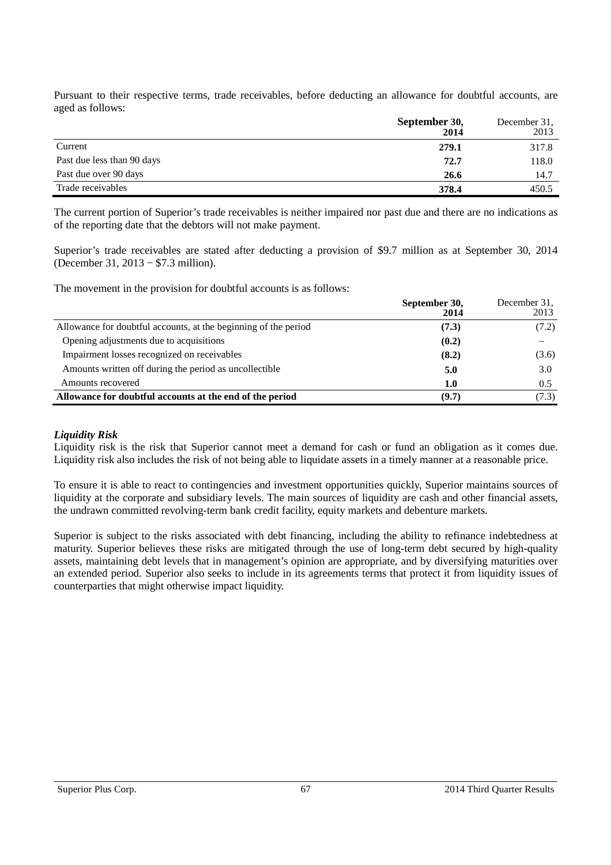Pursuant to their respective terms, trade receivables, before deducting an allowance for doubtful accounts, are aged as follows:

|                            | September 30,<br>2014 | December 31,<br>2013 |
|----------------------------|-----------------------|----------------------|
| Current                    | 279.1                 | 317.8                |
| Past due less than 90 days | 72.7                  | 118.0                |
| Past due over 90 days      | 26.6                  | 14.7                 |
| Trade receivables          | 378.4                 | 450.5                |

The current portion of Superior's trade receivables is neither impaired nor past due and there are no indications as of the reporting date that the debtors will not make payment.

Superior's trade receivables are stated after deducting a provision of \$9.7 million as at September 30, 2014 (December 31, 2013 − \$7.3 million).

The movement in the provision for doubtful accounts is as follows:

|                                                                 | September 30,<br>2014 | December 31,<br>2013 |
|-----------------------------------------------------------------|-----------------------|----------------------|
| Allowance for doubtful accounts, at the beginning of the period | (7.3)                 | (7.2)                |
| Opening adjustments due to acquisitions                         | (0.2)                 |                      |
| Impairment losses recognized on receivables                     | (8.2)                 | (3.6)                |
| Amounts written off during the period as uncollectible          | 5.0                   | 3.0                  |
| Amounts recovered                                               | 1.0                   | 0.5                  |
| Allowance for doubtful accounts at the end of the period        | (9.7)                 | (7.3)                |

## *Liquidity Risk*

Liquidity risk is the risk that Superior cannot meet a demand for cash or fund an obligation as it comes due. Liquidity risk also includes the risk of not being able to liquidate assets in a timely manner at a reasonable price.

To ensure it is able to react to contingencies and investment opportunities quickly, Superior maintains sources of liquidity at the corporate and subsidiary levels. The main sources of liquidity are cash and other financial assets, the undrawn committed revolving-term bank credit facility, equity markets and debenture markets.

Superior is subject to the risks associated with debt financing, including the ability to refinance indebtedness at maturity. Superior believes these risks are mitigated through the use of long-term debt secured by high-quality assets, maintaining debt levels that in management's opinion are appropriate, and by diversifying maturities over an extended period. Superior also seeks to include in its agreements terms that protect it from liquidity issues of counterparties that might otherwise impact liquidity.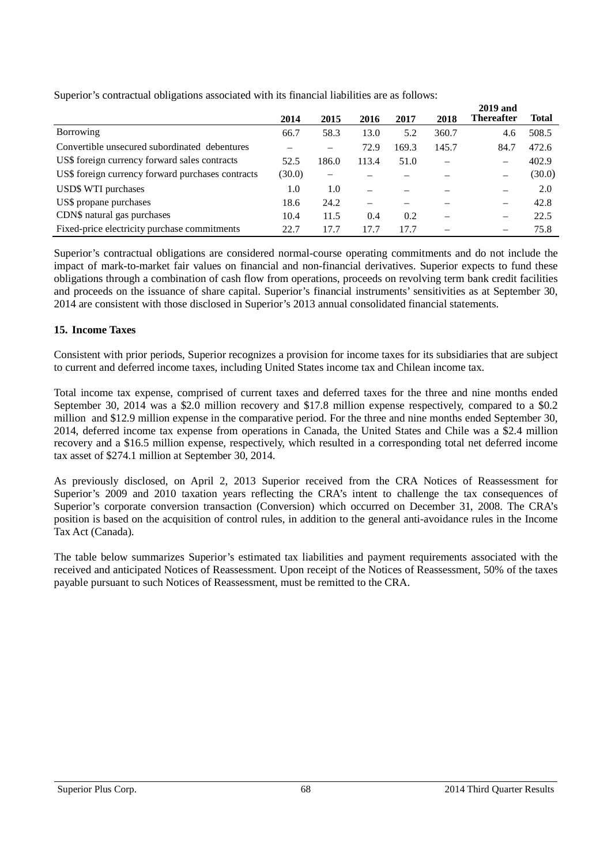|                                                   |        |       |       |       |       | 2019 and                 |              |
|---------------------------------------------------|--------|-------|-------|-------|-------|--------------------------|--------------|
|                                                   | 2014   | 2015  | 2016  | 2017  | 2018  | <b>Thereafter</b>        | <b>Total</b> |
| <b>Borrowing</b>                                  | 66.7   | 58.3  | 13.0  | 5.2   | 360.7 | 4.6                      | 508.5        |
| Convertible unsecured subordinated debentures     |        |       | 72.9  | 169.3 | 145.7 | 84.7                     | 472.6        |
| US\$ foreign currency forward sales contracts     | 52.5   | 186.0 | 113.4 | 51.0  |       |                          | 402.9        |
| US\$ foreign currency forward purchases contracts | (30.0) |       |       |       |       | $\overline{\phantom{0}}$ | (30.0)       |
| USD\$ WTI purchases                               | 1.0    | 1.0   |       |       |       |                          | 2.0          |
| US\$ propane purchases                            | 18.6   | 24.2  |       |       |       |                          | 42.8         |
| CDN\$ natural gas purchases                       | 10.4   | 11.5  | 0.4   | 0.2   |       |                          | 22.5         |
| Fixed-price electricity purchase commitments      | 22.7   | 17.7  | 17.7  | 17.7  |       |                          | 75.8         |

Superior's contractual obligations associated with its financial liabilities are as follows:

Superior's contractual obligations are considered normal-course operating commitments and do not include the impact of mark-to-market fair values on financial and non-financial derivatives. Superior expects to fund these obligations through a combination of cash flow from operations, proceeds on revolving term bank credit facilities and proceeds on the issuance of share capital. Superior's financial instruments' sensitivities as at September 30, 2014 are consistent with those disclosed in Superior's 2013 annual consolidated financial statements.

### **15. Income Taxes**

Consistent with prior periods, Superior recognizes a provision for income taxes for its subsidiaries that are subject to current and deferred income taxes, including United States income tax and Chilean income tax.

Total income tax expense, comprised of current taxes and deferred taxes for the three and nine months ended September 30, 2014 was a \$2.0 million recovery and \$17.8 million expense respectively, compared to a \$0.2 million and \$12.9 million expense in the comparative period. For the three and nine months ended September 30, 2014, deferred income tax expense from operations in Canada, the United States and Chile was a \$2.4 million recovery and a \$16.5 million expense, respectively, which resulted in a corresponding total net deferred income tax asset of \$274.1 million at September 30, 2014.

As previously disclosed, on April 2, 2013 Superior received from the CRA Notices of Reassessment for Superior's 2009 and 2010 taxation years reflecting the CRA's intent to challenge the tax consequences of Superior's corporate conversion transaction (Conversion) which occurred on December 31, 2008. The CRA's position is based on the acquisition of control rules, in addition to the general anti-avoidance rules in the Income Tax Act (Canada).

The table below summarizes Superior's estimated tax liabilities and payment requirements associated with the received and anticipated Notices of Reassessment. Upon receipt of the Notices of Reassessment, 50% of the taxes payable pursuant to such Notices of Reassessment, must be remitted to the CRA.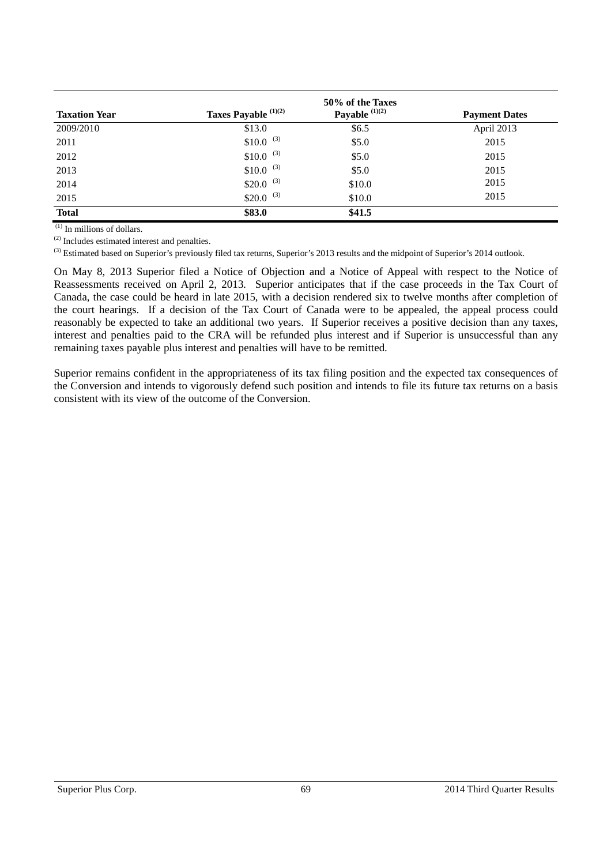|                      |                        | 50% of the Taxes    |                      |
|----------------------|------------------------|---------------------|----------------------|
| <b>Taxation Year</b> | Taxes Payable (1)(2)   | Payable $^{(1)(2)}$ | <b>Payment Dates</b> |
| 2009/2010            | \$13.0                 | \$6.5               | April 2013           |
| 2011                 | $$10.0$ (3)            | \$5.0               | 2015                 |
| 2012                 | $$10.0$ <sup>(3)</sup> | \$5.0               | 2015                 |
| 2013                 | $$10.0$ <sup>(3)</sup> | \$5.0               | 2015                 |
| 2014                 | $$20.0$ <sup>(3)</sup> | \$10.0              | 2015                 |
| 2015                 | $$20.0$ <sup>(3)</sup> | \$10.0              | 2015                 |
| <b>Total</b>         | \$83.0                 | \$41.5              |                      |

 $(1)$  In millions of dollars.

(2) Includes estimated interest and penalties.

<sup>(3)</sup> Estimated based on Superior's previously filed tax returns, Superior's 2013 results and the midpoint of Superior's 2014 outlook.

On May 8, 2013 Superior filed a Notice of Objection and a Notice of Appeal with respect to the Notice of Reassessments received on April 2, 2013. Superior anticipates that if the case proceeds in the Tax Court of Canada, the case could be heard in late 2015, with a decision rendered six to twelve months after completion of the court hearings. If a decision of the Tax Court of Canada were to be appealed, the appeal process could reasonably be expected to take an additional two years. If Superior receives a positive decision than any taxes, interest and penalties paid to the CRA will be refunded plus interest and if Superior is unsuccessful than any remaining taxes payable plus interest and penalties will have to be remitted.

Superior remains confident in the appropriateness of its tax filing position and the expected tax consequences of the Conversion and intends to vigorously defend such position and intends to file its future tax returns on a basis consistent with its view of the outcome of the Conversion.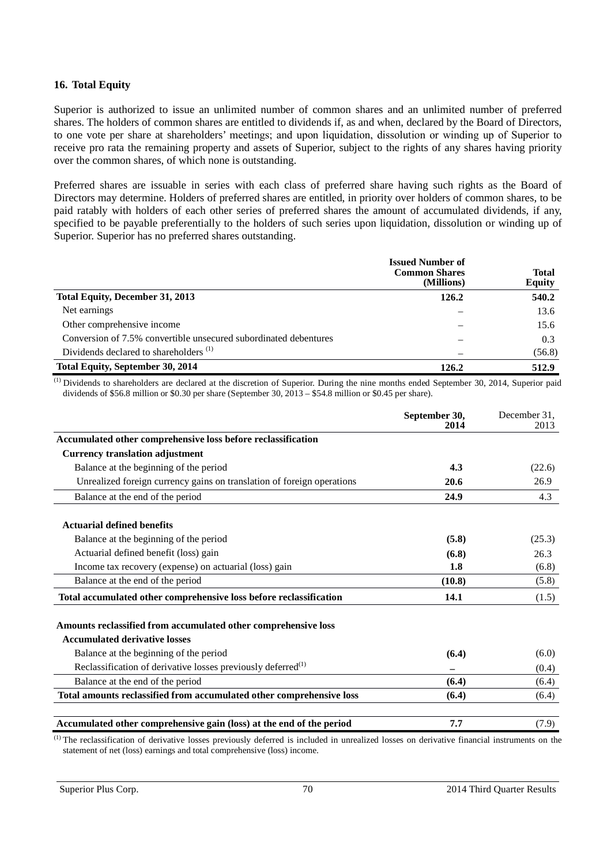### **16. Total Equity**

Superior is authorized to issue an unlimited number of common shares and an unlimited number of preferred shares. The holders of common shares are entitled to dividends if, as and when, declared by the Board of Directors, to one vote per share at shareholders' meetings; and upon liquidation, dissolution or winding up of Superior to receive pro rata the remaining property and assets of Superior, subject to the rights of any shares having priority over the common shares, of which none is outstanding.

Preferred shares are issuable in series with each class of preferred share having such rights as the Board of Directors may determine. Holders of preferred shares are entitled, in priority over holders of common shares, to be paid ratably with holders of each other series of preferred shares the amount of accumulated dividends, if any, specified to be payable preferentially to the holders of such series upon liquidation, dissolution or winding up of Superior. Superior has no preferred shares outstanding.

|                                                                  | <b>Issued Number of</b><br><b>Common Shares</b><br>(Millions) | <b>Total</b><br><b>Equity</b> |
|------------------------------------------------------------------|---------------------------------------------------------------|-------------------------------|
| <b>Total Equity, December 31, 2013</b>                           | 126.2                                                         | 540.2                         |
| Net earnings                                                     |                                                               | 13.6                          |
| Other comprehensive income                                       |                                                               | 15.6                          |
| Conversion of 7.5% convertible unsecured subordinated debentures |                                                               | 0.3                           |
| Dividends declared to shareholders <sup>(1)</sup>                |                                                               | (56.8)                        |
| <b>Total Equity, September 30, 2014</b>                          | 126.2                                                         | 512.9                         |

<sup>(1)</sup> Dividends to shareholders are declared at the discretion of Superior. During the nine months ended September 30, 2014, Superior paid dividends of \$56.8 million or \$0.30 per share (September 30, 2013 – \$54.8 million or \$0.45 per share).

|                                                                          | September 30,<br>2014 | December 31.<br>2013 |
|--------------------------------------------------------------------------|-----------------------|----------------------|
| Accumulated other comprehensive loss before reclassification             |                       |                      |
| <b>Currency translation adjustment</b>                                   |                       |                      |
| Balance at the beginning of the period                                   | 4.3                   | (22.6)               |
| Unrealized foreign currency gains on translation of foreign operations   | 20.6                  | 26.9                 |
| Balance at the end of the period                                         | 24.9                  | 4.3                  |
| <b>Actuarial defined benefits</b>                                        |                       |                      |
| Balance at the beginning of the period                                   | (5.8)                 | (25.3)               |
| Actuarial defined benefit (loss) gain                                    | (6.8)                 | 26.3                 |
| Income tax recovery (expense) on actuarial (loss) gain                   | 1.8                   | (6.8)                |
| Balance at the end of the period                                         | (10.8)                | (5.8)                |
| Total accumulated other comprehensive loss before reclassification       | 14.1                  | (1.5)                |
| Amounts reclassified from accumulated other comprehensive loss           |                       |                      |
| <b>Accumulated derivative losses</b>                                     |                       |                      |
| Balance at the beginning of the period                                   | (6.4)                 | (6.0)                |
| Reclassification of derivative losses previously deferred <sup>(1)</sup> |                       | (0.4)                |
| Balance at the end of the period                                         | (6.4)                 | (6.4)                |
| Total amounts reclassified from accumulated other comprehensive loss     | (6.4)                 | (6.4)                |
| Accumulated other comprehensive gain (loss) at the end of the period     | 7.7                   | (7.9)                |

(1) The reclassification of derivative losses previously deferred is included in unrealized losses on derivative financial instruments on the statement of net (loss) earnings and total comprehensive (loss) income.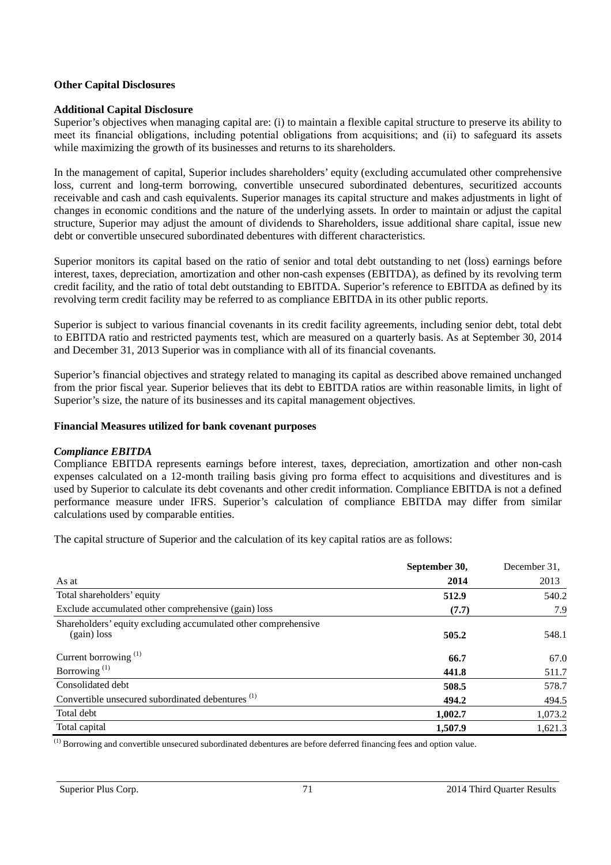### **Other Capital Disclosures**

#### **Additional Capital Disclosure**

Superior's objectives when managing capital are: (i) to maintain a flexible capital structure to preserve its ability to meet its financial obligations, including potential obligations from acquisitions; and (ii) to safeguard its assets while maximizing the growth of its businesses and returns to its shareholders.

In the management of capital, Superior includes shareholders' equity (excluding accumulated other comprehensive loss, current and long-term borrowing, convertible unsecured subordinated debentures, securitized accounts receivable and cash and cash equivalents. Superior manages its capital structure and makes adjustments in light of changes in economic conditions and the nature of the underlying assets. In order to maintain or adjust the capital structure, Superior may adjust the amount of dividends to Shareholders, issue additional share capital, issue new debt or convertible unsecured subordinated debentures with different characteristics.

Superior monitors its capital based on the ratio of senior and total debt outstanding to net (loss) earnings before interest, taxes, depreciation, amortization and other non-cash expenses (EBITDA), as defined by its revolving term credit facility, and the ratio of total debt outstanding to EBITDA. Superior's reference to EBITDA as defined by its revolving term credit facility may be referred to as compliance EBITDA in its other public reports.

Superior is subject to various financial covenants in its credit facility agreements, including senior debt, total debt to EBITDA ratio and restricted payments test, which are measured on a quarterly basis. As at September 30, 2014 and December 31, 2013 Superior was in compliance with all of its financial covenants.

Superior's financial objectives and strategy related to managing its capital as described above remained unchanged from the prior fiscal year. Superior believes that its debt to EBITDA ratios are within reasonable limits, in light of Superior's size, the nature of its businesses and its capital management objectives.

#### **Financial Measures utilized for bank covenant purposes**

### *Compliance EBITDA*

Compliance EBITDA represents earnings before interest, taxes, depreciation, amortization and other non-cash expenses calculated on a 12-month trailing basis giving pro forma effect to acquisitions and divestitures and is used by Superior to calculate its debt covenants and other credit information. Compliance EBITDA is not a defined performance measure under IFRS. Superior's calculation of compliance EBITDA may differ from similar calculations used by comparable entities.

The capital structure of Superior and the calculation of its key capital ratios are as follows:

|                                                                                 | September 30, | December 31, |
|---------------------------------------------------------------------------------|---------------|--------------|
| As at                                                                           | 2014          | 2013         |
| Total shareholders' equity                                                      | 512.9         | 540.2        |
| Exclude accumulated other comprehensive (gain) loss                             | (7.7)         | 7.9          |
| Shareholders' equity excluding accumulated other comprehensive<br>$(gain)$ loss | 505.2         | 548.1        |
| Current borrowing $^{(1)}$                                                      | 66.7          | 67.0         |
| Borrowing $(1)$                                                                 | 441.8         | 511.7        |
| Consolidated debt                                                               | 508.5         | 578.7        |
| Convertible unsecured subordinated debentures <sup>(1)</sup>                    | 494.2         | 494.5        |
| Total debt                                                                      | 1,002.7       | 1,073.2      |
| Total capital                                                                   | 1,507.9       | 1.621.3      |

(1) Borrowing and convertible unsecured subordinated debentures are before deferred financing fees and option value.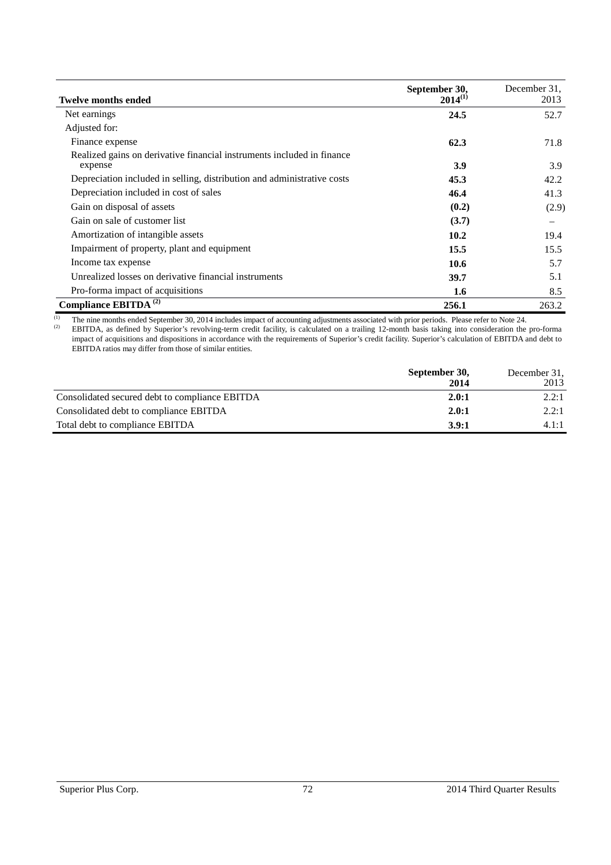| <b>Twelve months ended</b>                                                        | September 30,<br>$2014^{(1)}$ | December 31.<br>2013 |
|-----------------------------------------------------------------------------------|-------------------------------|----------------------|
| Net earnings                                                                      | 24.5                          | 52.7                 |
| Adjusted for:                                                                     |                               |                      |
| Finance expense                                                                   | 62.3                          | 71.8                 |
| Realized gains on derivative financial instruments included in finance<br>expense | <b>3.9</b>                    | 3.9                  |
| Depreciation included in selling, distribution and administrative costs           | 45.3                          | 42.2                 |
| Depreciation included in cost of sales                                            | 46.4                          | 41.3                 |
| Gain on disposal of assets                                                        | (0.2)                         | (2.9)                |
| Gain on sale of customer list                                                     | (3.7)                         |                      |
| Amortization of intangible assets                                                 | 10.2                          | 19.4                 |
| Impairment of property, plant and equipment                                       | 15.5                          | 15.5                 |
| Income tax expense                                                                | 10.6                          | 5.7                  |
| Unrealized losses on derivative financial instruments                             | 39.7                          | 5.1                  |
| Pro-forma impact of acquisitions                                                  | 1.6                           | 8.5                  |
| Compliance EBITDA <sup>(2)</sup>                                                  | 256.1                         | 263.2                |

(1) The nine months ended September 30, 2014 includes impact of accounting adjustments associated with prior periods. Please refer to Note 24.<br>(2) ERITDA as defined by Superior's revolving-term credit facility is calculat

EBITDA, as defined by Superior's revolving-term credit facility, is calculated on a trailing 12-month basis taking into consideration the pro-forma impact of acquisitions and dispositions in accordance with the requirements of Superior's credit facility. Superior's calculation of EBITDA and debt to EBITDA ratios may differ from those of similar entities.

|                                                | September 30,<br>2014 | December 31,<br>2013 |
|------------------------------------------------|-----------------------|----------------------|
| Consolidated secured debt to compliance EBITDA | 2.0:1                 | 2.2:1                |
| Consolidated debt to compliance EBITDA         | 2.0:1                 | 2.2:1                |
| Total debt to compliance EBITDA                | 3.9:1                 | 4.1:1                |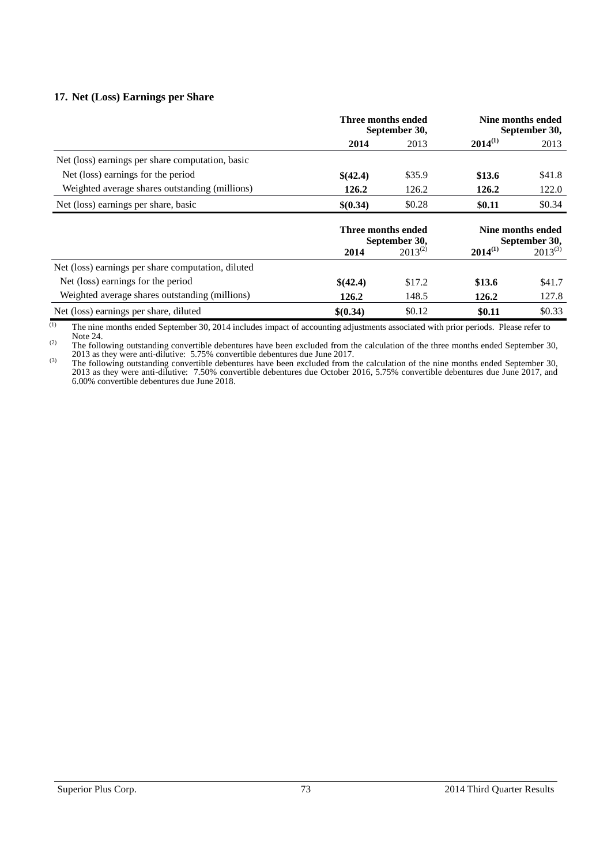#### **17. Net (Loss) Earnings per Share**

|                                                    | Three months ended<br>September 30, |              | Nine months ended<br>September 30, |              |
|----------------------------------------------------|-------------------------------------|--------------|------------------------------------|--------------|
|                                                    | 2014                                | 2013         | $2014^{(1)}$                       | 2013         |
| Net (loss) earnings per share computation, basic   |                                     |              |                                    |              |
| Net (loss) earnings for the period                 | \$(42.4)                            | \$35.9       | \$13.6                             | \$41.8       |
| Weighted average shares outstanding (millions)     | 126.2                               | 126.2        | 126.2                              | 122.0        |
| Net (loss) earnings per share, basic               | \$(0.34)                            | \$0.28       | \$0.11                             | \$0.34       |
|                                                    | Three months ended<br>September 30, |              | Nine months ended<br>September 30, |              |
|                                                    |                                     |              |                                    |              |
|                                                    | 2014                                | $2013^{(2)}$ | $2014^{(1)}$                       | $2013^{(3)}$ |
| Net (loss) earnings per share computation, diluted |                                     |              |                                    |              |
| Net (loss) earnings for the period                 | \$(42.4)                            | \$17.2       | \$13.6                             | \$41.7       |
| Weighted average shares outstanding (millions)     | 126.2                               | 148.5        | 126.2                              | 127.8        |

(1) The nine months ended September 30, 2014 includes impact of accounting adjustments associated with prior periods. Please refer to

(2) Note 24.<br>The following outstanding convertible debentures have been excluded from the calculation of the three months ended September 30, 2013 as they were anti-dilutive: 5.75% convertible debentures due June 2017.

 $^{(3)}$  The following outstanding convertible debentures have been excluded from the calculation of the nine months ended September 30, 2013 as they were anti-dilutive: 7.50% convertible debentures due October 2016, 5.75% convertible debentures due June 2017, and 6.00% convertible debentures due June 2018.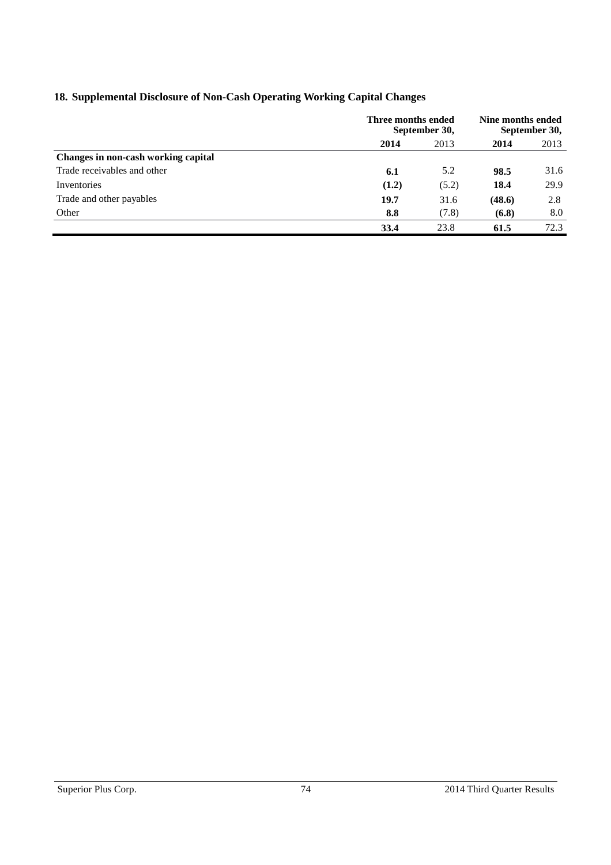| 18. Supplemental Disclosure of Non-Cash Operating Working Capital Changes |  |  |  |  |
|---------------------------------------------------------------------------|--|--|--|--|
|                                                                           |  |  |  |  |

|                                     |       | Three months ended<br>September 30, |        | Nine months ended<br>September 30, |
|-------------------------------------|-------|-------------------------------------|--------|------------------------------------|
|                                     | 2014  | 2013                                | 2014   | 2013                               |
| Changes in non-cash working capital |       |                                     |        |                                    |
| Trade receivables and other         | 6.1   | 5.2                                 | 98.5   | 31.6                               |
| Inventories                         | (1.2) | (5.2)                               | 18.4   | 29.9                               |
| Trade and other payables            | 19.7  | 31.6                                | (48.6) | 2.8                                |
| Other                               | 8.8   | (7.8)                               | (6.8)  | 8.0                                |
|                                     | 33.4  | 23.8                                | 61.5   | 72.3                               |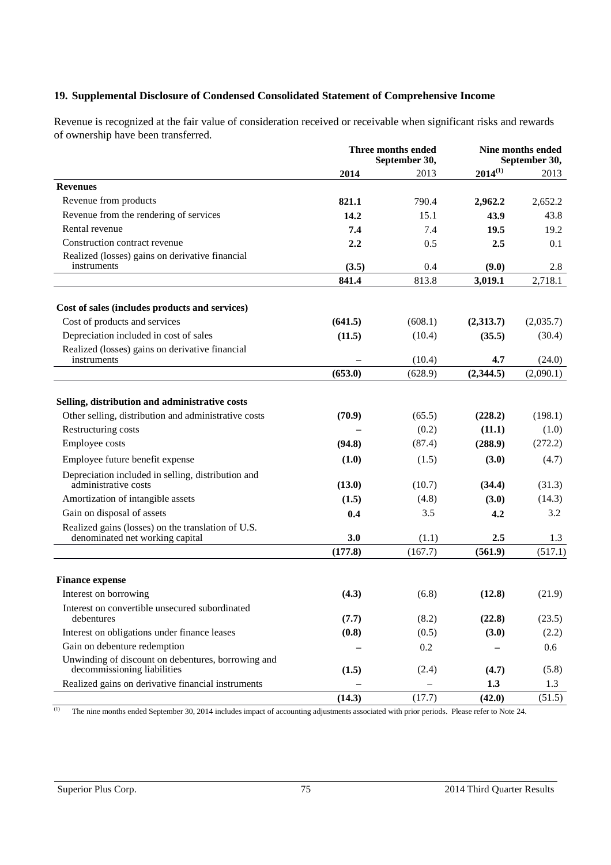## **19. Supplemental Disclosure of Condensed Consolidated Statement of Comprehensive Income**

Revenue is recognized at the fair value of consideration received or receivable when significant risks and rewards of ownership have been transferred.

| $2014^{(1)}$<br>2013<br>2014<br>2013<br><b>Revenues</b><br>Revenue from products<br>790.4<br>2,652.2<br>821.1<br>2,962.2<br>Revenue from the rendering of services<br>43.9<br>14.2<br>15.1<br>43.8<br>Rental revenue<br>7.4<br>19.5<br>19.2<br>7.4<br>Construction contract revenue<br>2.2<br>0.5<br>2.5<br>0.1<br>Realized (losses) gains on derivative financial<br>instruments<br>0.4<br>2.8<br>(3.5)<br>(9.0)<br>841.4<br>813.8<br>2,718.1<br>3,019.1<br>Cost of sales (includes products and services)<br>Cost of products and services<br>(641.5)<br>(608.1)<br>(2,313.7)<br>(2,035.7)<br>Depreciation included in cost of sales<br>(11.5)<br>(10.4)<br>(30.4)<br>(35.5)<br>Realized (losses) gains on derivative financial<br>instruments<br>(10.4)<br>4.7<br>(24.0)<br>(628.9)<br>(653.0)<br>(2,090.1)<br>(2,344.5)<br>Selling, distribution and administrative costs<br>Other selling, distribution and administrative costs<br>(198.1)<br>(70.9)<br>(65.5)<br>(228.2)<br>Restructuring costs<br>(0.2)<br>(11.1)<br>(1.0)<br>Employee costs<br>(87.4)<br>(288.9)<br>(272.2)<br>(94.8)<br>Employee future benefit expense<br>(4.7)<br>(1.0)<br>(1.5)<br>(3.0)<br>Depreciation included in selling, distribution and<br>administrative costs<br>(13.0)<br>(10.7)<br>(34.4)<br>(31.3)<br>Amortization of intangible assets<br>(14.3)<br>(1.5)<br>(4.8)<br>(3.0)<br>Gain on disposal of assets<br>3.2<br>3.5<br>0.4<br>4.2<br>Realized gains (losses) on the translation of U.S.<br>denominated net working capital<br>3.0<br>(1.1)<br>2.5<br>1.3<br>(177.8)<br>(167.7)<br>(561.9)<br>(517.1)<br><b>Finance expense</b><br>Interest on borrowing<br>(4.3)<br>(6.8)<br>(12.8)<br>(21.9)<br>Interest on convertible unsecured subordinated<br>(8.2)<br>(23.5)<br>debentures<br>(7.7)<br>(22.8)<br>Interest on obligations under finance leases<br>(0.8)<br>(0.5)<br>(3.0)<br>(2.2)<br>Gain on debenture redemption<br>0.2<br>0.6<br>Unwinding of discount on debentures, borrowing and<br>decommissioning liabilities<br>(1.5)<br>(2.4)<br>(4.7)<br>(5.8) |                                                    | Three months ended<br>September 30, |     | Nine months ended<br>September 30, |
|--------------------------------------------------------------------------------------------------------------------------------------------------------------------------------------------------------------------------------------------------------------------------------------------------------------------------------------------------------------------------------------------------------------------------------------------------------------------------------------------------------------------------------------------------------------------------------------------------------------------------------------------------------------------------------------------------------------------------------------------------------------------------------------------------------------------------------------------------------------------------------------------------------------------------------------------------------------------------------------------------------------------------------------------------------------------------------------------------------------------------------------------------------------------------------------------------------------------------------------------------------------------------------------------------------------------------------------------------------------------------------------------------------------------------------------------------------------------------------------------------------------------------------------------------------------------------------------------------------------------------------------------------------------------------------------------------------------------------------------------------------------------------------------------------------------------------------------------------------------------------------------------------------------------------------------------------------------------------------------------------------------------------------------------------------------|----------------------------------------------------|-------------------------------------|-----|------------------------------------|
|                                                                                                                                                                                                                                                                                                                                                                                                                                                                                                                                                                                                                                                                                                                                                                                                                                                                                                                                                                                                                                                                                                                                                                                                                                                                                                                                                                                                                                                                                                                                                                                                                                                                                                                                                                                                                                                                                                                                                                                                                                                              |                                                    |                                     |     |                                    |
|                                                                                                                                                                                                                                                                                                                                                                                                                                                                                                                                                                                                                                                                                                                                                                                                                                                                                                                                                                                                                                                                                                                                                                                                                                                                                                                                                                                                                                                                                                                                                                                                                                                                                                                                                                                                                                                                                                                                                                                                                                                              |                                                    |                                     |     |                                    |
|                                                                                                                                                                                                                                                                                                                                                                                                                                                                                                                                                                                                                                                                                                                                                                                                                                                                                                                                                                                                                                                                                                                                                                                                                                                                                                                                                                                                                                                                                                                                                                                                                                                                                                                                                                                                                                                                                                                                                                                                                                                              |                                                    |                                     |     |                                    |
|                                                                                                                                                                                                                                                                                                                                                                                                                                                                                                                                                                                                                                                                                                                                                                                                                                                                                                                                                                                                                                                                                                                                                                                                                                                                                                                                                                                                                                                                                                                                                                                                                                                                                                                                                                                                                                                                                                                                                                                                                                                              |                                                    |                                     |     |                                    |
|                                                                                                                                                                                                                                                                                                                                                                                                                                                                                                                                                                                                                                                                                                                                                                                                                                                                                                                                                                                                                                                                                                                                                                                                                                                                                                                                                                                                                                                                                                                                                                                                                                                                                                                                                                                                                                                                                                                                                                                                                                                              |                                                    |                                     |     |                                    |
|                                                                                                                                                                                                                                                                                                                                                                                                                                                                                                                                                                                                                                                                                                                                                                                                                                                                                                                                                                                                                                                                                                                                                                                                                                                                                                                                                                                                                                                                                                                                                                                                                                                                                                                                                                                                                                                                                                                                                                                                                                                              |                                                    |                                     |     |                                    |
|                                                                                                                                                                                                                                                                                                                                                                                                                                                                                                                                                                                                                                                                                                                                                                                                                                                                                                                                                                                                                                                                                                                                                                                                                                                                                                                                                                                                                                                                                                                                                                                                                                                                                                                                                                                                                                                                                                                                                                                                                                                              |                                                    |                                     |     |                                    |
|                                                                                                                                                                                                                                                                                                                                                                                                                                                                                                                                                                                                                                                                                                                                                                                                                                                                                                                                                                                                                                                                                                                                                                                                                                                                                                                                                                                                                                                                                                                                                                                                                                                                                                                                                                                                                                                                                                                                                                                                                                                              |                                                    |                                     |     |                                    |
|                                                                                                                                                                                                                                                                                                                                                                                                                                                                                                                                                                                                                                                                                                                                                                                                                                                                                                                                                                                                                                                                                                                                                                                                                                                                                                                                                                                                                                                                                                                                                                                                                                                                                                                                                                                                                                                                                                                                                                                                                                                              |                                                    |                                     |     |                                    |
|                                                                                                                                                                                                                                                                                                                                                                                                                                                                                                                                                                                                                                                                                                                                                                                                                                                                                                                                                                                                                                                                                                                                                                                                                                                                                                                                                                                                                                                                                                                                                                                                                                                                                                                                                                                                                                                                                                                                                                                                                                                              |                                                    |                                     |     |                                    |
|                                                                                                                                                                                                                                                                                                                                                                                                                                                                                                                                                                                                                                                                                                                                                                                                                                                                                                                                                                                                                                                                                                                                                                                                                                                                                                                                                                                                                                                                                                                                                                                                                                                                                                                                                                                                                                                                                                                                                                                                                                                              |                                                    |                                     |     |                                    |
|                                                                                                                                                                                                                                                                                                                                                                                                                                                                                                                                                                                                                                                                                                                                                                                                                                                                                                                                                                                                                                                                                                                                                                                                                                                                                                                                                                                                                                                                                                                                                                                                                                                                                                                                                                                                                                                                                                                                                                                                                                                              |                                                    |                                     |     |                                    |
|                                                                                                                                                                                                                                                                                                                                                                                                                                                                                                                                                                                                                                                                                                                                                                                                                                                                                                                                                                                                                                                                                                                                                                                                                                                                                                                                                                                                                                                                                                                                                                                                                                                                                                                                                                                                                                                                                                                                                                                                                                                              |                                                    |                                     |     |                                    |
|                                                                                                                                                                                                                                                                                                                                                                                                                                                                                                                                                                                                                                                                                                                                                                                                                                                                                                                                                                                                                                                                                                                                                                                                                                                                                                                                                                                                                                                                                                                                                                                                                                                                                                                                                                                                                                                                                                                                                                                                                                                              |                                                    |                                     |     |                                    |
|                                                                                                                                                                                                                                                                                                                                                                                                                                                                                                                                                                                                                                                                                                                                                                                                                                                                                                                                                                                                                                                                                                                                                                                                                                                                                                                                                                                                                                                                                                                                                                                                                                                                                                                                                                                                                                                                                                                                                                                                                                                              |                                                    |                                     |     |                                    |
|                                                                                                                                                                                                                                                                                                                                                                                                                                                                                                                                                                                                                                                                                                                                                                                                                                                                                                                                                                                                                                                                                                                                                                                                                                                                                                                                                                                                                                                                                                                                                                                                                                                                                                                                                                                                                                                                                                                                                                                                                                                              |                                                    |                                     |     |                                    |
|                                                                                                                                                                                                                                                                                                                                                                                                                                                                                                                                                                                                                                                                                                                                                                                                                                                                                                                                                                                                                                                                                                                                                                                                                                                                                                                                                                                                                                                                                                                                                                                                                                                                                                                                                                                                                                                                                                                                                                                                                                                              |                                                    |                                     |     |                                    |
|                                                                                                                                                                                                                                                                                                                                                                                                                                                                                                                                                                                                                                                                                                                                                                                                                                                                                                                                                                                                                                                                                                                                                                                                                                                                                                                                                                                                                                                                                                                                                                                                                                                                                                                                                                                                                                                                                                                                                                                                                                                              |                                                    |                                     |     |                                    |
|                                                                                                                                                                                                                                                                                                                                                                                                                                                                                                                                                                                                                                                                                                                                                                                                                                                                                                                                                                                                                                                                                                                                                                                                                                                                                                                                                                                                                                                                                                                                                                                                                                                                                                                                                                                                                                                                                                                                                                                                                                                              |                                                    |                                     |     |                                    |
|                                                                                                                                                                                                                                                                                                                                                                                                                                                                                                                                                                                                                                                                                                                                                                                                                                                                                                                                                                                                                                                                                                                                                                                                                                                                                                                                                                                                                                                                                                                                                                                                                                                                                                                                                                                                                                                                                                                                                                                                                                                              |                                                    |                                     |     |                                    |
|                                                                                                                                                                                                                                                                                                                                                                                                                                                                                                                                                                                                                                                                                                                                                                                                                                                                                                                                                                                                                                                                                                                                                                                                                                                                                                                                                                                                                                                                                                                                                                                                                                                                                                                                                                                                                                                                                                                                                                                                                                                              |                                                    |                                     |     |                                    |
|                                                                                                                                                                                                                                                                                                                                                                                                                                                                                                                                                                                                                                                                                                                                                                                                                                                                                                                                                                                                                                                                                                                                                                                                                                                                                                                                                                                                                                                                                                                                                                                                                                                                                                                                                                                                                                                                                                                                                                                                                                                              |                                                    |                                     |     |                                    |
|                                                                                                                                                                                                                                                                                                                                                                                                                                                                                                                                                                                                                                                                                                                                                                                                                                                                                                                                                                                                                                                                                                                                                                                                                                                                                                                                                                                                                                                                                                                                                                                                                                                                                                                                                                                                                                                                                                                                                                                                                                                              |                                                    |                                     |     |                                    |
|                                                                                                                                                                                                                                                                                                                                                                                                                                                                                                                                                                                                                                                                                                                                                                                                                                                                                                                                                                                                                                                                                                                                                                                                                                                                                                                                                                                                                                                                                                                                                                                                                                                                                                                                                                                                                                                                                                                                                                                                                                                              |                                                    |                                     |     |                                    |
|                                                                                                                                                                                                                                                                                                                                                                                                                                                                                                                                                                                                                                                                                                                                                                                                                                                                                                                                                                                                                                                                                                                                                                                                                                                                                                                                                                                                                                                                                                                                                                                                                                                                                                                                                                                                                                                                                                                                                                                                                                                              |                                                    |                                     |     |                                    |
|                                                                                                                                                                                                                                                                                                                                                                                                                                                                                                                                                                                                                                                                                                                                                                                                                                                                                                                                                                                                                                                                                                                                                                                                                                                                                                                                                                                                                                                                                                                                                                                                                                                                                                                                                                                                                                                                                                                                                                                                                                                              |                                                    |                                     |     |                                    |
|                                                                                                                                                                                                                                                                                                                                                                                                                                                                                                                                                                                                                                                                                                                                                                                                                                                                                                                                                                                                                                                                                                                                                                                                                                                                                                                                                                                                                                                                                                                                                                                                                                                                                                                                                                                                                                                                                                                                                                                                                                                              |                                                    |                                     |     |                                    |
|                                                                                                                                                                                                                                                                                                                                                                                                                                                                                                                                                                                                                                                                                                                                                                                                                                                                                                                                                                                                                                                                                                                                                                                                                                                                                                                                                                                                                                                                                                                                                                                                                                                                                                                                                                                                                                                                                                                                                                                                                                                              |                                                    |                                     |     |                                    |
|                                                                                                                                                                                                                                                                                                                                                                                                                                                                                                                                                                                                                                                                                                                                                                                                                                                                                                                                                                                                                                                                                                                                                                                                                                                                                                                                                                                                                                                                                                                                                                                                                                                                                                                                                                                                                                                                                                                                                                                                                                                              |                                                    |                                     |     |                                    |
|                                                                                                                                                                                                                                                                                                                                                                                                                                                                                                                                                                                                                                                                                                                                                                                                                                                                                                                                                                                                                                                                                                                                                                                                                                                                                                                                                                                                                                                                                                                                                                                                                                                                                                                                                                                                                                                                                                                                                                                                                                                              |                                                    |                                     |     |                                    |
|                                                                                                                                                                                                                                                                                                                                                                                                                                                                                                                                                                                                                                                                                                                                                                                                                                                                                                                                                                                                                                                                                                                                                                                                                                                                                                                                                                                                                                                                                                                                                                                                                                                                                                                                                                                                                                                                                                                                                                                                                                                              |                                                    |                                     |     |                                    |
|                                                                                                                                                                                                                                                                                                                                                                                                                                                                                                                                                                                                                                                                                                                                                                                                                                                                                                                                                                                                                                                                                                                                                                                                                                                                                                                                                                                                                                                                                                                                                                                                                                                                                                                                                                                                                                                                                                                                                                                                                                                              |                                                    |                                     |     |                                    |
|                                                                                                                                                                                                                                                                                                                                                                                                                                                                                                                                                                                                                                                                                                                                                                                                                                                                                                                                                                                                                                                                                                                                                                                                                                                                                                                                                                                                                                                                                                                                                                                                                                                                                                                                                                                                                                                                                                                                                                                                                                                              |                                                    |                                     |     |                                    |
|                                                                                                                                                                                                                                                                                                                                                                                                                                                                                                                                                                                                                                                                                                                                                                                                                                                                                                                                                                                                                                                                                                                                                                                                                                                                                                                                                                                                                                                                                                                                                                                                                                                                                                                                                                                                                                                                                                                                                                                                                                                              |                                                    |                                     |     |                                    |
|                                                                                                                                                                                                                                                                                                                                                                                                                                                                                                                                                                                                                                                                                                                                                                                                                                                                                                                                                                                                                                                                                                                                                                                                                                                                                                                                                                                                                                                                                                                                                                                                                                                                                                                                                                                                                                                                                                                                                                                                                                                              | Realized gains on derivative financial instruments | $\qquad \qquad -$                   | 1.3 | 1.3                                |
| (17.7)<br>(14.3)<br>(42.0)<br>(51.5)                                                                                                                                                                                                                                                                                                                                                                                                                                                                                                                                                                                                                                                                                                                                                                                                                                                                                                                                                                                                                                                                                                                                                                                                                                                                                                                                                                                                                                                                                                                                                                                                                                                                                                                                                                                                                                                                                                                                                                                                                         |                                                    |                                     |     |                                    |

(1) The nine months ended September 30, 2014 includes impact of accounting adjustments associated with prior periods. Please refer to Note 24.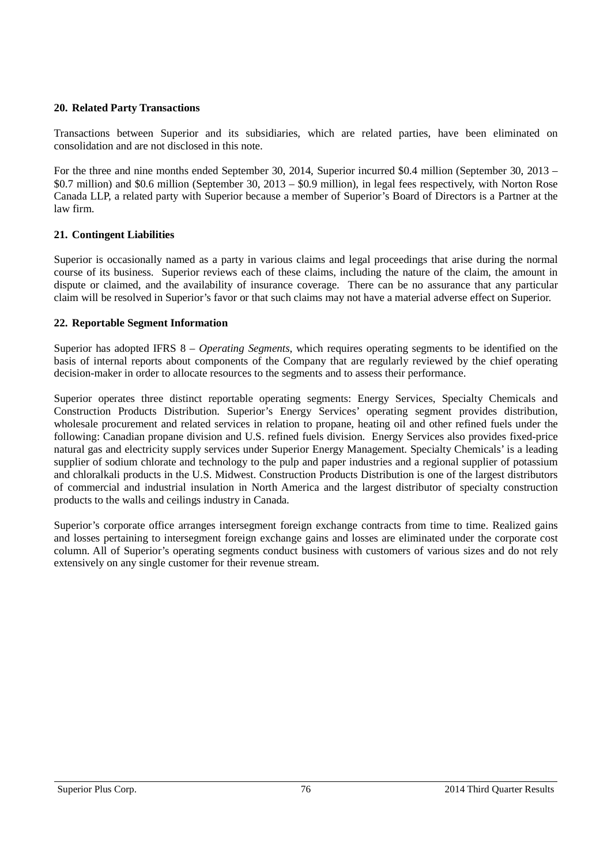#### **20. Related Party Transactions**

Transactions between Superior and its subsidiaries, which are related parties, have been eliminated on consolidation and are not disclosed in this note.

For the three and nine months ended September 30, 2014, Superior incurred \$0.4 million (September 30, 2013 – \$0.7 million) and \$0.6 million (September 30, 2013 – \$0.9 million), in legal fees respectively, with Norton Rose Canada LLP, a related party with Superior because a member of Superior's Board of Directors is a Partner at the law firm.

## **21. Contingent Liabilities**

Superior is occasionally named as a party in various claims and legal proceedings that arise during the normal course of its business. Superior reviews each of these claims, including the nature of the claim, the amount in dispute or claimed, and the availability of insurance coverage. There can be no assurance that any particular claim will be resolved in Superior's favor or that such claims may not have a material adverse effect on Superior.

#### **22. Reportable Segment Information**

Superior has adopted IFRS 8 – *Operating Segments*, which requires operating segments to be identified on the basis of internal reports about components of the Company that are regularly reviewed by the chief operating decision-maker in order to allocate resources to the segments and to assess their performance.

Superior operates three distinct reportable operating segments: Energy Services, Specialty Chemicals and Construction Products Distribution. Superior's Energy Services' operating segment provides distribution, wholesale procurement and related services in relation to propane, heating oil and other refined fuels under the following: Canadian propane division and U.S. refined fuels division. Energy Services also provides fixed-price natural gas and electricity supply services under Superior Energy Management. Specialty Chemicals' is a leading supplier of sodium chlorate and technology to the pulp and paper industries and a regional supplier of potassium and chloralkali products in the U.S. Midwest. Construction Products Distribution is one of the largest distributors of commercial and industrial insulation in North America and the largest distributor of specialty construction products to the walls and ceilings industry in Canada.

Superior's corporate office arranges intersegment foreign exchange contracts from time to time. Realized gains and losses pertaining to intersegment foreign exchange gains and losses are eliminated under the corporate cost column. All of Superior's operating segments conduct business with customers of various sizes and do not rely extensively on any single customer for their revenue stream.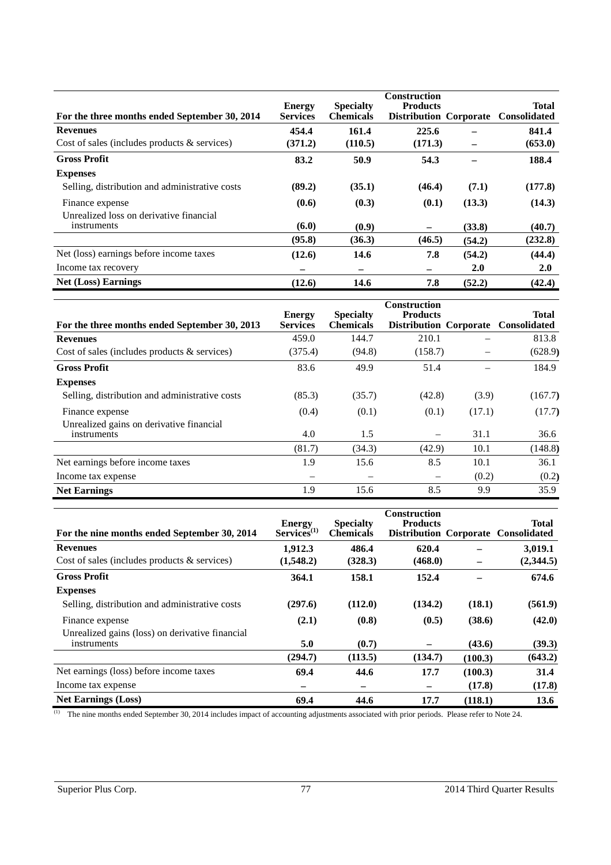| For the three months ended September 30, 2014  | <b>Energy</b><br><b>Services</b> | <b>Specialty</b><br><b>Chemicals</b> | <b>Construction</b><br><b>Products</b> |        | Total<br>Distribution Corporate Consolidated |
|------------------------------------------------|----------------------------------|--------------------------------------|----------------------------------------|--------|----------------------------------------------|
| <b>Revenues</b>                                | 454.4                            | 161.4                                | 225.6                                  |        | 841.4                                        |
| Cost of sales (includes products $&$ services) | (371.2)                          | (110.5)                              | (171.3)                                |        | (653.0)                                      |
| <b>Gross Profit</b>                            | 83.2                             | 50.9                                 | 54.3                                   |        | 188.4                                        |
| <b>Expenses</b>                                |                                  |                                      |                                        |        |                                              |
| Selling, distribution and administrative costs | (89.2)                           | (35.1)                               | (46.4)                                 | (7.1)  | (177.8)                                      |
| Finance expense                                | (0.6)                            | (0.3)                                | (0.1)                                  | (13.3) | (14.3)                                       |
| Unrealized loss on derivative financial        |                                  |                                      |                                        |        |                                              |
| instruments                                    | (6.0)                            | (0.9)                                |                                        | (33.8) | (40.7)                                       |
|                                                | (95.8)                           | (36.3)                               | (46.5)                                 | (54.2) | (232.8)                                      |
| Net (loss) earnings before income taxes        | (12.6)                           | 14.6                                 | 7.8                                    | (54.2) | (44.4)                                       |
| Income tax recovery                            |                                  | —                                    | $\qquad \qquad$                        | 2.0    | 2.0                                          |
| <b>Net (Loss) Earnings</b>                     | (12.6)                           | 14.6                                 | 7.8                                    | (52.2) | (42.4)                                       |

| For the three months ended September 30, 2013           | Energy<br><b>Services</b> | <b>Specialty</b><br><b>Chemicals</b> | <b>Construction</b><br><b>Products</b><br><b>Distribution Corporate</b> |        | Total<br>Consolidated |
|---------------------------------------------------------|---------------------------|--------------------------------------|-------------------------------------------------------------------------|--------|-----------------------|
| <b>Revenues</b>                                         | 459.0                     | 144.7                                | 210.1                                                                   |        | 813.8                 |
| Cost of sales (includes products $\&$ services)         | (375.4)                   | (94.8)                               | (158.7)                                                                 |        | (628.9)               |
| <b>Gross Profit</b>                                     | 83.6                      | 49.9                                 | 51.4                                                                    |        | 184.9                 |
| <b>Expenses</b>                                         |                           |                                      |                                                                         |        |                       |
| Selling, distribution and administrative costs          | (85.3)                    | (35.7)                               | (42.8)                                                                  | (3.9)  | (167.7)               |
| Finance expense                                         | (0.4)                     | (0.1)                                | (0.1)                                                                   | (17.1) | (17.7)                |
| Unrealized gains on derivative financial<br>instruments | 4.0                       | 1.5                                  |                                                                         | 31.1   | 36.6                  |
|                                                         | (81.7)                    | (34.3)                               | (42.9)                                                                  | 10.1   | (148.8)               |
| Net earnings before income taxes                        | 1.9                       | 15.6                                 | 8.5                                                                     | 10.1   | 36.1                  |
| Income tax expense                                      |                           |                                      |                                                                         | (0.2)  | (0.2)                 |
| <b>Net Earnings</b>                                     | 1.9                       | 15.6                                 | 8.5                                                                     | 9.9    | 35.9                  |

| For the nine months ended September 30, 2014                   | <b>Energy</b><br>$S$ ervices $^{(1)}$ | <b>Specialty</b><br><b>Chemicals</b> | <b>Construction</b><br><b>Products</b> |         | Total<br><b>Distribution Corporate Consolidated</b> |
|----------------------------------------------------------------|---------------------------------------|--------------------------------------|----------------------------------------|---------|-----------------------------------------------------|
| <b>Revenues</b>                                                | 1,912.3                               | 486.4                                | 620.4                                  |         | 3,019.1                                             |
| Cost of sales (includes products $\&$ services)                | (1,548.2)                             | (328.3)                              | (468.0)                                |         | (2,344.5)                                           |
| <b>Gross Profit</b>                                            | 364.1                                 | 158.1                                | 152.4                                  |         | 674.6                                               |
| <b>Expenses</b>                                                |                                       |                                      |                                        |         |                                                     |
| Selling, distribution and administrative costs                 | (297.6)                               | (112.0)                              | (134.2)                                | (18.1)  | (561.9)                                             |
| Finance expense                                                | (2.1)                                 | (0.8)                                | (0.5)                                  | (38.6)  | (42.0)                                              |
| Unrealized gains (loss) on derivative financial<br>instruments | 5.0                                   | (0.7)                                |                                        | (43.6)  | (39.3)                                              |
|                                                                | (294.7)                               | (113.5)                              | (134.7)                                | (100.3) | (643.2)                                             |
| Net earnings (loss) before income taxes                        | 69.4                                  | 44.6                                 | 17.7                                   | (100.3) | 31.4                                                |
| Income tax expense                                             |                                       | $\overline{\phantom{m}}$             | $\qquad \qquad$                        | (17.8)  | (17.8)                                              |
| <b>Net Earnings (Loss)</b>                                     | 69.4                                  | 44.6                                 | 17.7                                   | (118.1) | 13.6                                                |

(1) The nine months ended September 30, 2014 includes impact of accounting adjustments associated with prior periods. Please refer to Note 24.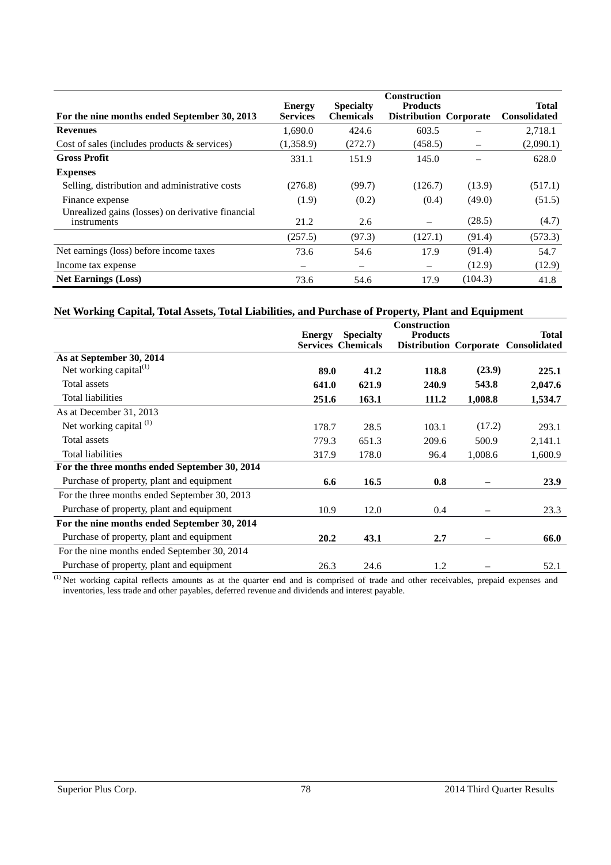|                                                                  |                 |                  | <b>Construction</b>           |         |                     |
|------------------------------------------------------------------|-----------------|------------------|-------------------------------|---------|---------------------|
|                                                                  | <b>Energy</b>   | <b>Specialty</b> | <b>Products</b>               |         | <b>Total</b>        |
| For the nine months ended September 30, 2013                     | <b>Services</b> | <b>Chemicals</b> | <b>Distribution Corporate</b> |         | <b>Consolidated</b> |
| <b>Revenues</b>                                                  | 1,690.0         | 424.6            | 603.5                         |         | 2,718.1             |
| Cost of sales (includes products $\&$ services)                  | (1,358.9)       | (272.7)          | (458.5)                       |         | (2,090.1)           |
| <b>Gross Profit</b>                                              | 331.1           | 151.9            | 145.0                         |         | 628.0               |
| <b>Expenses</b>                                                  |                 |                  |                               |         |                     |
| Selling, distribution and administrative costs                   | (276.8)         | (99.7)           | (126.7)                       | (13.9)  | (517.1)             |
| Finance expense                                                  | (1.9)           | (0.2)            | (0.4)                         | (49.0)  | (51.5)              |
| Unrealized gains (losses) on derivative financial<br>instruments | 21.2            | 2.6              |                               | (28.5)  | (4.7)               |
|                                                                  | (257.5)         | (97.3)           | (127.1)                       | (91.4)  | (573.3)             |
| Net earnings (loss) before income taxes                          | 73.6            | 54.6             | 17.9                          | (91.4)  | 54.7                |
| Income tax expense                                               |                 |                  |                               | (12.9)  | (12.9)              |
| <b>Net Earnings (Loss)</b>                                       | 73.6            | 54.6             | 17.9                          | (104.3) | 41.8                |

# **Net Working Capital, Total Assets, Total Liabilities, and Purchase of Property, Plant and Equipment**

|                                               | <b>Energy</b>   | <b>Specialty</b> | <b>Construction</b><br><b>Products</b> |         | <b>Total</b>                        |
|-----------------------------------------------|-----------------|------------------|----------------------------------------|---------|-------------------------------------|
|                                               | <b>Services</b> | <b>Chemicals</b> |                                        |         | Distribution Corporate Consolidated |
| As at September 30, 2014                      |                 |                  |                                        |         |                                     |
| Net working capital $^{(1)}$                  | 89.0            | 41.2             | 118.8                                  | (23.9)  | 225.1                               |
| Total assets                                  | 641.0           | 621.9            | 240.9                                  | 543.8   | 2,047.6                             |
| <b>Total liabilities</b>                      | 251.6           | 163.1            | 111.2                                  | 1,008.8 | 1,534.7                             |
| As at December 31, 2013                       |                 |                  |                                        |         |                                     |
| Net working capital <sup>(1)</sup>            | 178.7           | 28.5             | 103.1                                  | (17.2)  | 293.1                               |
| Total assets                                  | 779.3           | 651.3            | 209.6                                  | 500.9   | 2,141.1                             |
| <b>Total liabilities</b>                      | 317.9           | 178.0            | 96.4                                   | 1,008.6 | 1,600.9                             |
| For the three months ended September 30, 2014 |                 |                  |                                        |         |                                     |
| Purchase of property, plant and equipment     | 6.6             | 16.5             | 0.8                                    |         | 23.9                                |
| For the three months ended September 30, 2013 |                 |                  |                                        |         |                                     |
| Purchase of property, plant and equipment     | 10.9            | 12.0             | 0.4                                    |         | 23.3                                |
| For the nine months ended September 30, 2014  |                 |                  |                                        |         |                                     |
| Purchase of property, plant and equipment     | 20.2            | 43.1             | 2.7                                    |         | 66.0                                |
| For the nine months ended September 30, 2014  |                 |                  |                                        |         |                                     |
| Purchase of property, plant and equipment     | 26.3            | 24.6             | 1.2                                    |         | 52.1                                |

 $<sup>(1)</sup>$  Net working capital reflects amounts as at the quarter end and is comprised of trade and other receivables, prepaid expenses and</sup> inventories, less trade and other payables, deferred revenue and dividends and interest payable.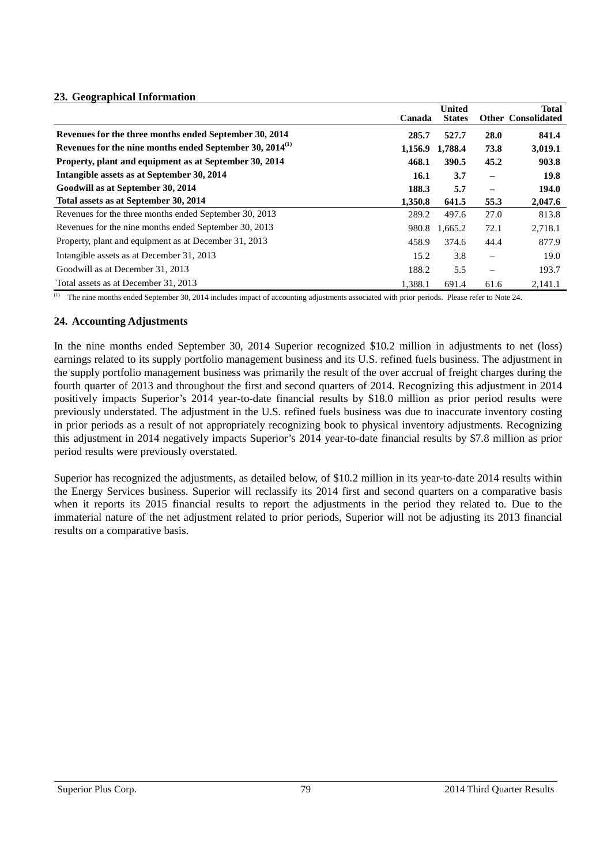### **23. Geographical Information**

|                                                                      |         | <b>United</b> |                          | <b>Total</b>              |
|----------------------------------------------------------------------|---------|---------------|--------------------------|---------------------------|
|                                                                      | Canada  | <b>States</b> |                          | <b>Other Consolidated</b> |
| Revenues for the three months ended September 30, 2014               | 285.7   | 527.7         | 28.0                     | 841.4                     |
| Revenues for the nine months ended September 30, 2014 <sup>(1)</sup> | 1,156.9 | 1,788.4       | 73.8                     | 3,019.1                   |
| Property, plant and equipment as at September 30, 2014               | 468.1   | 390.5         | 45.2                     | 903.8                     |
| Intangible assets as at September 30, 2014                           | 16.1    | 3.7           | $\overline{\phantom{0}}$ | 19.8                      |
| Goodwill as at September 30, 2014                                    | 188.3   | 5.7           | $\overline{\phantom{0}}$ | 194.0                     |
| Total assets as at September 30, 2014                                | 1.350.8 | 641.5         | 55.3                     | 2,047.6                   |
| Revenues for the three months ended September 30, 2013               | 289.2   | 497.6         | 27.0                     | 813.8                     |
| Revenues for the nine months ended September 30, 2013                | 980.8   | 1,665.2       | 72.1                     | 2,718.1                   |
| Property, plant and equipment as at December 31, 2013                | 458.9   | 374.6         | 44.4                     | 877.9                     |
| Intangible assets as at December 31, 2013                            | 15.2    | 3.8           | $\overline{\phantom{m}}$ | 19.0                      |
| Goodwill as at December 31, 2013                                     | 188.2   | 5.5           | $\overline{\phantom{m}}$ | 193.7                     |
| Total assets as at December 31, 2013                                 | 1.388.1 | 691.4         | 61.6                     | 2,141.1                   |

<sup>(1)</sup> The nine months ended September 30, 2014 includes impact of accounting adjustments associated with prior periods. Please refer to Note 24.

## **24. Accounting Adjustments**

In the nine months ended September 30, 2014 Superior recognized \$10.2 million in adjustments to net (loss) earnings related to its supply portfolio management business and its U.S. refined fuels business. The adjustment in the supply portfolio management business was primarily the result of the over accrual of freight charges during the fourth quarter of 2013 and throughout the first and second quarters of 2014. Recognizing this adjustment in 2014 positively impacts Superior's 2014 year-to-date financial results by \$18.0 million as prior period results were previously understated. The adjustment in the U.S. refined fuels business was due to inaccurate inventory costing in prior periods as a result of not appropriately recognizing book to physical inventory adjustments. Recognizing this adjustment in 2014 negatively impacts Superior's 2014 year-to-date financial results by \$7.8 million as prior period results were previously overstated.

Superior has recognized the adjustments, as detailed below, of \$10.2 million in its year-to-date 2014 results within the Energy Services business. Superior will reclassify its 2014 first and second quarters on a comparative basis when it reports its 2015 financial results to report the adjustments in the period they related to. Due to the immaterial nature of the net adjustment related to prior periods, Superior will not be adjusting its 2013 financial results on a comparative basis.